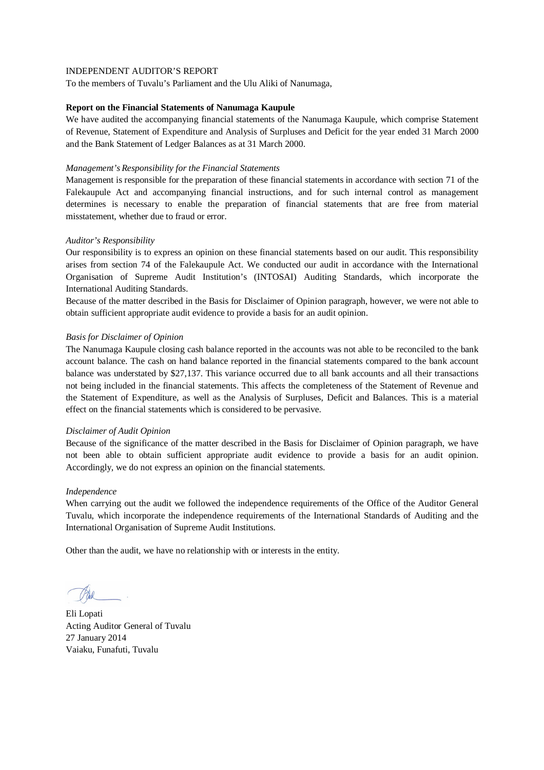To the members of Tuvalu's Parliament and the Ulu Aliki of Nanumaga,

### **Report on the Financial Statements of Nanumaga Kaupule**

We have audited the accompanying financial statements of the Nanumaga Kaupule, which comprise Statement of Revenue, Statement of Expenditure and Analysis of Surpluses and Deficit for the year ended 31 March 2000 and the Bank Statement of Ledger Balances as at 31 March 2000.

### *Management's Responsibility for the Financial Statements*

Management is responsible for the preparation of these financial statements in accordance with section 71 of the Falekaupule Act and accompanying financial instructions, and for such internal control as management determines is necessary to enable the preparation of financial statements that are free from material misstatement, whether due to fraud or error.

## *Auditor's Responsibility*

Our responsibility is to express an opinion on these financial statements based on our audit. This responsibility arises from section 74 of the Falekaupule Act. We conducted our audit in accordance with the International Organisation of Supreme Audit Institution's (INTOSAI) Auditing Standards, which incorporate the International Auditing Standards.

Because of the matter described in the Basis for Disclaimer of Opinion paragraph, however, we were not able to obtain sufficient appropriate audit evidence to provide a basis for an audit opinion.

## *Basis for Disclaimer of Opinion*

The Nanumaga Kaupule closing cash balance reported in the accounts was not able to be reconciled to the bank account balance. The cash on hand balance reported in the financial statements compared to the bank account balance was understated by \$27,137. This variance occurred due to all bank accounts and all their transactions not being included in the financial statements. This affects the completeness of the Statement of Revenue and the Statement of Expenditure, as well as the Analysis of Surpluses, Deficit and Balances. This is a material effect on the financial statements which is considered to be pervasive.

### *Disclaimer of Audit Opinion*

Because of the significance of the matter described in the Basis for Disclaimer of Opinion paragraph, we have not been able to obtain sufficient appropriate audit evidence to provide a basis for an audit opinion. Accordingly, we do not express an opinion on the financial statements.

### *Independence*

When carrying out the audit we followed the independence requirements of the Office of the Auditor General Tuvalu, which incorporate the independence requirements of the International Standards of Auditing and the International Organisation of Supreme Audit Institutions.

Eli Lopati Acting Auditor General of Tuvalu 27 January 2014 Vaiaku, Funafuti, Tuvalu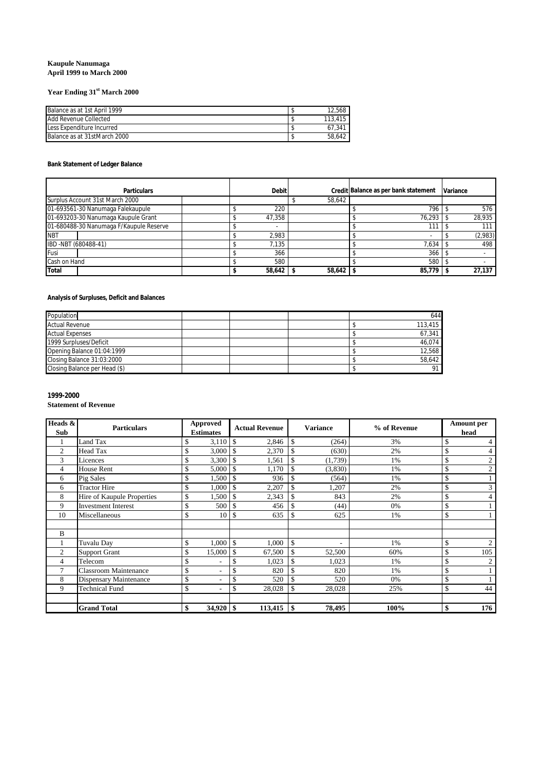### **Kaupule Nanumaga April 1999 to March 2000**

## **Year Ending 31st March 2000**

| Balance as at 1st April 1999 | 12.568  |
|------------------------------|---------|
| Add Revenue Collected        | 113.415 |
| Less Expenditure Incurred    | 67.341  |
| Balance as at 31stMarch 2000 | 58.642  |

### **Bank Statement of Ledger Balance**

| <b>Particulars</b>                      | <b>Debit</b> |        | Credit Balance as per bank statement | <b>Variance</b> |
|-----------------------------------------|--------------|--------|--------------------------------------|-----------------|
| Surplus Account 31st March 2000         |              | 58,642 |                                      |                 |
| 01-693561-30 Nanumaga Falekaupule       | 220          |        | 796                                  | 576             |
| 01-693203-30 Nanumaga Kaupule Grant     | 47,358       |        | 76.293                               | 28.935          |
| 01-680488-30 Nanumaga F/Kaupule Reserve |              |        | 111                                  | 111             |
| <b>NBT</b>                              | 2.983        |        |                                      | (2,983)         |
| IBD -NBT (680488-41)                    | 7.135        |        | 7,634                                | 498             |
| Fusi                                    | 366          |        | 366                                  |                 |
| Cash on Hand                            | 580          |        | 580                                  |                 |
| Total                                   | 58,642       | 58,642 | 85.779                               | 27.137          |

## **Analysis of Surpluses, Deficit and Balances**

| Population                    |  |  | 644     |
|-------------------------------|--|--|---------|
| <b>Actual Revenue</b>         |  |  | 113,415 |
| <b>Actual Expenses</b>        |  |  | 67.341  |
| 1999 Surpluses/Deficit        |  |  | 46.074  |
| Opening Balance 01:04:1999    |  |  | 12.568  |
| Closing Balance 31:03:2000    |  |  | 58.642  |
| Closing Balance per Head (\$) |  |  | 91      |

## **1999-2000**

## **Statement of Revenue**

| Heads &        | <b>Particulars</b>            | Approved             | <b>Actual Revenue</b>  | <b>Variance</b> | % of Revenue | <b>Amount</b> per    |
|----------------|-------------------------------|----------------------|------------------------|-----------------|--------------|----------------------|
| Sub            |                               | <b>Estimates</b>     |                        |                 |              | head                 |
|                | Land Tax                      | 3,110<br>\$          | $\mathbb{S}$<br>2,846  | \$<br>(264)     | 3%           | \$<br>4              |
| $\overline{2}$ | Head Tax                      | \$<br>3,000          | $\mathbb{S}$<br>2,370  | \$<br>(630)     | 2%           | \$<br>$\overline{4}$ |
| 3              | Licences                      | 3,300<br>\$          | <sup>\$</sup><br>1,561 | \$<br>(1,739)   | 1%           | \$<br>$\overline{2}$ |
| 4              | House Rent                    | \$<br>5,000          | <sup>\$</sup><br>1,170 | \$<br>(3,830)   | 1%           | $\overline{c}$<br>S  |
| 6              | Pig Sales                     | \$<br>1,500          | $\mathcal{S}$<br>936   | \$<br>(564)     | 1%           | \$<br>$\mathbf{1}$   |
| 6              | <b>Tractor Hire</b>           | \$<br>1,000          | $\mathbb{S}$<br>2,207  | \$<br>1,207     | 2%           | 3<br>S               |
| 8              | Hire of Kaupule Properties    | 1,500<br>\$          | $\mathbb{S}$<br>2,343  | \$<br>843       | 2%           | \$<br>$\overline{4}$ |
| 9              | <b>Investment Interest</b>    | \$<br>500            | <sup>\$</sup><br>456   | \$<br>(44)      | 0%           | \$<br>$\mathbf{1}$   |
| 10             | Miscellaneous                 | \$<br>10             | \$<br>635              | \$<br>625       | 1%           | \$                   |
|                |                               |                      |                        |                 |              |                      |
| B              |                               |                      |                        |                 |              |                      |
|                | Tuvalu Day                    | \$<br>1,000          | $\mathbb{S}$<br>1,000  | \$<br>۰         | 1%           | S<br>$\overline{2}$  |
| $\overline{2}$ | <b>Support Grant</b>          | 15,000               | $\mathbb{S}$<br>67,500 | \$<br>52,500    | 60%          | 105<br>¢<br>J.       |
| 4              | Telecom                       | Ф                    | <sup>\$</sup><br>1,023 | \$<br>1,023     | 1%           | ¢<br>2<br>J.         |
| 7              | <b>Classroom Maintenance</b>  | \$<br>٠              | <sup>\$</sup><br>820   | \$<br>820       | 1%           | S<br>$\mathbf{1}$    |
| 8              | <b>Dispensary Maintenance</b> | \$<br>٠              | \$<br>520              | \$<br>520       | 0%           | \$<br>$\mathbf{1}$   |
| 9              | <b>Technical Fund</b>         | \$<br>٠              | \$<br>28,028           | \$<br>28,028    | 25%          | S<br>44              |
|                |                               |                      |                        |                 |              |                      |
|                | <b>Grand Total</b>            | \$<br>$34,920$ \ \\$ | $113,415$ \\$          | 78,495          | 100%         | \$<br>176            |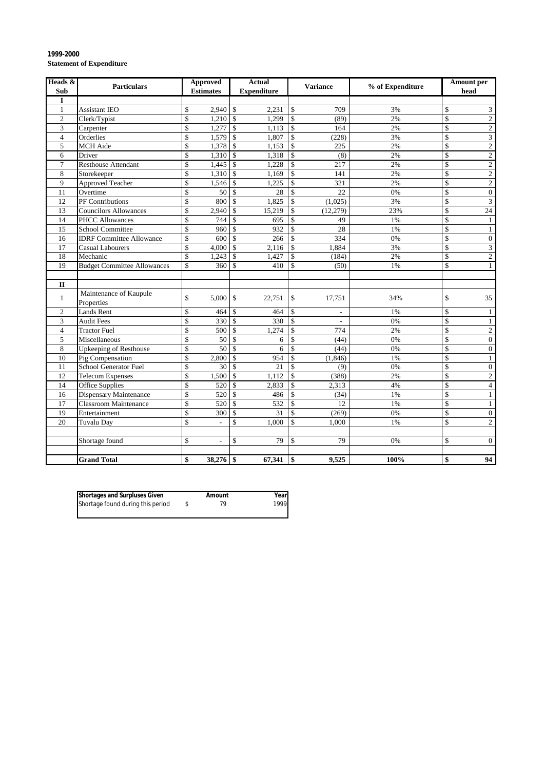| Heads &<br>Sub | <b>Particulars</b>                   | <b>Approved</b><br><b>Estimates</b>     |                          | <b>Actual</b><br><b>Expenditure</b> |                         | Variance                 | % of Expenditure |             | Amount per<br>head |
|----------------|--------------------------------------|-----------------------------------------|--------------------------|-------------------------------------|-------------------------|--------------------------|------------------|-------------|--------------------|
| I              |                                      |                                         |                          |                                     |                         |                          |                  |             |                    |
| $\mathbf{1}$   | <b>Assistant IEO</b>                 | $2,940$ \$<br>\$                        |                          | 2.231                               | \$                      | 709                      | 3%               | \$          | $\overline{3}$     |
| $\overline{c}$ | Clerk/Typist                         | \$<br>$1,210$ \$                        |                          | 1,299                               | \$                      | (89)                     | 2%               | $\mathbf S$ | $\overline{c}$     |
| 3              | Carpenter                            | \$<br>1,277                             | $\mathbf{\hat{S}}$       | 1.113                               | \$                      | 164                      | 2%               | \$          | $\overline{2}$     |
| $\overline{4}$ | Orderlies                            | 1.579<br>\$                             | $\overline{\mathcal{S}}$ | 1.807                               | $\mathbf S$             | (228)                    | 3%               | \$          | $\overline{3}$     |
| 5              | MCH Aide                             | \$<br>1,378                             | $\mathcal{S}$            | 1.153                               | $\mathbf{\hat{S}}$      | 225                      | 2%               | \$          | $\overline{c}$     |
| 6              | Driver                               | \$<br>1,310                             | $\mathbb{S}$             | 1,318                               | $\mathsf{\$}$           | (8)                      | 2%               | $\mathbf S$ | $\overline{2}$     |
| 7              | <b>Resthouse Attendant</b>           | \$<br>1,445                             | $\mathcal{S}$            | 1,228                               | $\mathbf{\hat{S}}$      | 217                      | 2%               | \$          | $\overline{c}$     |
| 8              | Storekeeper                          | \$<br>1,310                             | $\mathbf{\hat{S}}$       | 1,169                               | \$                      | 141                      | 2%               | \$          | $\overline{c}$     |
| 9              | Approved Teacher                     | \$<br>1,546                             | \$                       | 1,225                               | \$                      | 321                      | 2%               | \$          | $\overline{2}$     |
| 11             | Overtime                             | \$<br>50                                | $\mathcal{S}$            | 28                                  | $\mathbf S$             | 22                       | 0%               | $\mathbf S$ | $\overline{0}$     |
| 12             | PF Contributions                     | \$<br>800                               | $\mathcal{S}$            | 1.825                               | $\mathbf{\hat{S}}$      | (1.025)                  | 3%               | \$          | 3                  |
| 13             | <b>Councilors Allowances</b>         | \$<br>2.940                             | $\mathcal{S}$            | 15,219                              | $\mathbf S$             | (12, 279)                | 23%              | \$          | 24                 |
| 14             | <b>PHCC Allowances</b>               | \$<br>744                               | $\mathbf S$              | 695                                 | \$                      | 49                       | 1%               | \$          | $\mathbf{1}$       |
| 15             | <b>School Committee</b>              | $\mathbf S$<br>960                      | $\mathbf{\hat{S}}$       | 932                                 | \$                      | 28                       | 1%               | \$          | $\mathbf{1}$       |
| 16             | <b>IDRF</b> Committee Allowance      | \$<br>600                               | $\mathcal{S}$            | 266                                 | \$                      | 334                      | 0%               | \$          | $\overline{0}$     |
| 17             | <b>Casual Labourers</b>              | \$<br>4.000                             | $\mathbf{\hat{S}}$       | 2.116                               | $\mathsf{\$}$           | 1,884                    | 3%               | \$          | 3                  |
| 18             | Mechanic                             | \$<br>1,243                             | $\mathbf S$              | 1,427                               | \$                      | (184)                    | 2%               | \$          | $\overline{2}$     |
| 19             | <b>Budget Committee Allowances</b>   | $\mathbb{S}$<br>360                     | <sup>\$</sup>            | 410                                 | \$                      | (50)                     | 1%               | $\mathbf S$ | $\mathbf{1}$       |
|                |                                      |                                         |                          |                                     |                         |                          |                  |             |                    |
| $\mathbf{I}$   |                                      |                                         |                          |                                     |                         |                          |                  |             |                    |
| $\mathbf{1}$   | Maintenance of Kaupule<br>Properties | $\mathbf S$<br>5,000                    | $\mathcal{S}$            | 22,751                              | \$                      | 17,751                   | 34%              | \$          | 35                 |
| $\overline{c}$ | <b>Lands Rent</b>                    | $\mathbf S$<br>464                      | $\mathbf S$              | 464                                 | $\mathsf{\$}$           | $\overline{\phantom{a}}$ | 1%               | \$          | $\mathbf{1}$       |
| 3              | <b>Audit Fees</b>                    | \$<br>330                               | $\mathcal{S}$            | 330                                 | \$                      | $\mathcal{L}$            | 0%               | \$          | $\mathbf{1}$       |
| $\overline{4}$ | <b>Tractor Fuel</b>                  | \$<br>500                               | $\mathbf S$              | 1.274                               | \$                      | 774                      | 2%               | \$          | $\overline{c}$     |
| 5              | Miscellaneous                        | $\mathbf S$<br>50                       | $\mathbf S$              | 6                                   | \$                      | (44)                     | 0%               | $\mathbf S$ | $\overline{0}$     |
| 8              | Upkeeping of Resthouse               | 50<br>\$                                | $\mathbf S$              | 6                                   | $\overline{\mathbb{S}}$ | (44)                     | 0%               | \$          | $\overline{0}$     |
| 10             | Pig Compensation                     | \$<br>2,800                             | \$                       | 954                                 | \$                      | (1, 846)                 | 1%               | \$          | $\mathbf{1}$       |
| 11             | School Generator Fuel                | \$<br>30                                | $\mathcal{S}$            | 21                                  | \$                      | (9)                      | 0%               | \$          | $\boldsymbol{0}$   |
| 12             | <b>Telecom Expenses</b>              | \$<br>1,500                             | \$                       | 1,112                               | \$                      | (388)                    | 2%               | \$          | $\overline{2}$     |
| 14             | <b>Office Supplies</b>               | \$<br>520                               | $\mathcal{S}$            | 2.833                               | $\mathbf{\hat{S}}$      | 2,313                    | 4%               | \$          | $\overline{4}$     |
| 16             | <b>Dispensary Maintenance</b>        | $\mathbf S$<br>520                      | $\mathbf S$              | 486                                 | $\mathsf{\$}$           | (34)                     | 1%               | \$          | $\mathbf{1}$       |
| 17             | <b>Classroom Maintenance</b>         | $\mathbf S$<br>520                      | <sup>\$</sup>            | 532                                 | \$                      | 12                       | 1%               | \$          | $\mathbf{1}$       |
| 19             | Entertainment                        | $\mathbf S$<br>300                      | $\mathbb{S}$             | 31                                  | \$                      | (269)                    | 0%               | \$          | $\boldsymbol{0}$   |
| 20             | Tuvalu Day                           | \$                                      | \$                       | 1.000                               | \$                      | 1.000                    | 1%               | \$          | $\overline{2}$     |
|                |                                      |                                         |                          |                                     |                         |                          |                  |             |                    |
|                | Shortage found                       | $\mathbf S$<br>$\overline{\phantom{a}}$ | \$                       | 79                                  | \$                      | 79                       | 0%               | \$          | $\overline{0}$     |
|                |                                      |                                         |                          |                                     |                         |                          |                  |             |                    |
|                | <b>Grand Total</b>                   | \$<br>38,276                            | \$                       | 67.341                              | \$                      | 9,525                    | 100%             | \$          | 94                 |

### **1999-2000 Statement of Expenditure**

|    | Year |
|----|------|
| 79 | 1999 |
|    |      |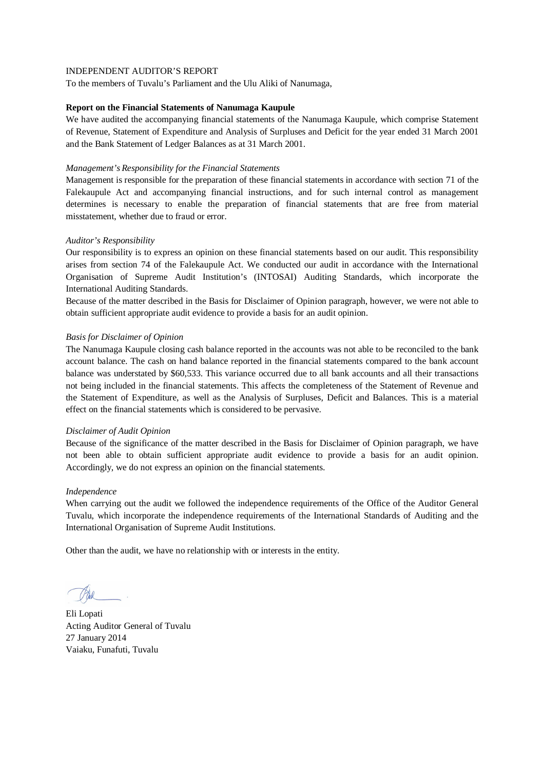To the members of Tuvalu's Parliament and the Ulu Aliki of Nanumaga,

### **Report on the Financial Statements of Nanumaga Kaupule**

We have audited the accompanying financial statements of the Nanumaga Kaupule, which comprise Statement of Revenue, Statement of Expenditure and Analysis of Surpluses and Deficit for the year ended 31 March 2001 and the Bank Statement of Ledger Balances as at 31 March 2001.

### *Management's Responsibility for the Financial Statements*

Management is responsible for the preparation of these financial statements in accordance with section 71 of the Falekaupule Act and accompanying financial instructions, and for such internal control as management determines is necessary to enable the preparation of financial statements that are free from material misstatement, whether due to fraud or error.

## *Auditor's Responsibility*

Our responsibility is to express an opinion on these financial statements based on our audit. This responsibility arises from section 74 of the Falekaupule Act. We conducted our audit in accordance with the International Organisation of Supreme Audit Institution's (INTOSAI) Auditing Standards, which incorporate the International Auditing Standards.

Because of the matter described in the Basis for Disclaimer of Opinion paragraph, however, we were not able to obtain sufficient appropriate audit evidence to provide a basis for an audit opinion.

## *Basis for Disclaimer of Opinion*

The Nanumaga Kaupule closing cash balance reported in the accounts was not able to be reconciled to the bank account balance. The cash on hand balance reported in the financial statements compared to the bank account balance was understated by \$60,533. This variance occurred due to all bank accounts and all their transactions not being included in the financial statements. This affects the completeness of the Statement of Revenue and the Statement of Expenditure, as well as the Analysis of Surpluses, Deficit and Balances. This is a material effect on the financial statements which is considered to be pervasive.

### *Disclaimer of Audit Opinion*

Because of the significance of the matter described in the Basis for Disclaimer of Opinion paragraph, we have not been able to obtain sufficient appropriate audit evidence to provide a basis for an audit opinion. Accordingly, we do not express an opinion on the financial statements.

### *Independence*

When carrying out the audit we followed the independence requirements of the Office of the Auditor General Tuvalu, which incorporate the independence requirements of the International Standards of Auditing and the International Organisation of Supreme Audit Institutions.

Eli Lopati Acting Auditor General of Tuvalu 27 January 2014 Vaiaku, Funafuti, Tuvalu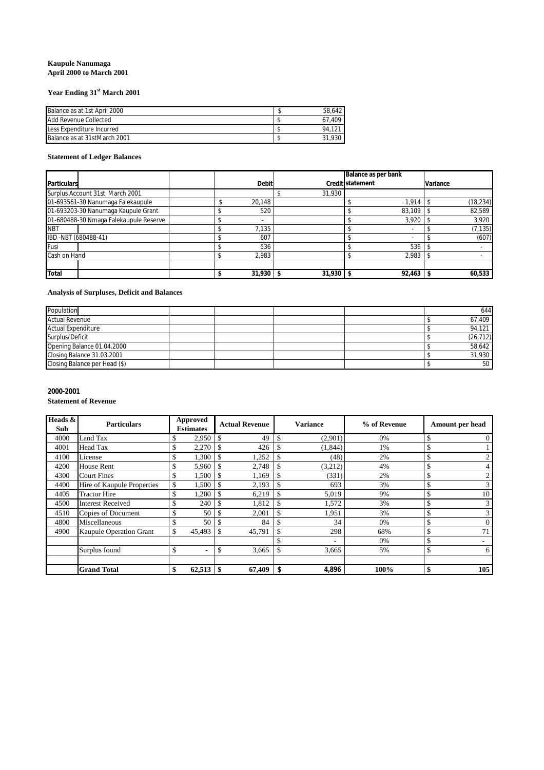### **Kaupule Nanumaga April 2000 to March 2001**

## **Year Ending 31st March 2001**

| Balance as at 1st April 2000 | 58.642 |
|------------------------------|--------|
| Add Revenue Collected        | 67.409 |
| Less Expenditure Incurred    | 94.121 |
| Balance as at 31stMarch 2001 | 31.930 |

### **Statement of Ledger Balances**

|                                        |  |              |             |                  | Balance as per bank |          |           |
|----------------------------------------|--|--------------|-------------|------------------|---------------------|----------|-----------|
| <b>Particulars</b>                     |  | <b>Debit</b> |             | Credit statement |                     | Variance |           |
| Surplus Account 31st March 2001        |  |              | 31,930      |                  |                     |          |           |
| 01-693561-30 Nanumaga Falekaupule      |  | 20.148       |             |                  | 1.914               |          | (18, 234) |
| 01-693203-30 Nanumaga Kaupule Grant    |  | 520          |             |                  | 83.109              |          | 82,589    |
| 01-680488-30 Nmaga Falekaupule Reserve |  | ۰            |             |                  | 3,920               |          | 3,920     |
| <b>NBT</b>                             |  | 7.135        |             |                  |                     |          | (7, 135)  |
| IBD -NBT (680488-41)                   |  | 607          |             |                  |                     |          | (607)     |
| Fusi                                   |  | 536          |             |                  | 536                 |          |           |
| Cash on Hand                           |  | 2,983        |             |                  | 2,983               |          |           |
|                                        |  |              |             |                  |                     |          |           |
| <b>Total</b>                           |  | $31,930$ \$  | $31,930$ \$ |                  | $92,463$ \$         |          | 60,533    |

### **Analysis of Surpluses, Deficit and Balances**

| Population                    |  |  | 644             |
|-------------------------------|--|--|-----------------|
| <b>Actual Revenue</b>         |  |  | 67,409          |
| <b>Actual Expenditure</b>     |  |  | 94.121          |
| Surplus/Deficit               |  |  | (26, 712)       |
| Opening Balance 01.04.2000    |  |  | 58.642          |
| Closing Balance 31.03.2001    |  |  | 31,930          |
| Closing Balance per Head (\$) |  |  | 50 <sup>1</sup> |

# **2000-2001**

## **Statement of Revenue**

| Heads &<br>Sub | <b>Particulars</b>             | Approved<br><b>Estimates</b> | <b>Actual Revenue</b> | <b>Variance</b> | % of Revenue | Amount per head      |
|----------------|--------------------------------|------------------------------|-----------------------|-----------------|--------------|----------------------|
| 4000           | Land Tax                       | 2,950                        | \$<br>49              | \$<br>(2,901)   | 0%           | 0                    |
| 4001           | Head Tax                       | 2,270                        | 426                   | (1, 844)        | 1%           |                      |
| 4100           | License                        | 1,300                        | 1,252                 | (48)            | 2%           | $\mathfrak{2}$       |
| 4200           | <b>House Rent</b>              | 5,960                        | \$<br>2,748           | \$<br>(3,212)   | 4%           | ch<br>4              |
| 4300           | <b>Court Fines</b>             | 1,500                        | \$<br>1,169           | \$<br>(331)     | 2%           | $\mathfrak{2}$<br>J. |
| 4400           | Hire of Kaupule Properties     | \$<br>1,500                  | \$.<br>2,193          | 693             | 3%           | 3                    |
| 4405           | <b>Tractor Hire</b>            | 1,200                        | 6,219                 | 5,019           | 9%           | 10                   |
| 4500           | <b>Interest Received</b>       | 240                          | 1,812                 | \$<br>1,572     | 3%           | 3                    |
| 4510           | Copies of Document             | 50                           | 2,001<br>\$.          | 1,951           | 3%           | 3                    |
| 4800           | Miscellaneous                  | 50                           | \$<br>84              | 34              | 0%           | $\overline{0}$       |
| 4900           | <b>Kaupule Operation Grant</b> | \$<br>45,493                 | \$<br>45,791          | 298             | 68%          | 71                   |
|                |                                |                              |                       | ٠               | 0%           |                      |
|                | Surplus found                  | \$                           | \$<br>3,665           | \$<br>3,665     | 5%           | 6<br>ъ               |
|                |                                |                              |                       |                 |              |                      |
|                | <b>Grand Total</b>             | 62,513                       | -\$<br>67,409         | \$<br>4,896     | 100%         | 105                  |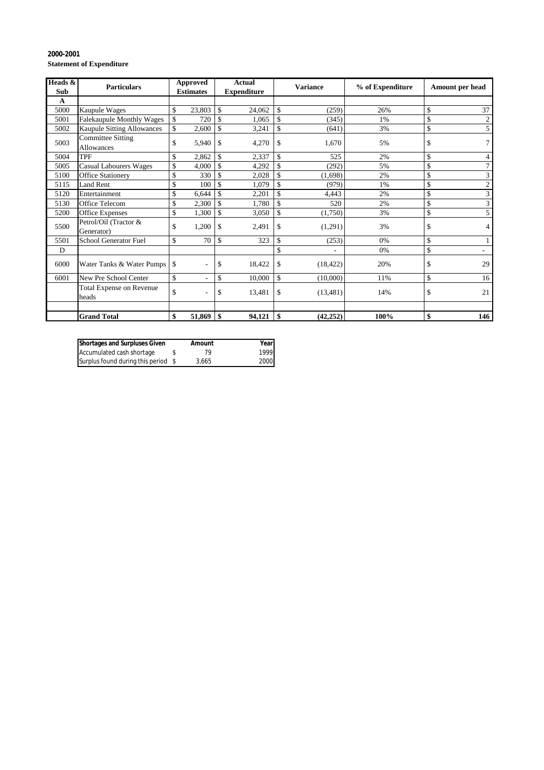### **2000-2001 Statement of Expenditure**

| Heads &<br>Sub | <b>Particulars</b>                            | <b>Approved</b><br><b>Estimates</b> |        |              |        | <b>Actual</b><br><b>Expenditure</b> | <b>Variance</b> |      |                      |  | % of Expenditure | Amount per head |  |
|----------------|-----------------------------------------------|-------------------------------------|--------|--------------|--------|-------------------------------------|-----------------|------|----------------------|--|------------------|-----------------|--|
| A              |                                               |                                     |        |              |        |                                     |                 |      |                      |  |                  |                 |  |
| 5000           | <b>Kaupule Wages</b>                          | \$                                  | 23,803 | \$           | 24,062 | \$                                  | (259)           | 26%  | \$<br>37             |  |                  |                 |  |
| 5001           | <b>Falekaupule Monthly Wages</b>              | \$                                  | 720    | \$           | 1,065  | \$                                  | (345)           | 1%   | \$<br>$\overline{c}$ |  |                  |                 |  |
| 5002           | Kaupule Sitting Allowances                    | \$                                  | 2,600  | \$           | 3,241  | \$                                  | (641)           | 3%   | \$<br>5              |  |                  |                 |  |
| 5003           | <b>Committee Sitting</b><br><b>Allowances</b> | \$                                  | 5,940  | \$           | 4,270  | \$                                  | 1,670           | 5%   | \$                   |  |                  |                 |  |
| 5004           | TPF                                           | \$                                  | 2,862  | $\mathbb{S}$ | 2,337  | \$                                  | 525             | 2%   | \$<br>4              |  |                  |                 |  |
| 5005           | <b>Casual Labourers Wages</b>                 | \$                                  | 4,000  | \$           | 4,292  | \$                                  | (292)           | 5%   | \$                   |  |                  |                 |  |
| 5100           | <b>Office Stationery</b>                      | \$                                  | 330    | \$           | 2,028  | \$                                  | (1,698)         | 2%   | \$<br>3              |  |                  |                 |  |
| 5115           | Land Rent                                     | \$                                  | 100    | \$           | 1,079  | \$                                  | (979)           | 1%   | \$<br>$\overline{2}$ |  |                  |                 |  |
| 5120           | Entertainment                                 | \$                                  | 6,644  | \$           | 2,201  | \$                                  | 4,443           | 2%   | \$<br>3              |  |                  |                 |  |
| 5130           | <b>Office Telecom</b>                         | \$                                  | 2,300  | \$           | 1,780  | \$                                  | 520             | 2%   | \$<br>3              |  |                  |                 |  |
| 5200           | <b>Office Expenses</b>                        | \$                                  | 1,300  | \$           | 3,050  | \$                                  | (1,750)         | 3%   | \$<br>5              |  |                  |                 |  |
| 5500           | Petrol/Oil (Tractor &<br>Generator)           | \$                                  | 1,200  | \$           | 2,491  | \$                                  | (1,291)         | 3%   | \$<br>4              |  |                  |                 |  |
| 5501           | School Generator Fuel                         | \$                                  | 70     | \$           | 323    | \$                                  | (253)           | 0%   | \$                   |  |                  |                 |  |
| D              |                                               |                                     |        |              |        | \$                                  |                 | 0%   | \$                   |  |                  |                 |  |
| 6000           | Water Tanks & Water Pumps                     | \$                                  | ٠      | \$           | 18,422 | \$                                  | (18, 422)       | 20%  | \$<br>29             |  |                  |                 |  |
| 6001           | New Pre School Center                         | \$                                  |        | \$           | 10,000 | \$                                  | (10,000)        | 11%  | \$<br>16             |  |                  |                 |  |
|                | Total Expense on Revenue<br>heads             | \$                                  |        | \$           | 13,481 | \$                                  | (13, 481)       | 14%  | \$<br>21             |  |                  |                 |  |
|                |                                               |                                     |        |              |        |                                     |                 |      |                      |  |                  |                 |  |
|                | <b>Grand Total</b>                            | \$                                  | 51,869 | \$           | 94,121 | \$                                  | (42, 252)       | 100% | \$<br>146            |  |                  |                 |  |

| <b>Shortages and Surpluses Given</b> | Amount | Yearl |
|--------------------------------------|--------|-------|
| Accumulated cash shortage            | 79     | 1999  |
| Surplus found during this period \$  | 3.665  | 2000  |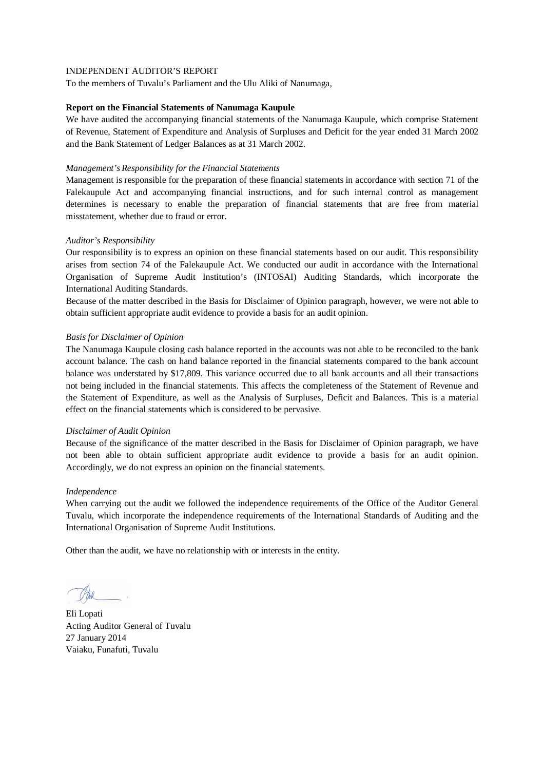To the members of Tuvalu's Parliament and the Ulu Aliki of Nanumaga,

### **Report on the Financial Statements of Nanumaga Kaupule**

We have audited the accompanying financial statements of the Nanumaga Kaupule, which comprise Statement of Revenue, Statement of Expenditure and Analysis of Surpluses and Deficit for the year ended 31 March 2002 and the Bank Statement of Ledger Balances as at 31 March 2002.

### *Management's Responsibility for the Financial Statements*

Management is responsible for the preparation of these financial statements in accordance with section 71 of the Falekaupule Act and accompanying financial instructions, and for such internal control as management determines is necessary to enable the preparation of financial statements that are free from material misstatement, whether due to fraud or error.

## *Auditor's Responsibility*

Our responsibility is to express an opinion on these financial statements based on our audit. This responsibility arises from section 74 of the Falekaupule Act. We conducted our audit in accordance with the International Organisation of Supreme Audit Institution's (INTOSAI) Auditing Standards, which incorporate the International Auditing Standards.

Because of the matter described in the Basis for Disclaimer of Opinion paragraph, however, we were not able to obtain sufficient appropriate audit evidence to provide a basis for an audit opinion.

## *Basis for Disclaimer of Opinion*

The Nanumaga Kaupule closing cash balance reported in the accounts was not able to be reconciled to the bank account balance. The cash on hand balance reported in the financial statements compared to the bank account balance was understated by \$17,809. This variance occurred due to all bank accounts and all their transactions not being included in the financial statements. This affects the completeness of the Statement of Revenue and the Statement of Expenditure, as well as the Analysis of Surpluses, Deficit and Balances. This is a material effect on the financial statements which is considered to be pervasive.

### *Disclaimer of Audit Opinion*

Because of the significance of the matter described in the Basis for Disclaimer of Opinion paragraph, we have not been able to obtain sufficient appropriate audit evidence to provide a basis for an audit opinion. Accordingly, we do not express an opinion on the financial statements.

### *Independence*

When carrying out the audit we followed the independence requirements of the Office of the Auditor General Tuvalu, which incorporate the independence requirements of the International Standards of Auditing and the International Organisation of Supreme Audit Institutions.

Eli Lopati Acting Auditor General of Tuvalu 27 January 2014 Vaiaku, Funafuti, Tuvalu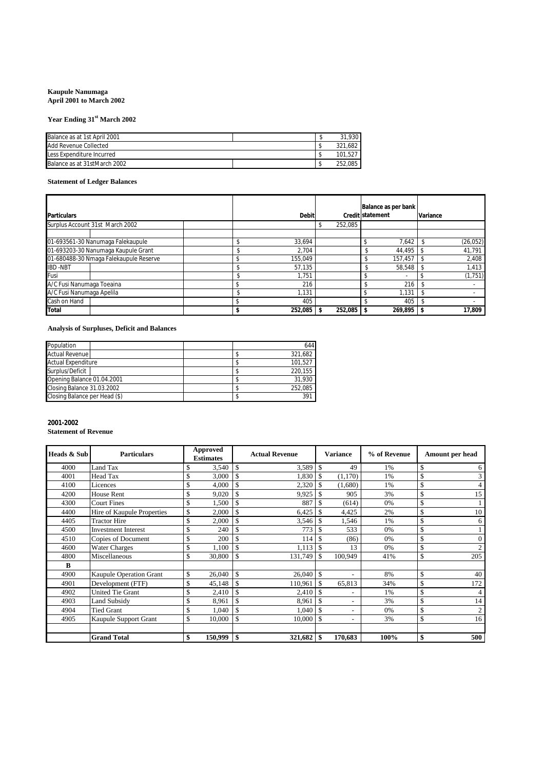### **Kaupule Nanumaga April 2001 to March 2002**

## **Year Ending 31st March 2002**

| Balance as at 1st April 2001 |  | 31.930  |
|------------------------------|--|---------|
| Add Revenue Collected        |  | 321.682 |
| Less Expenditure Incurred    |  | 101.527 |
| Balance as at 31stMarch 2002 |  | 252.085 |

## **Statement of Ledger Balances**

| <b>Particulars</b>        |                                        | <b>Debit</b> |              | Balance as per bank<br>Credit statement | Variance                 |  |           |
|---------------------------|----------------------------------------|--------------|--------------|-----------------------------------------|--------------------------|--|-----------|
|                           | Surplus Account 31st March 2002        |              |              | 252,085                                 |                          |  |           |
|                           | 01-693561-30 Nanumaga Falekaupule      |              | 33.694       |                                         | 7,642                    |  | (26, 052) |
|                           | 01-693203-30 Nanumaga Kaupule Grant    |              | 2.704        |                                         | 44,495                   |  | 41,791    |
|                           | 01-680488-30 Nmaga Falekaupule Reserve |              | 155,049      |                                         | 157,457                  |  | 2,408     |
| <b>IBD-NBT</b>            |                                        |              | 57.135       |                                         | 58,548                   |  | 1,413     |
| Fusi                      |                                        |              | 1.751        |                                         | $\overline{\phantom{a}}$ |  | (1,751)   |
| A/C Fusi Nanumaga Toeaina |                                        |              | 216          |                                         | 216                      |  |           |
| A/C Fusi Nanumaga Apelila |                                        |              | 1.131        |                                         | 1.131                    |  |           |
| Cash on Hand              |                                        |              | 405          |                                         | 405                      |  |           |
| <b>Total</b>              |                                        |              | $252,085$ \$ | 252,085                                 | 269,895                  |  | 17,809    |

## **Analysis of Surpluses, Deficit and Balances**

| Population                    |  | 644     |
|-------------------------------|--|---------|
| <b>Actual Revenue</b>         |  | 321.682 |
| <b>Actual Expenditure</b>     |  | 101.527 |
| Surplus/Deficit               |  | 220.155 |
| Opening Balance 01.04.2001    |  | 31,930  |
| Closing Balance 31.03.2002    |  | 252.085 |
| Closing Balance per Head (\$) |  | 391     |

## **2001-2002**

### **Statement of Revenue**

| Heads & Sub | <b>Particulars</b>             |    | Approved<br><b>Estimates</b> |                    | <b>Actual Revenue</b> |               | <b>Variance</b>          | % of Revenue | Amount per head      |
|-------------|--------------------------------|----|------------------------------|--------------------|-----------------------|---------------|--------------------------|--------------|----------------------|
| 4000        | Land Tax                       | \$ | 3,540                        | \$                 | 3,589                 | S             | 49                       | 1%           | \$<br>6              |
| 4001        | Head Tax                       | \$ | 3,000                        | \$                 | 1.830                 | S             | (1,170)                  | 1%           | \$<br>3              |
| 4100        | Licences                       | \$ | 4,000                        | \$.                | 2,320                 |               | (1,680)                  | 1%           | \$<br>4              |
| 4200        | House Rent                     | \$ | 9,020                        | \$                 | 9,925                 | \$            | 905                      | 3%           | \$<br>15             |
| 4300        | <b>Court Fines</b>             | \$ | 1,500                        | \$                 | 887                   | \$            | (614)                    | 0%           | \$<br>1              |
| 4400        | Hire of Kaupule Properties     | \$ | 2,000                        | \$                 | 6,425                 | \$            | 4,425                    | 2%           | \$<br>10             |
| 4405        | <b>Tractor Hire</b>            | \$ | 2,000                        | \$                 | 3,546                 | <sup>\$</sup> | 1,546                    | 1%           | \$<br>6              |
| 4500        | <b>Investment Interest</b>     | \$ | 240                          | \$                 | 773                   | \$            | 533                      | 0%           | \$<br>$\mathbf{1}$   |
| 4510        | Copies of Document             | \$ | 200                          | \$                 | 114                   | S             | (86)                     | 0%           | \$<br>$\overline{0}$ |
| 4600        | <b>Water Charges</b>           | \$ | 1,100                        | \$                 | 1,113                 | <sup>\$</sup> | 13                       | 0%           | \$<br>$\overline{c}$ |
| 4800        | Miscellaneous                  | \$ | 30.800                       | $\mathcal{S}$      | 131,749               | \$            | 100.949                  | 41%          | \$<br>205            |
| B           |                                |    |                              |                    |                       |               |                          |              |                      |
| 4900        | <b>Kaupule Operation Grant</b> | \$ | 26,040                       | \$                 | 26,040                | $\mathbf{s}$  | $\overline{a}$           | 8%           | \$<br>40             |
| 4901        | Development (FTF)              | \$ | 45,148                       | \$                 | 110,961               | $\mathcal{S}$ | 65,813                   | 34%          | \$<br>172            |
| 4902        | <b>United Tie Grant</b>        | \$ | 2,410                        | \$                 | 2,410                 | <sup>\$</sup> | -                        | 1%           | \$<br>$\overline{4}$ |
| 4903        | Land Subsidy                   | \$ | 8,961                        | $\mathbf{\hat{S}}$ | 8,961                 | \$            | -                        | 3%           | \$<br>14             |
| 4904        | <b>Tied Grant</b>              | \$ | 1,040                        | \$.                | 1,040                 | \$            | $\overline{\phantom{0}}$ | 0%           | \$<br>2              |
| 4905        | Kaupule Support Grant          | \$ | 10,000                       | $\mathcal{S}$      | 10.000                | S             | -                        | 3%           | \$<br>16             |
|             |                                |    |                              |                    |                       |               |                          |              |                      |
|             | <b>Grand Total</b>             | \$ | 150,999                      | <b>S</b>           | $321,682$ \$          |               | 170,683                  | 100%         | \$<br>500            |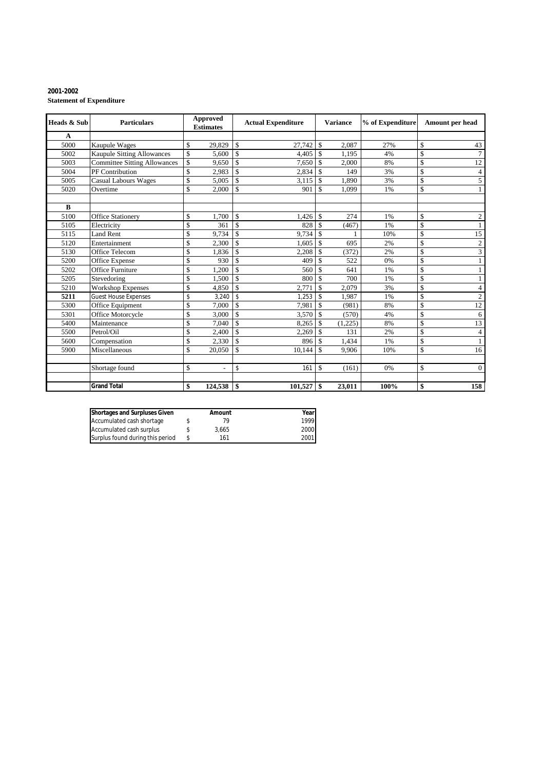### **2001-2002 Statement of Expenditure**

| <b>Heads &amp; Sub</b> | <b>Particulars</b>                  |          | Approved<br><b>Estimates</b> |                                     | <b>Actual Expenditure</b> |                                | % of Expenditure<br><b>Variance</b> |           |          |                                  | Amount per head |
|------------------------|-------------------------------------|----------|------------------------------|-------------------------------------|---------------------------|--------------------------------|-------------------------------------|-----------|----------|----------------------------------|-----------------|
| $\mathbf A$            |                                     |          |                              |                                     |                           |                                |                                     |           |          |                                  |                 |
| 5000                   | <b>Kaupule Wages</b>                | \$       | 29,829                       | $\mathbf{s}$                        | 27,742                    | l \$                           | 2,087                               | 27%       | \$       | 43                               |                 |
| 5002                   | <b>Kaupule Sitting Allowances</b>   | \$       | 5,600                        | $\mathbf S$                         | 4,405                     | $\mathcal{S}$                  | 1,195                               | 4%        | \$       | $\tau$                           |                 |
| 5003                   | <b>Committee Sitting Allowances</b> | \$       | 9,650                        | $\mathbf S$                         | 7,650                     | $\mathbf S$                    | 2,000                               | 8%        | \$       | $\overline{12}$                  |                 |
| 5004                   | PF Contribution                     | \$       | 2,983                        | $\mathcal{S}$                       | 2,834                     | $\mathbf{s}$                   | 149                                 | 3%        | \$       | $\overline{4}$                   |                 |
| 5005                   | <b>Casual Labours Wages</b>         | \$       | 5,005                        | $\mathbf S$                         | 3,115                     | $\overline{\mathbf{S}}$        | 1,890                               | 3%        | \$       | 5                                |                 |
| 5020                   | Overtime                            | \$       | 2.000                        | $\mathcal{S}$                       | 901                       | <sup>\$</sup>                  | 1.099                               | 1%        | \$       |                                  |                 |
|                        |                                     |          |                              |                                     |                           |                                |                                     |           |          |                                  |                 |
| $\bf{B}$               |                                     |          |                              |                                     |                           |                                |                                     |           |          |                                  |                 |
| 5100                   | <b>Office Stationery</b>            | \$       | 1.700                        | $\mathbf{s}$                        | 1,426                     | $\mathbf{s}$                   | 274                                 | 1%        | \$       | 2                                |                 |
| 5105                   | Electricity                         | \$       | 361<br>9.734                 | $\mathbf S$<br>$\mathbf S$          | 828<br>9.734              | $\mathbf{s}$                   | (467)                               | 1%<br>10% | \$       | $\overline{15}$                  |                 |
| 5115                   | <b>Land Rent</b>                    | \$       |                              |                                     |                           | <sup>\$</sup>                  |                                     |           | \$       |                                  |                 |
| 5120                   | Entertainment                       | \$       | 2,300                        | $\mathbf{s}$<br>$\mathbf S$         | 1,605                     | -S                             | 695                                 | 2%        | \$       | $\overline{c}$<br>$\overline{3}$ |                 |
| 5130                   | <b>Office Telecom</b>               | \$       | 1,836                        |                                     | 2,208                     | $\mathbf S$                    | (372)                               | 2%        | \$       |                                  |                 |
| 5200<br>5202           | Office Expense<br>Office Furniture  | \$<br>\$ | 930<br>1.200                 | $\mathcal{S}$<br>$\mathbf{\hat{S}}$ | 409<br>560                | <sup>\$</sup><br><sup>\$</sup> | 522<br>641                          | 0%        | \$<br>\$ |                                  |                 |
|                        |                                     |          |                              |                                     |                           |                                |                                     | 1%        |          | $\mathbf{1}$                     |                 |
| 5205                   | Stevedoring                         | \$       | 1,500                        | $\mathbf{s}$                        | 800                       | <sup>\$</sup>                  | 700                                 | 1%        | \$       |                                  |                 |
| 5210                   | Workshop Expenses                   | \$       | 4,850                        | \$                                  | 2,771                     | <sup>\$</sup>                  | 2,079                               | 3%        | \$       | $\overline{4}$                   |                 |
| 5211                   | <b>Guest House Expenses</b>         | \$       | 3,240                        | $\mathbf{\hat{S}}$                  | 1,253                     | $\overline{\mathbf{s}}$        | 1,987                               | 1%        | \$       | $\overline{c}$                   |                 |
| 5300                   | Office Equipment                    | \$       | 7.000                        | \$.                                 | 7,981                     | $\mathbf{s}$                   | (981)                               | 8%        | \$       | $\overline{12}$                  |                 |
| 5301                   | Office Motorcycle                   | \$       | 3,000                        | $\mathbf{s}$                        | 3,570                     | $\mathcal{S}$                  | (570)                               | 4%        | \$       | 6                                |                 |
| 5400                   | Maintenance                         | \$       | 7,040                        | $\mathbb S$                         | 8.265                     | <sup>\$</sup>                  | (1,225)                             | 8%        | \$       | 13                               |                 |
| 5500                   | Petrol/Oil                          | \$       | 2,400                        | $\mathbf{s}$                        | 2,269                     | -\$                            | 131                                 | 2%        | \$       | $\overline{4}$                   |                 |
| 5600                   | Compensation                        | \$       | 2,330                        | \$.                                 | 896                       | $\mathcal{S}$                  | 1,434                               | 1%        | \$       | $\mathbf{1}$                     |                 |
| 5900                   | Miscellaneous                       | \$       | 20,050                       | $\mathbf S$                         | 10,144                    | -S                             | 9,906                               | 10%       | \$       | 16                               |                 |
|                        | Shortage found                      | \$       | $\overline{a}$               | \$                                  | 161                       | <sup>\$</sup>                  | (161)                               | 0%        | \$       | $\Omega$                         |                 |
|                        |                                     |          |                              |                                     |                           |                                |                                     |           |          |                                  |                 |
|                        | <b>Grand Total</b>                  | \$       | 124,538                      | \$                                  | $101,527$ \$              |                                | 23,011                              | 100%      | \$       | 158                              |                 |

| <b>Shortages and Surpluses Given</b> | Amount | Yearl |
|--------------------------------------|--------|-------|
| Accumulated cash shortage            |        | 1999  |
| Accumulated cash surplus             | 3.665  | 2000  |
| Surplus found during this period     | 161    | 2001  |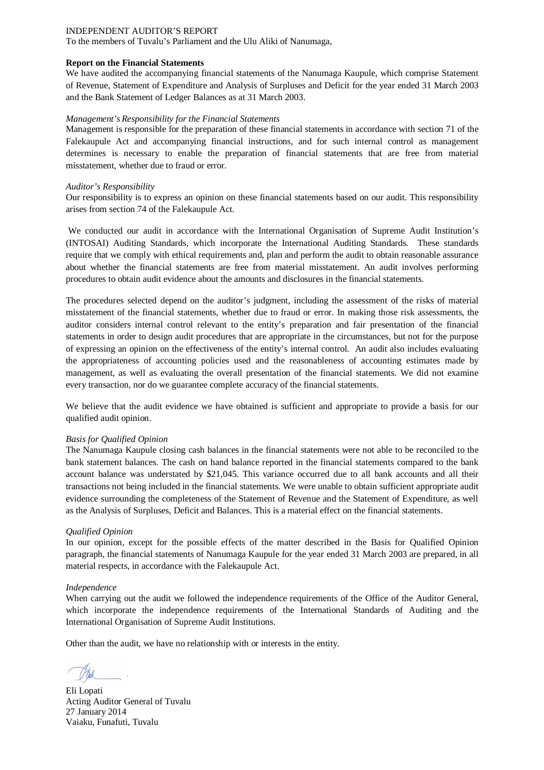To the members of Tuvalu's Parliament and the Ulu Aliki of Nanumaga,

### **Report on the Financial Statements**

We have audited the accompanying financial statements of the Nanumaga Kaupule, which comprise Statement of Revenue, Statement of Expenditure and Analysis of Surpluses and Deficit for the year ended 31 March 2003 and the Bank Statement of Ledger Balances as at 31 March 2003.

### *Management's Responsibility for the Financial Statements*

Management is responsible for the preparation of these financial statements in accordance with section 71 of the Falekaupule Act and accompanying financial instructions, and for such internal control as management determines is necessary to enable the preparation of financial statements that are free from material misstatement, whether due to fraud or error.

### *Auditor's Responsibility*

Our responsibility is to express an opinion on these financial statements based on our audit. This responsibility arises from section 74 of the Falekaupule Act.

We conducted our audit in accordance with the International Organisation of Supreme Audit Institution's (INTOSAI) Auditing Standards, which incorporate the International Auditing Standards. These standards require that we comply with ethical requirements and, plan and perform the audit to obtain reasonable assurance about whether the financial statements are free from material misstatement. An audit involves performing procedures to obtain audit evidence about the amounts and disclosures in the financial statements.

The procedures selected depend on the auditor's judgment, including the assessment of the risks of material misstatement of the financial statements, whether due to fraud or error. In making those risk assessments, the auditor considers internal control relevant to the entity's preparation and fair presentation of the financial statements in order to design audit procedures that are appropriate in the circumstances, but not for the purpose of expressing an opinion on the effectiveness of the entity's internal control. An audit also includes evaluating the appropriateness of accounting policies used and the reasonableness of accounting estimates made by management, as well as evaluating the overall presentation of the financial statements. We did not examine every transaction, nor do we guarantee complete accuracy of the financial statements.

We believe that the audit evidence we have obtained is sufficient and appropriate to provide a basis for our qualified audit opinion.

### *Basis for Qualified Opinion*

The Nanumaga Kaupule closing cash balances in the financial statements were not able to be reconciled to the bank statement balances. The cash on hand balance reported in the financial statements compared to the bank account balance was understated by \$21,045. This variance occurred due to all bank accounts and all their transactions not being included in the financial statements. We were unable to obtain sufficient appropriate audit evidence surrounding the completeness of the Statement of Revenue and the Statement of Expenditure, as well as the Analysis of Surpluses, Deficit and Balances. This is a material effect on the financial statements.

### *Qualified Opinion*

In our opinion, except for the possible effects of the matter described in the Basis for Qualified Opinion paragraph, the financial statements of Nanumaga Kaupule for the year ended 31 March 2003 are prepared, in all material respects, in accordance with the Falekaupule Act.

### *Independence*

When carrying out the audit we followed the independence requirements of the Office of the Auditor General, which incorporate the independence requirements of the International Standards of Auditing and the International Organisation of Supreme Audit Institutions.

Eli Lopati Acting Auditor General of Tuvalu 27 January 2014 Vaiaku, Funafuti, Tuvalu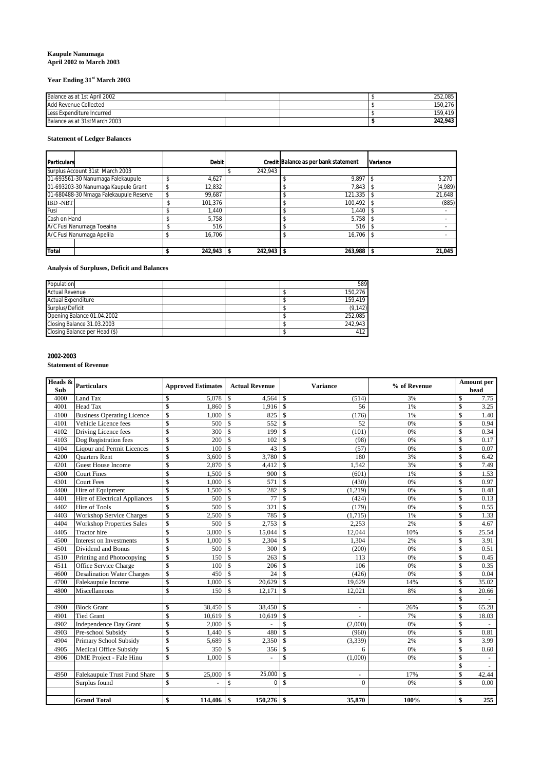### **Kaupule Nanumaga April 2002 to March 2003**

## **Year Ending 31st March 2003**

| Balance as at 1st April 2002 |  | 252.085 |
|------------------------------|--|---------|
| Add Revenue Collected        |  | 150.276 |
| Less Expenditure Incurred    |  | 159.419 |
| Balance as at 31stMarch 2003 |  | 242.943 |

### **Statement of Ledger Balances**

| <b>Particulars</b>                     | <b>Debit</b> |         | Credit Balance as per bank statement | Variance |
|----------------------------------------|--------------|---------|--------------------------------------|----------|
| Surplus Account 31st March 2003        |              | 242,943 |                                      |          |
| 01-693561-30 Nanumaga Falekaupule      | 4,627        |         | 9,897                                | 5,270    |
| 01-693203-30 Nanumaga Kaupule Grant    | 12,832       |         | 7.843                                | (4,989)  |
| 01-680488-30 Nmaga Falekaupule Reserve | 99,687       |         | 121,335                              | 21,648   |
| <b>IBD-NBT</b>                         | 101,376      |         | 100,492                              | (885)    |
| Fusi                                   | 1,440        |         | 1,440                                |          |
| Cash on Hand                           | 5,758        |         | 5,758                                |          |
| A/C Fusi Nanumaga Toeaina              | 516          |         | 516                                  |          |
| A/C Fusi Nanumaga Apelila              | 16,706       |         | 16,706                               |          |
|                                        |              |         |                                      |          |
| <b>Total</b>                           | 242,943      | 242,943 | 263,988                              | 21,045   |

## **Analysis of Surpluses, Deficit and Balances**

| Population                    |  | 589      |
|-------------------------------|--|----------|
| <b>Actual Revenue</b>         |  | 150.276  |
| <b>Actual Expenditure</b>     |  | 159.419  |
| Surplus/Deficit               |  | (9, 142) |
| Opening Balance 01.04.2002    |  | 252.085  |
| Closing Balance 31.03.2003    |  | 242.943  |
| Closing Balance per Head (\$) |  | 412      |

## **2002-2003**

**Statement of Revenue**

| Heads & | <b>Particulars</b>                | <b>Approved Estimates</b>        | <b>Actual Revenue</b>          | <b>Variance</b>                 | % of Revenue | Amount per                        |
|---------|-----------------------------------|----------------------------------|--------------------------------|---------------------------------|--------------|-----------------------------------|
| Sub     |                                   |                                  |                                |                                 |              | head                              |
| 4000    | Land Tax                          | \$<br>5.078                      | $\mathbf S$<br>4,564           | ${\mathbb S}$<br>(514)          | 3%           | $\mathbb{S}$<br>7.75              |
| 4001    | <b>Head Tax</b>                   | \$<br>1,860                      | $\mathbb{S}$<br>$1,916$ \$     | 56                              | 1%           | $\mathbb{S}$<br>3.25              |
| 4100    | <b>Business Operating Licence</b> | $\overline{\mathbb{S}}$<br>1,000 | $\overline{\mathbf{s}}$<br>825 | $\mathcal{S}$<br>(176)          | 1%           | $\overline{\mathcal{S}}$<br>1.40  |
| 4101    | Vehicle Licence fees              | \$<br>500                        | $\mathbf S$<br>552             | \$<br>52                        | 0%           | $\overline{\mathcal{S}}$<br>0.94  |
| 4102    | Driving Licence fees              | \$<br>300                        | $\mathbf S$<br>199             | \$<br>(101)                     | 0%           | $\overline{\mathbb{S}}$<br>0.34   |
| 4103    | Dog Registration fees             | \$<br>200                        | $\mathbf{\hat{S}}$<br>102      | $\mathbf{\hat{S}}$<br>(98)      | 0%           | $\overline{\mathbb{S}}$<br>0.17   |
| 4104    | <b>Liqour and Permit Licences</b> | $\mathbb{S}$<br>100              | $\mathbf S$<br>43              | \$<br>(57)                      | 0%           | \$<br>0.07                        |
| 4200    | <b>Ouarters Rent</b>              | $\overline{\mathbb{S}}$<br>3,600 | $\mathbf S$<br>3,780           | 180<br><sup>\$</sup>            | 3%           | $\overline{\mathcal{S}}$<br>6.42  |
| 4201    | <b>Guest House Income</b>         | $\mathbb{S}$<br>2,870            | \$<br>4,412                    | 1,542<br>S                      | 3%           | $\mathcal{S}$<br>7.49             |
| 4300    | <b>Court Fines</b>                | $\mathbb{S}$<br>1,500            | $\mathbf{\hat{S}}$<br>900      | ${\mathbb S}$<br>(601)          | 1%           | $\mathcal{S}$<br>1.53             |
| 4301    | <b>Court Fees</b>                 | \$<br>1,000                      | $\mathbf S$<br>571             | $\mathbf{\hat{S}}$<br>(430)     | 0%           | \$<br>0.97                        |
| 4400    | Hire of Equipment                 | \$<br>1,500                      | $\mathbf S$<br>282             | (1,219)<br>\$                   | 0%           | \$<br>0.48                        |
| 4401    | Hire of Electrical Appliances     | \$<br>500                        | $\overline{\mathcal{S}}$<br>77 | $\mathbf S$<br>(424)            | 0%           | \$<br>0.13                        |
| 4402    | Hire of Tools                     | \$<br>500                        | $\mathbf S$<br>321             | $\mathbb{S}$<br>(179)           | 0%           | $\mathbb{S}$<br>0.55              |
| 4403    | <b>Workshop Service Charges</b>   | $\mathbb{S}$<br>2,500            | $\mathbf S$<br>785             | ${\mathbb S}$<br>(1,715)        | 1%           | $\mathbf S$<br>1.33               |
| 4404    | <b>Workshop Properties Sales</b>  | $\mathbb{S}$<br>500              | $\mathbf S$<br>2,753           | \$.<br>2,253                    | 2%           | $\mathcal{S}$<br>4.67             |
| 4405    | <b>Tractor</b> hire               | \$<br>3,000                      | $\mathbf{\hat{S}}$<br>15.044   | \$.<br>12,044                   | 10%          | $\overline{\mathbb{S}}$<br>25.54  |
| 4500    | Interest on Investments           | \$<br>1,000                      | $\mathbf S$<br>2,304           | 1,304<br>\$.                    | 2%           | $\overline{\mathbb{S}}$<br>3.91   |
| 4501    | Dividend and Bonus                | \$<br>500                        | $\mathbf S$<br>300             | S<br>(200)                      | 0%           | $\mathbb{S}$<br>0.51              |
| 4510    | Printing and Photocopying         | $\mathbb{S}$<br>150              | $\mathbf S$<br>263             | $\mathbf{s}$<br>113             | 0%           | $\mathbb{S}$<br>0.45              |
| 4511    | Office Service Charge             | $\overline{\mathbb{S}}$<br>100   | $\mathbf S$<br>206             | 106<br>S                        | 0%           | $\mathbb{S}$<br>0.35              |
| 4600    | <b>Desalination Water Charges</b> | \$<br>450                        | $\mathbf S$<br>24              | \$<br>(426)                     | 0%           | $\mathbb{S}$<br>0.04              |
| 4700    | Falekaupule Income                | \$<br>1,000                      | $\mathbf{\hat{S}}$<br>20,629   | 19,629<br>S                     | 14%          | \$<br>35.02                       |
| 4800    | Miscellaneous                     | \$<br>150                        | $\mathbf S$<br>12.171          | $\mathbf{\hat{S}}$<br>12.021    | 8%           | \$<br>20.66                       |
|         |                                   |                                  |                                |                                 |              | $\mathbb{S}$                      |
| 4900    | <b>Block Grant</b>                | \$<br>38,450                     | \$<br>38,450                   | S<br>$\blacksquare$             | 26%          | $\overline{\mathcal{S}}$<br>65.28 |
| 4901    | <b>Tied Grant</b>                 | \$<br>10,619                     | $\mathbf S$<br>10,619          | ${\mathbb S}$                   | 7%           | $\mathcal{S}$<br>18.03            |
| 4902    | <b>Independence Day Grant</b>     | \$<br>2.000                      | $\mathbf S$<br>÷               | $\mathbf{s}$<br>(2,000)         | 0%           | \$                                |
| 4903    | Pre-school Subsidy                | \$<br>1.440                      | $\mathbf{\hat{S}}$<br>480      | (960)<br>\$                     | 0%           | $\mathbf S$<br>0.81               |
| 4904    | Primary School Subsidy            | \$<br>5,689                      | $\mathbf S$<br>2,350           | (3, 339)<br><b>S</b>            | 2%           | $\mathcal{S}$<br>3.99             |
| 4905    | <b>Medical Office Subsidy</b>     | $\mathbb{S}$<br>350              | \$<br>356                      | S<br>6                          | 0%           | $\overline{\mathcal{S}}$<br>0.60  |
| 4906    | DME Project - Fale Hinu           | $\mathbf S$<br>1,000             | $\mathbf S$                    | $\mathbb{S}$<br>(1,000)         | 0%           | $\mathbf S$                       |
|         |                                   |                                  |                                |                                 |              | $\mathbb{S}$                      |
| 4950    | Falekaupule Trust Fund Share      | \$<br>25,000                     | \$<br>25,000                   | <sup>\$</sup><br>$\overline{a}$ | 17%          | \$<br>42.44                       |
|         | Surplus found                     | \$<br>$\overline{a}$             | \$<br>$\mathbf 0$              | S<br>$\overline{0}$             | 0%           | $\mathbf S$<br>0.00               |
|         |                                   |                                  |                                |                                 |              |                                   |
|         | <b>Grand Total</b>                | \$<br>114,406                    | \$<br>150,276                  | <sup>\$</sup><br>35,870         | 100%         | 255<br>\$                         |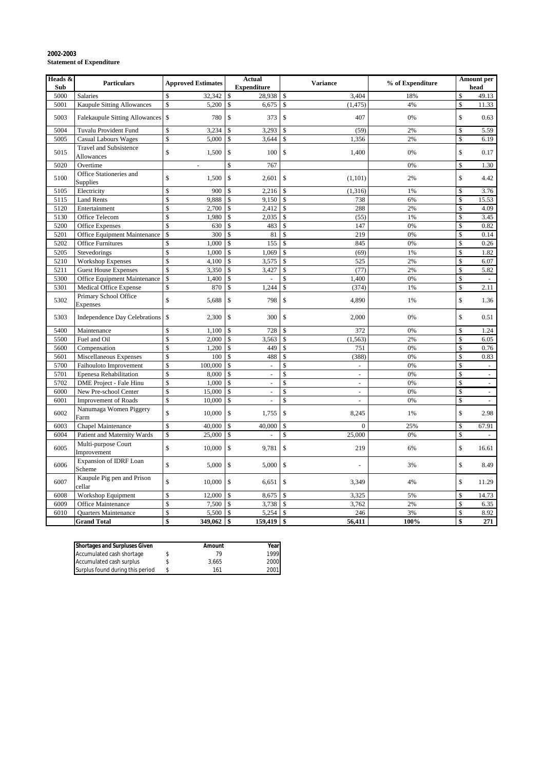| Heads &<br>Sub | <b>Particulars</b>                                 | <b>Approved Estimates</b>          | <b>Actual</b><br><b>Expenditure</b> | <b>Variance</b>                  | % of Expenditure | <b>Amount per</b><br>head                 |
|----------------|----------------------------------------------------|------------------------------------|-------------------------------------|----------------------------------|------------------|-------------------------------------------|
| 5000           | Salaries                                           | \$<br>32,342                       | 28,938<br><sup>\$</sup>             | $\mathbb{S}$<br>3,404            | 18%              | \$<br>49.13                               |
| 5001           | Kaupule Sitting Allowances                         | \$<br>5,200                        | \$<br>6,675                         | $\mathbf S$<br>(1, 475)          | 4%               | \$<br>11.33                               |
| 5003           | <b>Falekaupule Sitting Allowances</b>              | $\mathbb{S}$<br>780                | \$<br>373                           | \$<br>407                        | 0%               | $\mathbb S$<br>0.63                       |
| 5004           | <b>Tuvalu Provident Fund</b>                       | \$<br>3,234                        | \$<br>3,293                         | \$<br>(59)                       | 2%               | \$<br>5.59                                |
| 5005           | <b>Casual Labours Wages</b>                        | \$<br>5,000                        | 3,644<br>\$                         | 1,356<br>\$                      | 2%               | \$<br>6.19                                |
| 5015           | <b>Travel and Subsistence</b><br><b>Allowances</b> | \$<br>1,500                        | $\mathcal{S}$<br>100                | $\mathbf{\hat{S}}$<br>1,400      | 0%               | \$<br>0.17                                |
| 5020           | Overtime                                           | $\overline{\phantom{a}}$           | \$<br>767                           |                                  | 0%               | $\mathbb{S}$<br>1.30                      |
| 5100           | Office Stationeries and<br>Supplies                | \$<br>1,500                        | \$<br>2,601                         | $\mathbb{S}$<br>(1, 101)         | 2%               | \$<br>4.42                                |
| 5105           | Electricity                                        | \$<br>900                          | 2,216<br>\$                         | S<br>(1, 316)                    | 1%               | \$<br>3.76                                |
| 5115           | <b>Land Rents</b>                                  | \$<br>9,888                        | \$<br>9,150                         | $\mathbb{S}$<br>738              | 6%               | \$<br>15.53                               |
| 5120           | Entertainment                                      | \$<br>2,700                        | 2,412<br>\$                         | 288<br>$\mathbb{S}$              | 2%               | \$<br>4.09                                |
| 5130           | Office Telecom                                     | \$<br>1,980                        | \$<br>2,035                         | $\mathbb{S}$<br>(55)             | 1%               | \$<br>3.45                                |
| 5200           | Office Expenses                                    | \$<br>630                          | \$<br>483                           | \$<br>147                        | 0%               | \$<br>0.82                                |
| 5201           | Office Equipment Maintenance                       | $\mathbb{S}$<br>300                | \$<br>81                            | 219<br>$\mathbf S$               | 0%               | $\overline{\mathbb{S}}$<br>0.14           |
| 5202           | <b>Office Furnitures</b>                           | \$<br>1,000                        | 155<br>\$                           | \$<br>845                        | 0%               | \$<br>0.26                                |
| 5205           | Stevedorings                                       | \$<br>1,000                        | \$<br>1,069                         | \$<br>(69)                       | 1%               | \$<br>1.82                                |
| 5210           | <b>Workshop Expenses</b>                           | \$<br>4,100                        | 3,575<br>\$                         | $\mathbf S$<br>525               | 2%               | \$<br>6.07                                |
| 5211           | <b>Guest House Expenses</b>                        | \$<br>3,350                        | 3,427<br>\$                         | $\mathbf S$<br>(77)              | 2%               | $\mathbb{S}$<br>5.82                      |
| 5300           | Office Equipment Maintenance                       | \$<br>1,400                        | \$                                  | \$<br>1,400                      | 0%               | \$                                        |
| 5301           | Medical Office Expense                             | \$<br>870                          | \$<br>1,244                         | $\mathbb{S}$<br>(374)            | 1%               | \$<br>2.11                                |
| 5302           | Primary School Office<br>Expenses                  | \$<br>5,688                        | $\mathsf{\$}$<br>798                | $\mathbb{S}$<br>4,890            | 1%               | \$<br>1.36                                |
| 5303           | Independence Day Celebrations                      | $\mathcal{S}$<br>2,300             | $\mathcal{S}$<br>300                | $\mathbb{S}$<br>2,000            | 0%               | \$<br>0.51                                |
| 5400           | Maintenance                                        | \$<br>1,100                        | 728<br>\$                           | 372<br>\$                        | 0%               | \$<br>1.24                                |
| 5500           | Fuel and Oil                                       | \$<br>2,000                        | \$<br>3,563                         | $\mathbb{S}$<br>(1, 563)         | 2%               | \$<br>6.05                                |
| 5600           | Compensation                                       | \$<br>1,200                        | \$<br>449                           | <sup>\$</sup><br>751             | 0%               | $\mathbb{S}$<br>0.76                      |
| 5601           | Miscellaneous Expenses                             | \$<br>100                          | \$<br>488                           | \$<br>(388)                      | 0%               | $\overline{\mathcal{S}}$<br>0.83          |
| 5700           | Faihouloto Improvement                             | \$<br>100,000                      | \$<br>$\overline{a}$                | \$<br>$\sim$                     | 0%               | \$<br>$\sim$                              |
| 5701           | Epenesa Rehabilitation                             | \$<br>8,000                        | \$<br>$\omega$                      | \$<br>$\omega$                   | 0%               | \$<br>$\Box$                              |
| 5702           | DME Project - Fale Hinu                            | \$<br>1,000                        | \$<br>$\overline{\phantom{a}}$      | \$<br>÷,                         | 0%               | \$<br>$\bar{\phantom{a}}$                 |
| 6000           | New Pre-school Center                              | \$<br>15,000                       | \$<br>L,                            | $\mathbb{S}$<br>$\overline{a}$   | 0%               | $\overline{\mathbb{S}}$<br>$\blacksquare$ |
| 6001           | <b>Improvement of Roads</b>                        | \$<br>10,000                       | \$<br>$\overline{a}$                | \$<br>$\omega$                   | 0%               | \$<br>$\bar{a}$                           |
| 6002           | Nanumaga Women Piggery<br>Farm                     | \$<br>10,000                       | $\mathcal{S}$<br>1,755              | $\mathbb{S}$<br>8,245            | 1%               | \$<br>2.98                                |
| 6003           | Chapel Maintenance                                 | \$<br>40,000                       | 40,000<br>\$                        | $\boldsymbol{0}$<br>$\mathbb{S}$ | 25%              | 67.91<br>\$                               |
| 6004           | Patient and Maternity Wards                        | \$<br>25,000                       | \$                                  | \$<br>25,000                     | 0%               | \$                                        |
| 6005           | Multi-purpose Court<br>Improvement                 | \$<br>10,000                       | $\mathcal{S}$<br>9,781              | $\mathbb{S}$<br>219              | 6%               | \$<br>16.61                               |
| 6006           | Expansion of IDRF Loan<br>Scheme                   | $\mathbb{S}$<br>5,000              | $\mathcal{S}$<br>5,000              | $\mathbb{S}$                     | 3%               | \$<br>8.49                                |
| 6007           | Kaupule Pig pen and Prison<br>cellar               | $\hat{\mathbb{S}}$<br>10,000       | $\mathcal{S}$<br>6,651              | $\mathbb{S}$<br>3,349            | 4%               | \$<br>11.29                               |
| 6008           | Workshop Equipment                                 | \$<br>12,000                       | 8,675<br>\$                         | 3,325<br>\$                      | 5%               | \$<br>14.73                               |
| 6009           | <b>Office Maintenance</b>                          | \$<br>7,500                        | 3,738<br>\$                         | $\mathbb{S}$<br>3,762            | 2%               | \$<br>6.35                                |
| 6010           | Quarters Maintenance                               | \$<br>5,500                        | 5,254<br>\$                         | 246<br>$\mathbb{S}$              | 3%               | 8.92<br>\$                                |
|                | <b>Grand Total</b>                                 | $\overline{\mathbf{s}}$<br>349,062 | 159,419<br>\$                       | <b>S</b><br>56,411               | 100%             | \$<br>271                                 |

### **2002-2003 Statement of Expenditure**

| <b>Shortages and Surpluses Given</b> | Amount | Year  |      |
|--------------------------------------|--------|-------|------|
| Accumulated cash shortage            |        | 79    | 1999 |
| Accumulated cash surplus             |        | 3.665 | 2000 |
| Surplus found during this period     |        | 161   | 2001 |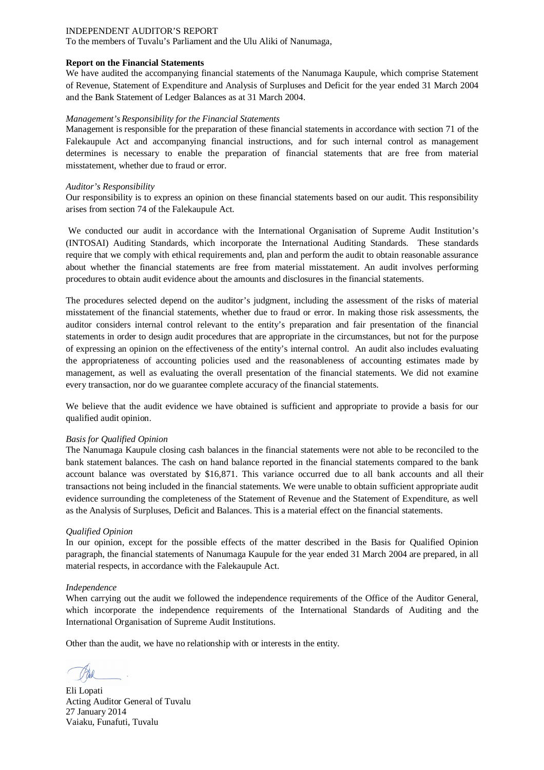To the members of Tuvalu's Parliament and the Ulu Aliki of Nanumaga,

### **Report on the Financial Statements**

We have audited the accompanying financial statements of the Nanumaga Kaupule, which comprise Statement of Revenue, Statement of Expenditure and Analysis of Surpluses and Deficit for the year ended 31 March 2004 and the Bank Statement of Ledger Balances as at 31 March 2004.

### *Management's Responsibility for the Financial Statements*

Management is responsible for the preparation of these financial statements in accordance with section 71 of the Falekaupule Act and accompanying financial instructions, and for such internal control as management determines is necessary to enable the preparation of financial statements that are free from material misstatement, whether due to fraud or error.

### *Auditor's Responsibility*

Our responsibility is to express an opinion on these financial statements based on our audit. This responsibility arises from section 74 of the Falekaupule Act.

We conducted our audit in accordance with the International Organisation of Supreme Audit Institution's (INTOSAI) Auditing Standards, which incorporate the International Auditing Standards. These standards require that we comply with ethical requirements and, plan and perform the audit to obtain reasonable assurance about whether the financial statements are free from material misstatement. An audit involves performing procedures to obtain audit evidence about the amounts and disclosures in the financial statements.

The procedures selected depend on the auditor's judgment, including the assessment of the risks of material misstatement of the financial statements, whether due to fraud or error. In making those risk assessments, the auditor considers internal control relevant to the entity's preparation and fair presentation of the financial statements in order to design audit procedures that are appropriate in the circumstances, but not for the purpose of expressing an opinion on the effectiveness of the entity's internal control. An audit also includes evaluating the appropriateness of accounting policies used and the reasonableness of accounting estimates made by management, as well as evaluating the overall presentation of the financial statements. We did not examine every transaction, nor do we guarantee complete accuracy of the financial statements.

We believe that the audit evidence we have obtained is sufficient and appropriate to provide a basis for our qualified audit opinion.

### *Basis for Qualified Opinion*

The Nanumaga Kaupule closing cash balances in the financial statements were not able to be reconciled to the bank statement balances. The cash on hand balance reported in the financial statements compared to the bank account balance was overstated by \$16,871. This variance occurred due to all bank accounts and all their transactions not being included in the financial statements. We were unable to obtain sufficient appropriate audit evidence surrounding the completeness of the Statement of Revenue and the Statement of Expenditure, as well as the Analysis of Surpluses, Deficit and Balances. This is a material effect on the financial statements.

### *Qualified Opinion*

In our opinion, except for the possible effects of the matter described in the Basis for Qualified Opinion paragraph, the financial statements of Nanumaga Kaupule for the year ended 31 March 2004 are prepared, in all material respects, in accordance with the Falekaupule Act.

### *Independence*

When carrying out the audit we followed the independence requirements of the Office of the Auditor General, which incorporate the independence requirements of the International Standards of Auditing and the International Organisation of Supreme Audit Institutions.

Eli Lopati Acting Auditor General of Tuvalu 27 January 2014 Vaiaku, Funafuti, Tuvalu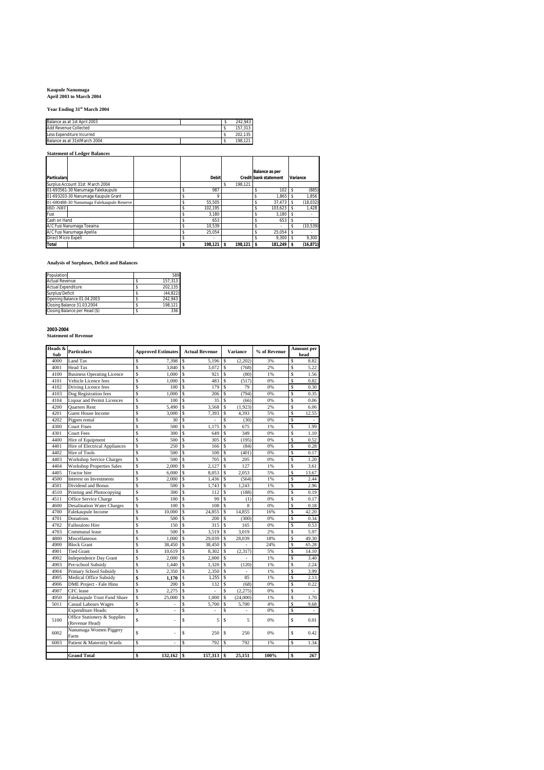## **Kaupule Nanumaga April 2003 to March 2004**

**Year Ending 31st March 2004**

| Balance as at 1st April 2003 |  | 242.943 |
|------------------------------|--|---------|
| <b>Add Revenue Collected</b> |  | 157.313 |
| Less Expenditure Incurred    |  | 202.135 |
| Balance as at 31stMarch 2004 |  | 198.121 |

## **Statement of Ledger Balances**

|                                           |              |         | <b>Balance as per</b>        |           |
|-------------------------------------------|--------------|---------|------------------------------|-----------|
| <b>Particulars</b>                        | <b>Debit</b> |         | <b>Credit bank statement</b> | Variance  |
| Surplus Account 31st March 2004           |              | 198.121 |                              |           |
| 01-693561-30 Nanumaga Falekaupule         | 987          |         | 102                          | (885)     |
| 01-693203-30 Nanumaga Kaupule Grant       |              |         | 1.865                        | 1.856     |
| 01-680488-30 Nanumaga Falekaupule Reserve | 55.505       |         | 37.473                       | (18, 032) |
| <b>IBD-NBT</b>                            | 102.195      |         | 103.623                      | 1.428     |
| Fusi                                      | 3.180        |         | 3.180                        | ۰         |
| Cash on Hand                              | 653          |         | 653                          |           |
| A/C Fusi Nanumaga Toeaina                 | 10.539       |         |                              | (10, 539) |
| A/C Fusi Nanumaga Apelila                 | 25.054       |         | 25.054                       |           |
| <b>Direct Micro Expell</b>                | ٠            |         | 9.300                        | 9.300     |
| Total                                     | 198.121 S    | 198.121 | 181.249 \$                   | (16, 871) |

### **Analysis of Surpluses, Deficit and Balances**

| Population                    | 589      |
|-------------------------------|----------|
| <b>Actual Revenue</b>         | 157.313  |
| <b>Actual Expenditure</b>     | 202.135  |
| Surplus/Deficit               | (44.822) |
| Opening Balance 01.04.2003    | 242.943  |
| Closing Balance 31.03.2004    | 198.121  |
| Closing Balance per Head (\$) | 336      |

**2003-2004 Statement of Revenue**

| Heads &<br>Sub | <b>Particulars</b>                             | <b>Approved Estimates</b> | <b>Actual Revenue</b> | <b>Variance</b>                | % of Revenue | Amount per<br>head            |
|----------------|------------------------------------------------|---------------------------|-----------------------|--------------------------------|--------------|-------------------------------|
| 4000           | Land Tax                                       | \$<br>7.398               | \$.<br>5.196          | <sup>\$</sup><br>(2,202)       | 3%           | Ś<br>8.82                     |
| 4001           | Head Tax                                       | Ŝ<br>3.840                | S<br>3.072            | \$<br>(768)                    | 2%           | Ś<br>5.22                     |
| 4100           | <b>Business Operating Licence</b>              | \$<br>1,000               | S<br>921              | Ŝ<br>(80)                      | 1%           | Ś<br>1.56                     |
| 4101           | Vehicle Licence fees                           | Ŝ<br>1.000                | S<br>483              | \$<br>(517)                    | 0%           | Ś<br>0.82                     |
| 4102           | Driving Licence fees                           | \$<br>100                 | S<br>179              | \$<br>79                       | 0%           | Ś<br>0.30                     |
| 4103           | Dog Registration fees                          | \$<br>1.000               | S<br>206              | (794)<br>\$                    | 0%           | Ś<br>0.35                     |
| 4104           | <b>Liqour and Permit Licences</b>              | \$<br>100                 | S<br>35               | \$<br>(66)                     | 0%           | \$<br>0.06                    |
| 4200           | <b>Ouarters Rent</b>                           | \$<br>5,490               | S<br>3,568            | Ŝ<br>(1,923)                   | 2%           | Ś<br>6.06                     |
| 4201           | Guest House Income                             | Ŝ<br>3,000                | S<br>7.393            | Ŝ<br>4.393                     | 5%           | Ś<br>12.55                    |
| 4202           | Pigpen rental                                  | Ŝ<br>30                   | S                     | Ŝ<br>(30)                      | 0%           | Ś                             |
| 4300           | <b>Court Fines</b>                             | \$<br>500                 | S<br>1.175            | Ŝ<br>675                       | 1%           | Ŝ<br>1.99                     |
| 4301           | <b>Court Fees</b>                              | \$<br>300                 | S<br>649              | Ŝ<br>349                       | 0%           | \$<br>1.10                    |
| 4400           | Hire of Equipment                              | \$<br>500                 | S<br>305              | Ŝ<br>(195)                     | 0%           | Ś<br>0.52                     |
| 4401           | Hire of Electrical Appliances                  | \$<br>250                 | S<br>166              | Ŝ<br>(84)                      | 0%           | Ś<br>0.28                     |
| 4402           | <b>Hire of Tools</b>                           | \$<br>500                 | S<br>100              | Ŝ<br>(401)                     | 0%           | Ś<br>0.17                     |
| 4403           | <b>Workshop Service Charges</b>                | Ŝ<br>500                  | S<br>705              | Ŝ<br>205                       | 0%           | Ś<br>1.20                     |
| 4404           | <b>Workshop Properties Sales</b>               | \$<br>2.000               | S<br>2.127            | Ŝ<br>127                       | 1%           | Ś<br>3.61                     |
| 4405           | <b>Tractor</b> hire                            | \$<br>6.000               | S<br>8.053            | \$<br>2,053                    | 5%           | Ŝ<br>13.67                    |
| 4500           | Interest on Investments                        | \$<br>2,000               | S<br>1,436            | Ŝ<br>(564)                     | 1%           | \$<br>2.44                    |
| 4501           | Dividend and Bonus                             | \$<br>500                 | S<br>1,743            | Ŝ<br>1,243                     | 1%           | S<br>2.96                     |
| 4510           | Printing and Photocopying                      | \$<br>300                 | S<br>112              | Ŝ<br>(188)                     | 0%           | Ś<br>0.19                     |
| 4511           | Office Service Charge                          | Ŝ<br>100                  | \$.<br>99             | Ŝ<br>(1)                       | 0%           | Ś<br>0.17                     |
| 4600           | <b>Desalination Water Charges</b>              | \$<br>100                 | S<br>108              | 8<br>Ŝ                         | 0%           | Ś<br>0.18                     |
| 4700           | Falekaupule Income                             | \$<br>10,000              | S<br>24,855           | 14,855<br>Ŝ                    | 16%          | Ś<br>42.20                    |
| 4701           | Donations                                      | \$<br>500                 | S<br>200              | Ŝ<br>(300)                     | 0%           | Ś<br>0.34                     |
| 4702           | Faihouloto Hire                                | \$<br>150                 | S<br>315              | \$<br>165                      | 0%           | Ś<br>0.53                     |
| 4703           | Communal lease                                 | Ŝ<br>500                  | \$.<br>3.519          | Ŝ<br>3,019                     | 2%           | Ś<br>5.97                     |
| 4800           | Miscellaneous                                  | \$<br>1,000               | S<br>29,039           | Ŝ<br>28,039                    | 18%          | S<br>49.30                    |
| 4900           | <b>Block Grant</b>                             | Ŝ<br>38,450               | \$.<br>38.450         | \$                             | 24%          | Ś<br>65.28                    |
| 4901           | <b>Tied Grant</b>                              | \$<br>10.619              | S<br>8.302            | \$<br>(2,317)                  | 5%           | Ś<br>14.10                    |
| 4902           | <b>Independence Day Grant</b>                  | \$<br>2,000               | S<br>2,000            | \$                             | 1%           | Ś<br>3.40                     |
| 4903           | Pre-school Subsidy                             | \$<br>1.440               | S<br>1.320            | \$<br>(120)                    | 1%           | Ś<br>2.24                     |
| 4904           | Primary School Subsidy                         | \$<br>2,350               | S<br>2,350            | \$<br>÷.                       | 1%           | Ś<br>3.99                     |
| 4905           | Medical Office Subsidy                         | \$<br>1,170               | s<br>1.255            | $\mathbf{\hat{S}}$<br>85       | 1%           | Ś<br>2.13                     |
| 4906           | DME Project - Fale Hinu                        | \$<br>200                 | S<br>132              | \$<br>(68)                     | 0%           | \$<br>0.22                    |
| 4907           | CFC lease                                      | Ŝ<br>2,275                | S                     | \$<br>(2,275)                  | 0%           | Ś                             |
| 4950           | Falekaupule Trust Fund Share                   | \$<br>25,000              | S<br>1.000            | $\mathbf{\hat{S}}$<br>(24,000) | 1%           | Ś<br>1.70                     |
| 5011           | <b>Casual Labours Wages</b>                    | $\mathbf S$               | S<br>5.700            | \$<br>5,700                    | 4%           | Ś<br>9.68                     |
|                | <b>Expenditure Heads:</b>                      | Ŝ<br>$\bar{\phantom{a}}$  | Ś<br>٠                | Ŝ<br>$\sim$                    | 0%           | Ś<br>$\overline{\phantom{a}}$ |
| 5100           | Office Stationery & Supplies<br>(Revenue Head) | $\hat{\mathbf{s}}$<br>÷,  | S<br>5                | \$<br>5                        | 0%           | Ś<br>0.01                     |
| 6002           | Nanumaga Women Piggery<br>Farm                 | $\mathbf S$               | S<br>250              | \$<br>250                      | 0%           | Ś<br>0.42                     |
| 6003           | Patient & Maternity Wards                      | \$<br>ä,                  | Ś<br>792              | Ŝ<br>792                       | 1%           | Ś<br>1.34                     |
|                |                                                |                           |                       |                                |              |                               |
|                | <b>Grand Total</b>                             | \$<br>$132,162$ \$        | 157,313 \$            | 25.151                         | 100%         | 267<br>\$                     |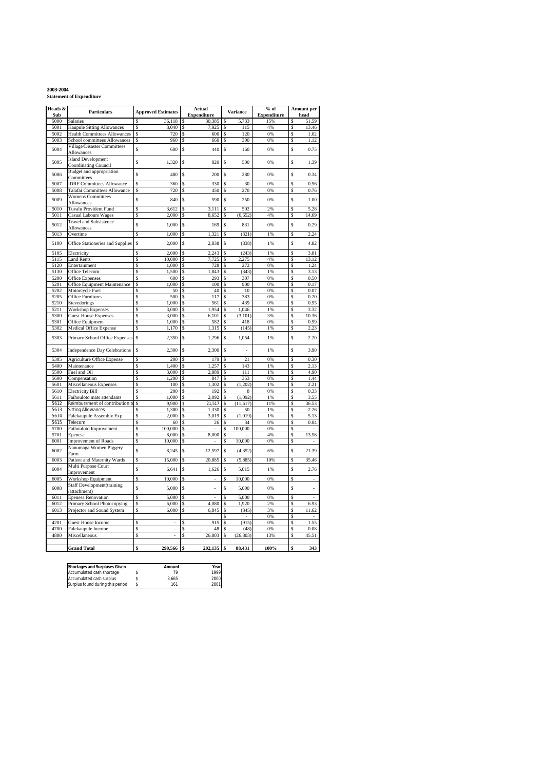**2003-2004 Statement of Expenditure**

| Heads &      | Particulars                                                  | <b>Approved Estimates</b>  |         | <b>Actual</b>      |          | <b>Variance</b>                   | $%$ of             |         | Amount per                       |
|--------------|--------------------------------------------------------------|----------------------------|---------|--------------------|----------|-----------------------------------|--------------------|---------|----------------------------------|
| Sub          |                                                              |                            |         | <b>Expenditure</b> |          |                                   | <b>Expenditure</b> |         | head                             |
| 5000         | Salaries                                                     | 36,118                     | S       | 30,385             | S        | 5,733                             | 15%                | S       | 51.59                            |
| 5001         | <b>Kaupule Sitting Allowances</b>                            | 8,040                      | \$      | 7,925              | S        | 115                               | 4%                 | \$      | 13.46                            |
| 5002         | <b>Health Committees Allowances</b>                          | 720<br>\$                  | \$      | 600                | \$       | 120                               | 0%                 | Ś       | 1.02                             |
| 5003         | School committees Allowances                                 | \$<br>960                  | \$      | 660                | \$       | 300                               | 0%                 | \$      | 1.12                             |
| 5004         | Village/Disaster Committees<br>Allowances                    | \$<br>600                  | \$      | 440                | \$       | 160                               | 0%                 | \$      | 0.75                             |
| 5005         | <b>Island Development</b><br><b>Coordinating Council</b>     | \$<br>1,320                | \$      | 820                | \$       | 500                               | 0%                 | \$      | 1.39                             |
| 5006         | <b>Budget and appropriation</b><br>Committees                | \$<br>480                  | \$      | 200                | \$       | 280                               | 0%                 | \$      | 0.34                             |
| 5007         | <b>IDRF</b> Committees Allowance                             | \$<br>360                  | S       | 330                | \$       | 30                                | 0%                 | \$      | 0.56                             |
| 5008         | Talafai Committees Allowance                                 | Ŝ<br>720                   | Ś       | 450                |          | 270                               | 0%                 | ç       | 0.76                             |
| 5009         | <b>Womens Committees</b><br>Allowances                       | \$<br>840                  | \$      | 590                | \$       | 250                               | 0%                 | \$      | 1.00                             |
| 5010         | Tuvalu Provident Fund                                        | \$<br>3,612                | S       | 3,111              | Ŝ        | 502                               | 2%                 | S       | 5.28                             |
| 5011         | <b>Casual Labours Wages</b>                                  | \$<br>2,000                | S       | 8,652              | \$       | (6,652)                           | 4%                 | \$      | 14.69                            |
| 5012         | <b>Travel and Subsistence</b><br>Allowances                  | \$<br>1,000                | Ś       | 169                | \$       | 831                               | 0%                 | \$      | 0.29                             |
| 5013         | Overtime                                                     | Ś<br>1,000                 | \$      | 1,321              | \$       | (321)                             | 1%                 | S       | 2.24                             |
| 5100         | Office Stationeries and Supplies                             | \$<br>2,000                | \$      | 2,838              | \$       | (838)                             | 1%                 | \$      | 4.82                             |
| 5105         | Electricity                                                  | 2.000                      | S       | 2,243              |          | (243)                             | 1%                 |         | 3.81                             |
| 5115         | <b>Land Rents</b>                                            | Ś<br>10,000                | \$      | 7,725              | \$       | 2,275                             | 4%                 | \$      | 13.12                            |
| 5120         | Entertainment                                                | \$<br>1,000                | \$      | 728                | \$       | 272                               | 0%                 | \$      | 1.24                             |
| 5130         | Office Telecom                                               | \$<br>1,500                | \$      | 1,843              | S        | (343)                             | 1%                 | S       | 3.13                             |
| 5200         | <b>Office Expenses</b>                                       | \$<br>600                  | \$      | 293                | \$       | 307                               | 0%                 | S       | 0.50                             |
| 5201         | Office Equipment Maintenance                                 | Ś<br>1.000                 | Ś       | 100                | Ś        | 900                               | 0%                 | \$      | 0.17                             |
| 5202         | Motorcycle Fuel                                              | \$<br>50                   | \$      | 40                 | \$       | 10                                | 0%                 | \$      | 0.07                             |
| 5205         | <b>Office Furnitures</b>                                     | 500<br>\$                  | Ś       | 117                | Ś        | 383                               | 0%                 | Ŝ       | 0.20                             |
| 5210         | Stevedorings                                                 | \$<br>1,000                | \$      | 561                | \$       | 439                               | 0%                 | \$      | 0.95                             |
| 5211         | <b>Workshop Expenses</b>                                     | Ŝ<br>3,000                 | Ś       | 1.954              | Ŝ        | 1.046                             | 1%                 | \$      | 3.32                             |
| 5300         | <b>Guest House Expenses</b>                                  | \$<br>3,000                | \$      | 6,101              | \$       | (3, 101)                          | 3%                 | \$      | 10.36                            |
| 5301         | Office Equipment                                             | Ś<br>1,000                 | \$      | 582                | Ŝ        | 418                               | 0%                 | \$      | 0.99                             |
| 5302         | Medical Office Expense                                       | \$<br>1,170                | \$      | 1,315              | \$       | (145)                             | 1%                 | \$      | 2.23                             |
| 5303         | Primary School Office Expenses                               | \$<br>2,350                | \$      | 1,296              | \$       | 1,054                             | 1%                 | Ś       | 2.20                             |
| 5304         | <b>Independence Day Celebrations</b>                         | \$<br>2,300                | S       | 2,300              | \$       | ÷,                                | 1%                 | \$      | 3.90                             |
| 5305         | <b>Agriculture Office Expense</b>                            | 200<br>\$                  | \$      | 179                | \$       | 21                                | 0%                 | S       | 0.30                             |
| 5400         | Maintenance                                                  | \$<br>1,400                | \$      | 1,257              | \$       | 143                               | 1%                 | \$      | 2.13                             |
| 5500         | Fuel and Oil                                                 | 3,000<br>Ŝ                 | \$      | 2,889              |          | 111                               | 1%                 | \$      | 4.90                             |
| 5600         | Compensation                                                 | Ś<br>1.200                 | Ś       | 847                | S        | 353                               | 0%                 | Ś       | 1.44                             |
| 5601         | Miscellaneous Expenses                                       | \$<br>100                  | \$      | 1,302              | \$       | (1,202)                           | 1%                 | \$      | 2.21                             |
| 5610         | <b>Electricity Bill</b>                                      | Ś<br>200                   | Ś       | 192                | \$       | 8                                 | 0%                 | Ś       | 0.33                             |
| 5611<br>5612 | Faihouloto mats attendants                                   | \$<br>1,000<br>\$<br>9,900 | \$<br>Ś | 2,092              | \$<br>Ŝ  | (1,092)                           | 1%<br>11%          | S<br>Ś  | 3.55                             |
| 5613         | Reimbursment of contribution to<br><b>Sitting Allowances</b> | \$<br>1,380                | \$      | 21,517<br>1,330    | \$       | (11, 617)<br>50                   | 1%                 | \$      | 36.53<br>2.26                    |
| 5614         | Falekaupule Assembly Exp                                     | 2,000<br>\$                | Ś       | 3.019              | \$       | (1.019)                           | 1%                 | Ŝ       | 5.13                             |
| 5615         | Telecom                                                      | \$<br>60                   | \$      | 26                 | \$       | 34                                | 0%                 | \$      | 0.04                             |
| 5700         | Faihouloto Improvement                                       | \$<br>100,000              | \$      |                    | \$       | 100,000                           | 0%                 | Ś       |                                  |
| 5701         | Epenesa                                                      | \$<br>8,000                | \$      | 8,000              | \$       |                                   | 4%                 | \$      | 13.58                            |
| 6001         | Improvement of Roads                                         | \$<br>10,000               | \$      |                    | Ŝ        | 10,000                            | 0%                 | Ś       |                                  |
| 6002         | Nanumaga Women Piggery<br>Farm                               | \$<br>8,245                | \$      | 12,597             | \$       | (4, 352)                          | 6%                 | \$      | 21.39                            |
| 6003         | Patient and Maternity Wards                                  | \$<br>15,000               | \$      | 20,885             | \$       | (5,885)                           | 10%                | \$      | 35.46                            |
| 6004         | Multi Purpose Court                                          | \$<br>6,641                | \$      | 1,626              | \$       | 5,015                             | 1%                 | \$      | 2.76                             |
|              | Improvement                                                  |                            |         |                    |          |                                   |                    |         |                                  |
| 6005         | Workshop Equipment<br><b>Staff Development</b> (training     | \$<br>10,000               | \$      |                    | \$       | 10,000                            | 0%                 | Ś       |                                  |
| 6008         | 'attachment)                                                 | \$<br>5,000                | \$      | i,                 | \$       | 5,000                             | 0%                 | Ś       | ä,                               |
| 6011         | <b>Epenesa Renovation</b>                                    | Ś<br>5.000                 | Ś       |                    | \$       | 5,000                             | 0%                 | Ś       |                                  |
| 6012         | Primary School Photocopying                                  | Ś<br>6,000                 | \$      | 4,080              | \$       | 1,920                             | 2%                 | \$      | 6.93                             |
| 6013         | Projector and Sound System                                   | 6,000<br>\$                | \$      | 6,845              | \$<br>\$ | (845)                             | 3%<br>0%           | Ś<br>\$ | 11.62                            |
| 4201         | <b>Guest House Income</b>                                    | Ŝ<br>÷,                    | S       | 915                | Ŝ        | $\overline{\phantom{a}}$<br>(915) | 0%                 | Ś       | $\overline{\phantom{a}}$<br>1.55 |
| 4700         | Falekaupule Income                                           | Ŝ                          | S       | 48                 | Ŝ        | (48)                              | 0%                 | \$      | 0.08                             |
| 4800         | Miscellaneous                                                | Ś                          | Ś       | 26,803             | Ś        | (26, 803)                         | 13%                | Ś       | 45.51                            |
|              |                                                              |                            |         |                    |          |                                   |                    |         |                                  |
|              | <b>Grand Total</b>                                           | $290,566$ \$<br>\$         |         | $202,135$ \$       |          | 88,431                            | 100%               |         | 343                              |

| <b>Shortages and Surpluses Given</b> | Amount | Year |
|--------------------------------------|--------|------|
| Accumulated cash shortage            | 79     | 1999 |
| Accumulated cash surplus             | 3.665  | 2000 |
| Surplus found during this period     | 161    | 2001 |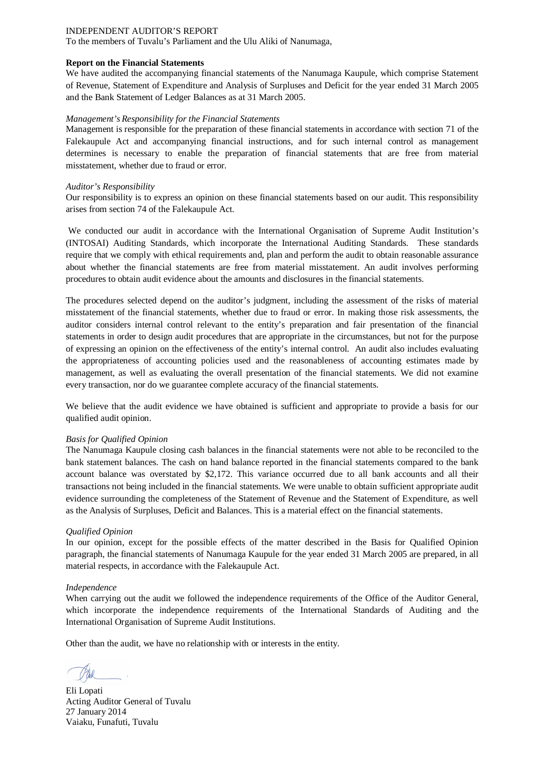To the members of Tuvalu's Parliament and the Ulu Aliki of Nanumaga,

### **Report on the Financial Statements**

We have audited the accompanying financial statements of the Nanumaga Kaupule, which comprise Statement of Revenue, Statement of Expenditure and Analysis of Surpluses and Deficit for the year ended 31 March 2005 and the Bank Statement of Ledger Balances as at 31 March 2005.

### *Management's Responsibility for the Financial Statements*

Management is responsible for the preparation of these financial statements in accordance with section 71 of the Falekaupule Act and accompanying financial instructions, and for such internal control as management determines is necessary to enable the preparation of financial statements that are free from material misstatement, whether due to fraud or error.

### *Auditor's Responsibility*

Our responsibility is to express an opinion on these financial statements based on our audit. This responsibility arises from section 74 of the Falekaupule Act.

We conducted our audit in accordance with the International Organisation of Supreme Audit Institution's (INTOSAI) Auditing Standards, which incorporate the International Auditing Standards. These standards require that we comply with ethical requirements and, plan and perform the audit to obtain reasonable assurance about whether the financial statements are free from material misstatement. An audit involves performing procedures to obtain audit evidence about the amounts and disclosures in the financial statements.

The procedures selected depend on the auditor's judgment, including the assessment of the risks of material misstatement of the financial statements, whether due to fraud or error. In making those risk assessments, the auditor considers internal control relevant to the entity's preparation and fair presentation of the financial statements in order to design audit procedures that are appropriate in the circumstances, but not for the purpose of expressing an opinion on the effectiveness of the entity's internal control. An audit also includes evaluating the appropriateness of accounting policies used and the reasonableness of accounting estimates made by management, as well as evaluating the overall presentation of the financial statements. We did not examine every transaction, nor do we guarantee complete accuracy of the financial statements.

We believe that the audit evidence we have obtained is sufficient and appropriate to provide a basis for our qualified audit opinion.

### *Basis for Qualified Opinion*

The Nanumaga Kaupule closing cash balances in the financial statements were not able to be reconciled to the bank statement balances. The cash on hand balance reported in the financial statements compared to the bank account balance was overstated by \$2,172. This variance occurred due to all bank accounts and all their transactions not being included in the financial statements. We were unable to obtain sufficient appropriate audit evidence surrounding the completeness of the Statement of Revenue and the Statement of Expenditure, as well as the Analysis of Surpluses, Deficit and Balances. This is a material effect on the financial statements.

### *Qualified Opinion*

In our opinion, except for the possible effects of the matter described in the Basis for Qualified Opinion paragraph, the financial statements of Nanumaga Kaupule for the year ended 31 March 2005 are prepared, in all material respects, in accordance with the Falekaupule Act.

### *Independence*

When carrying out the audit we followed the independence requirements of the Office of the Auditor General, which incorporate the independence requirements of the International Standards of Auditing and the International Organisation of Supreme Audit Institutions.

Eli Lopati Acting Auditor General of Tuvalu 27 January 2014 Vaiaku, Funafuti, Tuvalu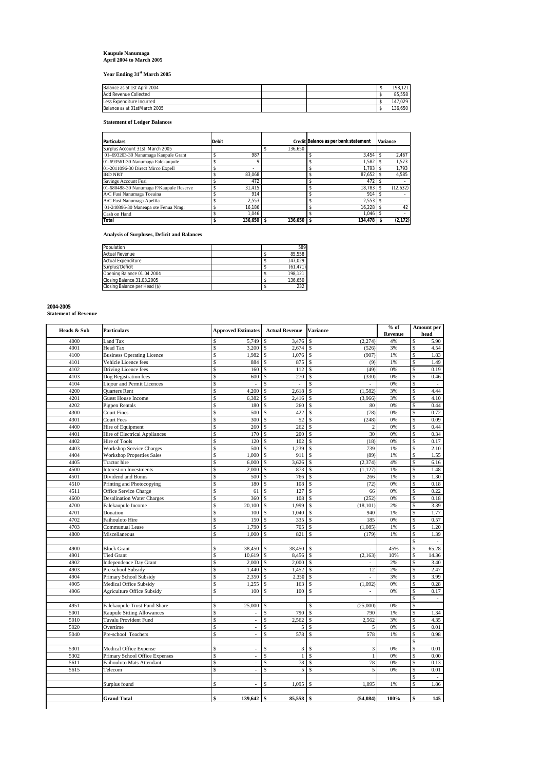# **Kaupule Nanumaga April 2004 to March 2005**

**Year Ending 31st March 2005**

| Balance as at 1st April 2004 |  | 121<br>198. |
|------------------------------|--|-------------|
| <b>Add Revenue Collected</b> |  | 85.558      |
| Less Expenditure Incurred    |  | 147.029     |
| Balance as at 31stMarch 2005 |  | 136.650     |

**Statement of Ledger Balances**

| <b>Particulars</b>                      | <b>Debit</b> |            |              | Credit Balance as per bank statement | Variance |
|-----------------------------------------|--------------|------------|--------------|--------------------------------------|----------|
| Surplus Account 31st March 2005         |              |            | 136.650      |                                      |          |
| 01-693203-30 Nanumaga Kaupule Grant     |              | 987        |              | 3.454                                | 2.467    |
| 01-693561-30 Nanumaga Falekaupule       |              |            |              | 1.582                                | 1,573    |
| 01-2011096-30 Direct Mirco Expell       |              | ۰          |              | 1.793                                | 1.793    |
| <b>IBD NBT</b>                          |              | 83.068     |              | 87.652                               | 4.585    |
| Savings Account Fusi                    |              | 472        |              | 472                                  |          |
| 01-680488-30 Nanumaga F/Kaupule Reserve |              | 31.415     |              | 18.783                               | (12,632) |
| A/C Fusi Nanumaga Toeaina               |              | 914        |              | 914                                  |          |
| A/C Fusi Nanumaga Apelila               |              | 2.553      |              | 2.553                                |          |
| 01-240896-30 Maneapa ote Fenua Nmg:     |              | 16.186     |              | 16.228                               | 42       |
| Cash on Hand                            |              | 1.046      |              | 1.046                                |          |
| Total                                   |              | 136.650 \$ | $136.650$ \$ | 134.478                              | (2, 172) |

**Analysis of Surpluses, Deficit and Balances**

| Population                    |  | 589      |
|-------------------------------|--|----------|
| <b>Actual Revenue</b>         |  | 85.558   |
| <b>Actual Expenditure</b>     |  | 147.029  |
| Surplus/Deficit               |  | (61.471) |
| Opening Balance 01.04.2004    |  | 198.121  |
| Closing Balance 31.03.2005    |  | 136.650  |
| Closing Balance per Head (\$) |  | 232      |

# **2004-2005**

**Statement of Revenue**

| 4000<br>4001<br>4100<br>4101<br>4102<br>4103<br>4104<br>4200<br>4201<br>4202<br>4300 | Land Tax<br><b>Head Tax</b><br><b>Business Operating Licence</b><br>Vehicle Licence fees<br>Driving Licence fees<br>Dog Registration fees<br><b>Liqour and Permit Licences</b><br>Quarters Rent<br><b>Guest House Income</b><br>Pigpen Rentals | \$<br>\$<br>Ś<br>\$<br>\$<br>Ś<br>\$<br>\$<br>Ś | 5,749<br>3,200<br>1,982<br>884<br>160<br>600<br>ä, | $\mathsf{\$}$<br>3,476<br><sup>\$</sup><br>$2,674$ \$<br>$\mathbf{\hat{S}}$<br>1,076<br>\$<br>875<br>\$<br>112 | \$<br>(2,274)<br>(526)<br>$\mathsf{s}$<br>(907)<br>\$<br>(9) | 4%<br>3%<br>1% | \$<br>Ś<br>\$ | 5.90<br>4.54<br>1.83 |
|--------------------------------------------------------------------------------------|------------------------------------------------------------------------------------------------------------------------------------------------------------------------------------------------------------------------------------------------|-------------------------------------------------|----------------------------------------------------|----------------------------------------------------------------------------------------------------------------|--------------------------------------------------------------|----------------|---------------|----------------------|
|                                                                                      |                                                                                                                                                                                                                                                |                                                 |                                                    |                                                                                                                |                                                              |                |               |                      |
|                                                                                      |                                                                                                                                                                                                                                                |                                                 |                                                    |                                                                                                                |                                                              |                |               |                      |
|                                                                                      |                                                                                                                                                                                                                                                |                                                 |                                                    |                                                                                                                |                                                              |                |               |                      |
|                                                                                      |                                                                                                                                                                                                                                                |                                                 |                                                    |                                                                                                                |                                                              | 1%             | \$            | 1.49                 |
|                                                                                      |                                                                                                                                                                                                                                                |                                                 |                                                    |                                                                                                                | \$<br>(49)                                                   | 0%             | \$            | 0.19                 |
|                                                                                      |                                                                                                                                                                                                                                                |                                                 |                                                    | \$<br>270                                                                                                      | (330)<br>\$                                                  | 0%             | $\mathsf{\$}$ | 0.46                 |
|                                                                                      |                                                                                                                                                                                                                                                |                                                 |                                                    | \$<br>J.                                                                                                       | \$                                                           | 0%             | \$            | $\sim$               |
|                                                                                      |                                                                                                                                                                                                                                                |                                                 | 4,200                                              | \$<br>2,618                                                                                                    | \$<br>(1, 582)                                               | 3%             | \$            | 4.44                 |
|                                                                                      |                                                                                                                                                                                                                                                |                                                 | 6,382                                              | 2,416<br>\$                                                                                                    | Ś<br>(3,966)                                                 | 3%             | \$            | 4.10                 |
|                                                                                      |                                                                                                                                                                                                                                                | \$                                              | 180                                                | \$<br>260                                                                                                      | \$<br>80                                                     | 0%             | \$            | 0.44                 |
|                                                                                      | <b>Court Fines</b>                                                                                                                                                                                                                             | \$                                              | 500                                                | \$<br>422                                                                                                      | \$<br>(78)                                                   | 0%             | \$            | 0.72                 |
| 4301                                                                                 | <b>Court Fees</b>                                                                                                                                                                                                                              | Ś                                               | 300                                                | \$<br>52                                                                                                       | Ś<br>(248)                                                   | 0%             | \$            | 0.09                 |
| 4400                                                                                 | Hire of Equipment                                                                                                                                                                                                                              | \$                                              | 260                                                | 262<br>\$                                                                                                      | \$<br>$\sqrt{2}$                                             | 0%             | \$            | 0.44                 |
| 4401                                                                                 | Hire of Electrical Appliances                                                                                                                                                                                                                  | \$                                              | 170                                                | 200<br>\$                                                                                                      | 30<br>\$                                                     | 0%             | \$            | 0.34                 |
| 4402                                                                                 | Hire of Tools                                                                                                                                                                                                                                  | \$                                              | 120                                                | \$<br>102                                                                                                      | \$<br>(18)                                                   | 0%             | \$            | 0.17                 |
| 4403                                                                                 | <b>Workshop Service Charges</b>                                                                                                                                                                                                                | Ś                                               | 500                                                | \$<br>1,239                                                                                                    | \$<br>739                                                    | 1%             | \$            | 2.10                 |
| 4404                                                                                 | <b>Workshop Properties Sales</b>                                                                                                                                                                                                               | \$                                              | 1,000                                              | 911<br>\$                                                                                                      | $\mathbf S$<br>(89)                                          | 1%             | \$            | 1.55                 |
| 4405                                                                                 | <b>Tractor</b> hire                                                                                                                                                                                                                            | \$                                              | 6,000                                              | <sup>\$</sup><br>3,626                                                                                         | \$<br>(2, 374)                                               | 4%             | \$            | 6.16                 |
| 4500                                                                                 | Interest on Investments                                                                                                                                                                                                                        | \$                                              | 2,000                                              | \$<br>873                                                                                                      | \$<br>(1, 127)                                               | 1%             | \$            | 1.48                 |
| 4501                                                                                 | Dividend and Bonus                                                                                                                                                                                                                             | \$                                              | 500                                                | \$<br>766                                                                                                      | \$<br>266                                                    | 1%             | \$            | 1.30                 |
| 4510                                                                                 | Printing and Photocopying                                                                                                                                                                                                                      | \$                                              | 180                                                | \$<br>108                                                                                                      | \$<br>(72)                                                   | 0%             | \$            | 0.18                 |
| 4511                                                                                 | Office Service Charge                                                                                                                                                                                                                          | \$                                              | 61                                                 | 127<br>$\mathcal{S}$                                                                                           | $\hat{\mathbf{S}}$<br>66                                     | 0%             | s             | 0.22                 |
| 4600                                                                                 | <b>Desalination Water Charges</b>                                                                                                                                                                                                              | \$                                              | 360                                                | \$<br>108                                                                                                      | \$<br>(252)                                                  | 0%             | \$            | 0.18                 |
| 4700                                                                                 | Falekaupule Income                                                                                                                                                                                                                             | \$                                              | 20,100                                             | \$<br>1,999                                                                                                    | Ś<br>(18, 101)                                               | 2%             | \$            | 3.39                 |
| 4701                                                                                 | Donation                                                                                                                                                                                                                                       | Ś                                               | 100                                                | 1,040<br>\$                                                                                                    | 940<br>Ś                                                     | 1%             | \$            | 1.77                 |
| 4702                                                                                 | Faihouloto Hire                                                                                                                                                                                                                                | \$                                              | 150                                                | 335<br>\$                                                                                                      | 185<br>S                                                     | 0%             | \$            | 0.57                 |
| 4703                                                                                 | Communual Lease                                                                                                                                                                                                                                | \$                                              | 1,790                                              | \$<br>705                                                                                                      | \$<br>(1,085)                                                | 1%             | \$            | 1.20                 |
| 4800                                                                                 | Miscellaneous                                                                                                                                                                                                                                  | \$                                              | 1,000                                              | 821<br><sup>\$</sup>                                                                                           | \$<br>(179)                                                  | 1%             | \$            | 1.39                 |
|                                                                                      |                                                                                                                                                                                                                                                |                                                 |                                                    |                                                                                                                |                                                              |                | \$            | $\omega$             |
| 4900                                                                                 | <b>Block Grant</b>                                                                                                                                                                                                                             | \$.                                             | 38,450                                             | 38,450<br>\$                                                                                                   | \$<br>L.                                                     | 45%            | \$            | 65.28                |
| 4901                                                                                 | <b>Tied Grant</b>                                                                                                                                                                                                                              | \$                                              | 10,619                                             | <sup>\$</sup><br>8,456                                                                                         | \$<br>(2,163)                                                | 10%            | \$            | 14.36                |
| 4902                                                                                 | <b>Independence Day Grant</b>                                                                                                                                                                                                                  | \$.                                             | 2,000                                              | 2,000<br><sup>\$</sup>                                                                                         | \$<br>$\sim$                                                 | 2%             | \$            | 3.40                 |
| 4903                                                                                 | Pre-school Subsidy                                                                                                                                                                                                                             | Ś                                               | 1,440                                              | \$<br>1,452                                                                                                    | $\mathbf S$<br>12                                            | 2%             | \$            | 2.47                 |
| 4904                                                                                 | Primary School Subsidy                                                                                                                                                                                                                         | \$                                              | 2,350                                              | 2,350<br>\$                                                                                                    | \$<br>$\overline{a}$                                         | 3%             | \$            | 3.99                 |
| 4905                                                                                 | Medical Office Subsidy                                                                                                                                                                                                                         | \$                                              | 1,255                                              | 163<br><sup>\$</sup>                                                                                           | \$<br>(1,092)                                                | 0%             | \$            | 0.28                 |
| 4906                                                                                 | <b>Agriculture Office Subsidy</b>                                                                                                                                                                                                              | \$                                              | 100                                                | 100<br>\$                                                                                                      | \$                                                           | 0%             | \$            | 0.17                 |
|                                                                                      |                                                                                                                                                                                                                                                |                                                 |                                                    |                                                                                                                |                                                              |                | \$            | $\omega$             |
| 4951                                                                                 | Falekaupule Trust Fund Share                                                                                                                                                                                                                   | \$                                              | 25,000                                             | \$<br>$\overline{a}$                                                                                           | \$<br>(25,000)                                               | 0%             | \$            | ÷.                   |
| 5001                                                                                 | <b>Kaupule Sitting Allowances</b>                                                                                                                                                                                                              | \$                                              | L.                                                 | \$<br>790                                                                                                      | \$<br>790                                                    | 1%             | \$            | 1.34                 |
| 5010                                                                                 | Tuvalu Provident Fund                                                                                                                                                                                                                          | \$                                              | $\overline{\phantom{a}}$                           | \$<br>2,562                                                                                                    | 2,562<br>\$                                                  | 3%             | \$            | 4.35                 |
| 5020                                                                                 |                                                                                                                                                                                                                                                | \$                                              | $\bar{\phantom{a}}$                                | \$<br>5                                                                                                        |                                                              | 0%             | \$            | 0.01                 |
| 5040                                                                                 | Overtime                                                                                                                                                                                                                                       | \$                                              | L.                                                 | Ś<br>578                                                                                                       | \$<br>5<br>Ś<br>578                                          | 1%             | $\mathbf S$   | 0.98                 |
|                                                                                      | Pre-school Teachers                                                                                                                                                                                                                            |                                                 |                                                    |                                                                                                                |                                                              |                | \$            | $\sim$               |
| 5301                                                                                 | Medical Office Expense                                                                                                                                                                                                                         | Ś                                               | $\overline{\phantom{a}}$                           | \$<br>3                                                                                                        | \$<br>3                                                      | 0%             | \$            | 0.01                 |
| 5302                                                                                 | Primary School Office Expenses                                                                                                                                                                                                                 | \$                                              | ä,                                                 | \$<br>$\mathbf{1}$                                                                                             | \$<br>$\mathbf{1}$                                           | 0%             | \$            | 0.00                 |
| 5611                                                                                 | Faihouloto Mats Attendant                                                                                                                                                                                                                      | Ś                                               | ä,                                                 | 78<br>\$                                                                                                       | \$<br>78                                                     | 0%             | Ś             | 0.13                 |
| 5615                                                                                 | Telecom                                                                                                                                                                                                                                        | \$                                              | ÷.                                                 | 5<br>\$                                                                                                        | 5<br>\$                                                      | 0%             | \$            | 0.01                 |
|                                                                                      |                                                                                                                                                                                                                                                |                                                 |                                                    |                                                                                                                |                                                              |                | \$            | $\sim$               |
|                                                                                      | Surplus found                                                                                                                                                                                                                                  | \$                                              | $\overline{\phantom{a}}$                           | 1,095<br>\$                                                                                                    | 1,095<br>\$                                                  | 1%             | \$            | 1.86                 |
|                                                                                      |                                                                                                                                                                                                                                                |                                                 |                                                    |                                                                                                                |                                                              |                |               |                      |
|                                                                                      | <b>Grand Total</b>                                                                                                                                                                                                                             | \$                                              | 139,642                                            | <sup>\$</sup><br>85,558                                                                                        | (54, 084)<br><b>S</b>                                        | 100%           | \$            | 145                  |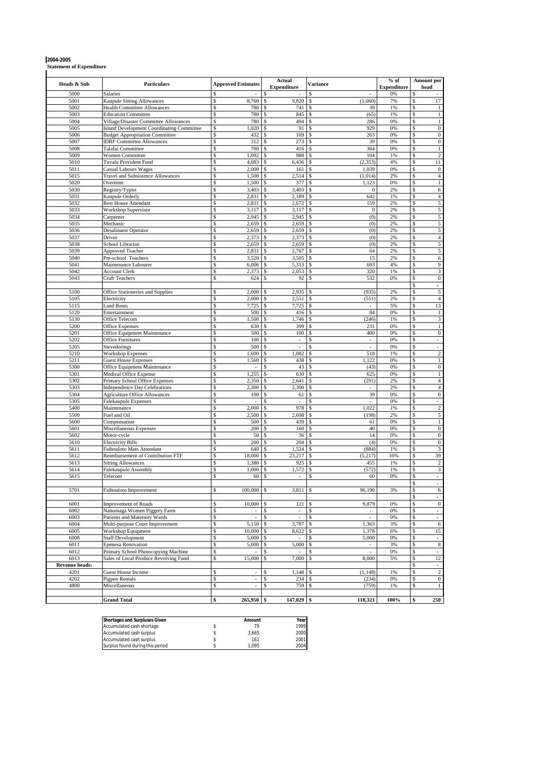**2004-2005 Statement of Expenditure**

| Heads & Sub           | Particulars                                                                               | <b>Approved Estimates</b>    | Actual<br><b>Expenditure</b>            | <b>Variance</b>           | $%$ of<br><b>Expenditure</b> | <b>Amount per</b><br>head               |
|-----------------------|-------------------------------------------------------------------------------------------|------------------------------|-----------------------------------------|---------------------------|------------------------------|-----------------------------------------|
| 5000                  | Salaries                                                                                  | \$                           |                                         | S                         | 0%                           | \$                                      |
| 5001                  | <b>Kaupule Sitting Allowances</b>                                                         | \$<br>8,760                  | 9,820<br>\$                             | \$<br>(1,060)             | 7%                           | \$<br>17                                |
| 5002                  | <b>Health Committee Allowances</b>                                                        | \$<br>780                    | \$<br>741                               | \$<br>39                  | 1%                           | \$<br>$\mathbf{1}$                      |
| 5003                  | <b>Education Committee</b>                                                                | 780<br>\$                    | \$<br>845                               | \$.<br>(65)               | 1%                           | $\mathbf 1$<br>\$                       |
| 5004<br>5005          | Village/Disaster Committee Allowances<br><b>Island Development Coordinating Committee</b> | \$<br>780<br>1,020<br>\$     | 494<br>\$<br>91<br>\$                   | \$<br>286<br>929          | 0%<br>0%                     | \$<br>$\mathbf{1}$<br>$\bf{0}$<br>\$    |
| 5006                  | <b>Budget Appropriation Committee</b>                                                     | 432<br>\$.                   | 169<br>\$                               | \$<br>263                 | 0%                           | $\boldsymbol{0}$<br>\$                  |
| 5007                  | <b>IDRF Committee Allowances</b>                                                          | \$<br>312                    | 273<br>\$                               | 39                        | 0%                           | $\bf{0}$<br>\$                          |
| 5008                  | Talafai Committee                                                                         | \$<br>780                    | 416<br>\$                               | Ś<br>364                  | 0%                           | \$<br>$\mathbf{1}$                      |
| 5009                  | <b>Women Committee</b>                                                                    | 1,092<br>Ś                   | 988<br>\$                               | 104                       | 1%                           | $\sqrt{2}$<br>\$                        |
| 5010                  | Tuvalu Provident Fund                                                                     | 4,083<br>Ś                   | 6,436                                   | (2, 353)                  | 4%                           | 11<br>\$                                |
| 5011                  | <b>Casual Labours Wages</b><br><b>Travel and Subsistence Allowances</b>                   | \$<br>2,000<br>\$            | 161<br>\$<br>2,514                      | 1,839<br>\$<br>(1,014)    | 0%<br>2%                     | \$<br>$\bf{0}$<br>\$<br>$\overline{4}$  |
| 5015<br>5020          | Overtime                                                                                  | 1,500<br>\$<br>1,500         | 377<br>\$                               | 1,123                     | 0%                           | \$<br>$\mathbf{1}$                      |
| 5030                  | Registry/Typist                                                                           | 3,403<br>\$.                 | 3,403                                   | $\mathbf{0}$              | 2%                           | \$<br>6                                 |
| 5031                  | Kaupule Orderly                                                                           | \$<br>2,831                  | 2,189<br>\$                             | 642<br>\$.                | 1%                           | \$<br>$\overline{4}$                    |
| 5032                  | <b>Rest House Attendant</b>                                                               | \$<br>2,831                  | 2,672<br>\$                             | 159                       | 2%                           | \$<br>5                                 |
| 5033                  | Workshop Supervisor                                                                       | \$<br>3,117                  | 3,117<br>\$                             | $\mathbf{0}$<br>\$        | 2%                           | 5<br>\$                                 |
| 5034                  | Carpenter                                                                                 | 2,945<br>\$                  | 2,945<br>\$                             | (0)<br>\$                 | 2%                           | \$<br>5                                 |
| 5035<br>5036          | Mechanic<br><b>Desalinator Operator</b>                                                   | \$<br>2,659<br>\$<br>2,659   | 2,659<br>\$<br>2,659<br>\$              | (0)<br>\$<br>(0)          | 2%<br>2%                     | 5<br>\$<br>$\sqrt{5}$<br>\$             |
| 5037                  | Driver                                                                                    | \$<br>2,373                  | 2,373<br>\$                             | (0)<br>\$                 | 2%                           | $\overline{4}$<br>\$                    |
| 5038                  | School Librarian                                                                          | \$<br>2,659                  | 2,659<br>\$                             | (0)<br>\$                 | 2%                           | $\sqrt{5}$<br>\$                        |
| 5039                  | <b>Approved Teacher</b>                                                                   | \$<br>2,831                  | 2,767<br>\$                             | \$<br>64                  | 2%                           | $\overline{5}$<br>\$                    |
| 5040                  | Pre-school Teachers                                                                       | \$<br>3,520                  | 3,505<br>\$                             | S<br>15                   | 2%                           | \$<br>6                                 |
| 5041                  | Maintenance Labourer                                                                      | \$<br>6,006                  | 5,313<br>\$                             | 693<br>S                  | 4%                           | $\overline{9}$<br>\$                    |
| 5042<br>5043          | <b>Account Clerk</b><br><b>Craft Teachers</b>                                             | \$<br>2,373<br>\$<br>624     | 2,053<br>\$<br>92<br>\$                 | S<br>320<br>\$<br>532     | 1%<br>0%                     | $\sqrt{3}$<br>\$<br>$\mathbf{0}$<br>\$  |
|                       |                                                                                           |                              |                                         |                           |                              | \$<br>÷.                                |
| 5100                  | Office Stationeries and Supplies                                                          | 2,000<br>\$                  | 2,935<br>\$                             | (935)<br>S                | 2%                           | \$<br>$\sqrt{5}$                        |
| 5105                  | Electricity                                                                               | 2,000<br>\$                  | 2,551<br>\$                             | (551)<br>-S               | 2%                           | $\overline{4}$<br>\$                    |
| 5115                  | <b>Land Rents</b>                                                                         | \$<br>7,725                  | 7,725<br>\$                             | \$                        | 5%                           | 13<br>\$                                |
| 5120                  | Entertainment                                                                             | \$<br>500                    | \$<br>416                               | 84<br>-S                  | 0%                           | \$<br>$\mathbf{1}$                      |
| 5130<br>5200          | Office Telecom<br>Office Expenses                                                         | 1,500<br>\$<br>630<br>\$     | 1,746<br>\$<br>399<br>\$                | \$<br>(246)<br>231<br>S   | 1%<br>0%                     | \$<br>3<br>$\mathbf{1}$<br>\$           |
| 5201                  | Office Equipment Maintenance                                                              | 500<br>\$                    | 100<br>\$                               | 400<br>\$                 | 0%                           | $\overline{0}$<br>\$                    |
| 5202                  | <b>Office Furnitures</b>                                                                  | \$<br>100                    | \$<br>$\mathcal{L}$                     | ÷.                        | 0%                           | ÷.<br>\$                                |
| 5205                  | Stevedorings                                                                              | \$<br>500                    | $\mathcal{L}$<br>\$                     | $\mathcal{L}^{\pm}$<br>\$ | 0%                           | \$<br>$\omega$                          |
| 5210                  | <b>Workshop Expenses</b>                                                                  | \$<br>1,600                  | 1,082<br>\$                             | 518                       | 1%                           | $\overline{c}$<br>\$                    |
| 5211<br>5300          | <b>Guest House Expenses</b>                                                               | \$<br>1,560<br>\$<br>$\sim$  | \$<br>438<br>43<br>\$                   | 1,122<br>\$<br>(43)       | 0%<br>0%                     | $\,1\,$<br>\$<br>$\boldsymbol{0}$<br>\$ |
| 5301                  | Office Equipment Maintenance<br>Medical Office Expense                                    | \$<br>1,255                  | 630<br>\$                               | 625<br>\$                 | 0%                           | $\,1\,$<br>\$                           |
| 5302                  | Primary School Office Expenses                                                            | 2,350<br>\$                  | 2,641<br>S                              | (291)                     | 2%                           | $\overline{4}$<br>S                     |
| 5303                  | <b>Independence Day Celebrations</b>                                                      | \$<br>2,300                  | 2,300<br>\$                             | \$                        | 2%                           | $\overline{4}$<br>\$                    |
| 5304                  | <b>Agriculture Office Allowances</b>                                                      | 100<br>\$                    | 61<br>\$                                | 39<br>Ś                   | 0%                           | $\overline{0}$<br>\$                    |
| 5305                  | Falekaupule Expenses                                                                      | \$                           | \$<br>$\sim$                            | \$                        | 0%                           | \$                                      |
| 5400<br>5500          | Maintenance<br>Fuel and Oil                                                               | 2,000<br>\$<br>\$<br>2,500   | 978<br>S<br>2,698<br>\$                 | 1,022<br>(198)<br>\$      | 1%<br>2%                     | $\overline{2}$<br>S<br>$\sqrt{5}$<br>\$ |
| 5600                  | Compensation                                                                              | \$.<br>500                   | 439<br>\$                               | S<br>61                   | 0%                           | \$<br>$\mathbf 1$                       |
| 5601                  | Miscellaneous Expenses                                                                    | \$<br>200                    | 160<br>\$                               | 40<br>\$                  | 0%                           | \$<br>$\boldsymbol{0}$                  |
| 5602                  | Motor-cycle                                                                               | \$<br>50                     | \$<br>36                                | 14                        | 0%                           | $\boldsymbol{0}$<br>\$                  |
| 5610                  | <b>Electricity Bills</b>                                                                  | \$<br>200                    | 204<br>\$                               | (4)                       | 0%                           | $\mathbf{0}$<br>\$                      |
| 5611                  | Faihouloto Mats Attendant                                                                 | \$<br>640                    | \$<br>1,524                             | (884)<br>\$.              | 1%                           | $\mathfrak{Z}$<br>\$                    |
| 5612<br>5613          | Reimbursement of Contribution FTF<br><b>Sitting Allowances</b>                            | \$<br>18,000<br>1,380<br>\$. | 23,217<br>\$<br>925<br>\$               | (5, 217)<br>455           | 16%<br>1%                    | \$<br>39<br>$\sqrt{2}$<br>\$            |
| 5614                  | Falekaupule Assembly                                                                      | 1,000<br>\$                  | 1,572<br>\$                             | (572)<br>Ś                | 1%                           | \$<br>$\sqrt{3}$                        |
| 5615                  | Telecom                                                                                   | 60<br>Ś                      | \$<br>$\sim$                            | 60                        | 0%                           | \$<br>$\sim$                            |
|                       |                                                                                           |                              |                                         |                           |                              | \$                                      |
| 5701                  | Faihouloto Improvement                                                                    | \$<br>100,000                | $3,811$ \$<br>\$                        | 96,190                    | 3%                           | \$<br>6                                 |
|                       |                                                                                           |                              |                                         |                           |                              | ÷.<br>\$<br>$\overline{0}$              |
| 6001<br>6002          | <b>Improvement of Roads</b><br>Nanumaga Women Piggery Farm                                | 10,000<br>\$<br>\$           | 121<br>\$<br>\$<br>$\ddot{\phantom{1}}$ | 9,879<br>\$               | 0%<br>0%                     | \$<br>\$                                |
| 6003                  | Patients and Maternity Wards                                                              | \$<br>$\omega$               | $\bar{\phantom{a}}$<br>\$               | \$<br>$\omega$            | 0%                           | \$<br>$\omega$                          |
| 6004                  | Multi-purpose Court Improvement                                                           | \$<br>5,150                  | 3,787<br>\$                             | 1,363<br>\$               | 3%                           | 6<br>\$                                 |
| 6005                  | Workshop Equipment                                                                        | \$<br>10,000                 | 8,622<br>S.                             | \$<br>1,378               | 6%                           | \$<br>15                                |
| 6008                  | <b>Staff Development</b>                                                                  | \$<br>5,000                  | \$<br>÷,                                | 5,000<br>\$               | 0%                           | \$                                      |
| 6011                  | <b>Epenesa Renovation</b>                                                                 | \$<br>5,000                  | \$<br>5,000                             | \$<br>$\sim$              | 3%                           | \$<br>8                                 |
| 6012<br>6013          | Primary School Photocopying Machine<br>Sales of Local Produce Revolving Fund              | \$<br>\$<br>15,000           | \$<br>\$<br>7,000                       | \$<br>\$<br>8,000         | 0%<br>5%                     | \$<br>12<br>\$                          |
| <b>Revenue heads:</b> |                                                                                           |                              |                                         |                           |                              | \$                                      |
| 4201                  | <b>Guest House Income</b>                                                                 | \$<br>$\sim$                 | 1,148<br>\$                             | (1, 148)<br>\$            | 1%                           | $\overline{c}$<br>\$                    |
| 4202                  | Pigpen Rentals                                                                            | \$                           | 234<br>\$                               | (234)                     | 0%                           | \$<br>$\boldsymbol{0}$                  |
| 4800                  | Miscellaneous                                                                             | \$                           | \$<br>759                               | \$<br>(759)               | 1%                           | $\mathbf{1}$<br>\$                      |
|                       |                                                                                           |                              |                                         |                           |                              |                                         |
|                       | <b>Grand Total</b>                                                                        | \$<br>265,950                | $147,029$ \$<br>\$                      | 118,321                   | 100%                         | 250<br>\$                               |

| <b>Shortages and Surpluses Given</b> | Amount | Year |
|--------------------------------------|--------|------|
| Accumulated cash shortage            | 70     | 1999 |
| Accumulated cash surplus             | 3.665  | 2000 |
| Accumulated cash surplus             | 161    | 2001 |
| Surplus found during this period     | 1.095  | 2004 |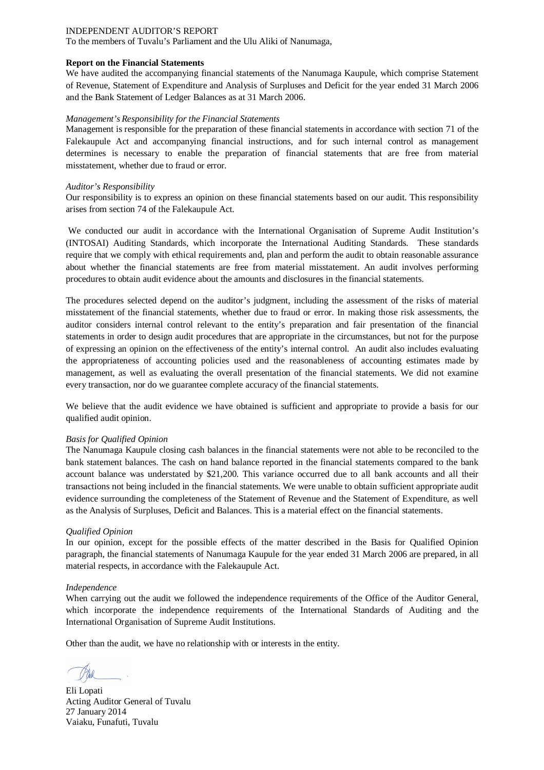To the members of Tuvalu's Parliament and the Ulu Aliki of Nanumaga,

### **Report on the Financial Statements**

We have audited the accompanying financial statements of the Nanumaga Kaupule, which comprise Statement of Revenue, Statement of Expenditure and Analysis of Surpluses and Deficit for the year ended 31 March 2006 and the Bank Statement of Ledger Balances as at 31 March 2006.

### *Management's Responsibility for the Financial Statements*

Management is responsible for the preparation of these financial statements in accordance with section 71 of the Falekaupule Act and accompanying financial instructions, and for such internal control as management determines is necessary to enable the preparation of financial statements that are free from material misstatement, whether due to fraud or error.

### *Auditor's Responsibility*

Our responsibility is to express an opinion on these financial statements based on our audit. This responsibility arises from section 74 of the Falekaupule Act.

We conducted our audit in accordance with the International Organisation of Supreme Audit Institution's (INTOSAI) Auditing Standards, which incorporate the International Auditing Standards. These standards require that we comply with ethical requirements and, plan and perform the audit to obtain reasonable assurance about whether the financial statements are free from material misstatement. An audit involves performing procedures to obtain audit evidence about the amounts and disclosures in the financial statements.

The procedures selected depend on the auditor's judgment, including the assessment of the risks of material misstatement of the financial statements, whether due to fraud or error. In making those risk assessments, the auditor considers internal control relevant to the entity's preparation and fair presentation of the financial statements in order to design audit procedures that are appropriate in the circumstances, but not for the purpose of expressing an opinion on the effectiveness of the entity's internal control. An audit also includes evaluating the appropriateness of accounting policies used and the reasonableness of accounting estimates made by management, as well as evaluating the overall presentation of the financial statements. We did not examine every transaction, nor do we guarantee complete accuracy of the financial statements.

We believe that the audit evidence we have obtained is sufficient and appropriate to provide a basis for our qualified audit opinion.

### *Basis for Qualified Opinion*

The Nanumaga Kaupule closing cash balances in the financial statements were not able to be reconciled to the bank statement balances. The cash on hand balance reported in the financial statements compared to the bank account balance was understated by \$21,200. This variance occurred due to all bank accounts and all their transactions not being included in the financial statements. We were unable to obtain sufficient appropriate audit evidence surrounding the completeness of the Statement of Revenue and the Statement of Expenditure, as well as the Analysis of Surpluses, Deficit and Balances. This is a material effect on the financial statements.

### *Qualified Opinion*

In our opinion, except for the possible effects of the matter described in the Basis for Qualified Opinion paragraph, the financial statements of Nanumaga Kaupule for the year ended 31 March 2006 are prepared, in all material respects, in accordance with the Falekaupule Act.

### *Independence*

When carrying out the audit we followed the independence requirements of the Office of the Auditor General, which incorporate the independence requirements of the International Standards of Auditing and the International Organisation of Supreme Audit Institutions.

Eli Lopati Acting Auditor General of Tuvalu 27 January 2014 Vaiaku, Funafuti, Tuvalu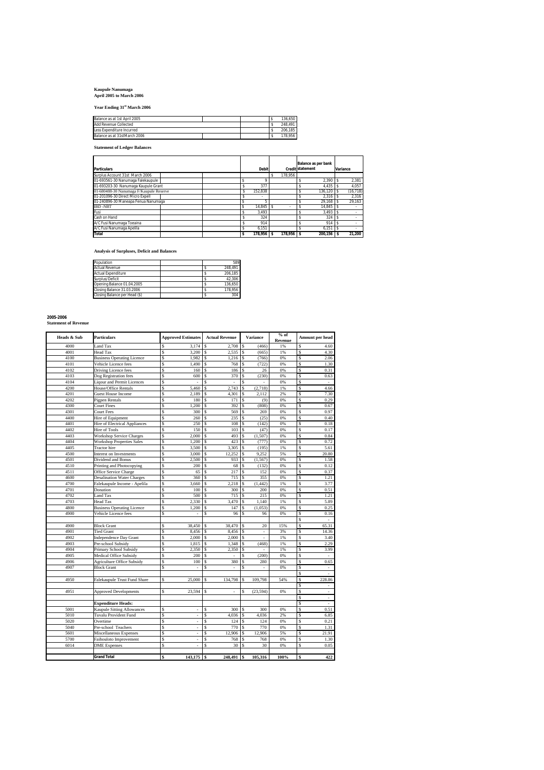## **Kaupule Nanumaga April 2005 to March 2006**

**Year Ending 31st March 2006**

| Balance as at 1st April 2005 |  | 136.650 |
|------------------------------|--|---------|
| Add Revenue Collected        |  | 248.491 |
| Less Expenditure Incurred    |  | 206.185 |
| Balance as at 31stMarch 2006 |  | 178.956 |
|                              |  |         |

**Statement of Ledger Balances**

|                                         |   |         |           | <b>Balance as per bank</b> |           |
|-----------------------------------------|---|---------|-----------|----------------------------|-----------|
| <b>Particulars</b>                      |   | Debit   |           | <b>Credit statement</b>    | Variance  |
| Surplus Account 31st March 2006         |   |         | 178.956   |                            |           |
| 01-693561-30 Nanumaga Falekaupule       |   |         |           | 2.390<br>s                 | 2.381     |
| 01-693203-30 Nanumaga Kaupule Grant     |   | 377     |           | 4.435                      | 4.057     |
| 01-680488-30 Nanumaga F/Kaupule Reserve | х | 152.838 |           | 136.120<br>s               | (16, 718) |
| 01-201096-30 Direct Micro Expell        |   | ٠       |           | 2.316                      | 2.316     |
| 01-240896-30 Maneapa Fenua Nanumaga     |   |         |           | 29,168                     | 29.163    |
| <b>IBD-NBT</b>                          |   | 14.845  |           | 14.845                     | $\sim$    |
| Fusi                                    |   | 3.493   |           | 3.493                      |           |
| Cash on Hand                            |   | 324     |           | 324<br>s                   | $\sim$    |
| A/C Fusi Nanumaga Toeaina               |   | 914     |           | 914                        |           |
| A/C Fusi Nanumaga Apelila               |   | 6.151   |           | 6.151<br>s                 | $\sim$    |
| Total                                   |   | 178.956 | 178.956 S | 200.156 S                  | 21.200    |

**Analysis of Surpluses, Deficit and Balances**

| Population                    |  | 589     |
|-------------------------------|--|---------|
| <b>Actual Revenue</b>         |  | 248.491 |
| Actual Expenditure            |  | 206.185 |
| Surplus/Deficit               |  | 42.306  |
| Opening Balance 01.04.2005    |  | 136.650 |
| Closing Balance 31.03.2006    |  | 178.956 |
| Closing Balance per Head (\$) |  | 304     |

| 2005-2006                   |  |
|-----------------------------|--|
| <b>Statement of Revenue</b> |  |

| Heads & Sub | <b>Particulars</b>                | <b>Approved Estimates</b> | <b>Actual Revenue</b> | <b>Variance</b> |         | Amount per head |
|-------------|-----------------------------------|---------------------------|-----------------------|-----------------|---------|-----------------|
|             |                                   |                           |                       |                 | Revenue |                 |
| 4000        | Land Tax                          | 3.174<br>\$               | 2.708<br>s            | (466)<br>S      | 1%      | 4.60<br>\$      |
| 4001        | Head Tax                          | \$<br>3,200               | 2,535<br>S            | \$<br>(665)     | 1%      | Ś<br>4.30       |
| 4100        | <b>Business Operating Licence</b> | \$<br>1.982               | Ś<br>1,216            | Ś<br>(766)      | 0%      | S<br>2.06       |
| 4101        | Vehicle Licence fees              | Ŝ<br>1,490                | Ś<br>768              | S<br>(722)      | 0%      | S<br>1.30       |
| 4102        | Driving Licence fees              | \$<br>160                 | Ś<br>186              | \$.<br>26       | 0%      | Ŝ<br>0.31       |
| 4103        | Dog Registration fees             | Ŝ<br>600                  | 370<br>Ś              | (230)<br>S      | 0%      | Ś<br>0.63       |
| 4104        | <b>Liqour and Permit Licences</b> | \$                        | Ś<br>J.               | \$.             | 0%      | S<br>×.         |
| 4200        | House/Office Rentals              | \$<br>5,460               | 2,743<br>\$           | (2,718)<br>\$   | 1%      | 4.66<br>S       |
| 4201        | <b>Guest House Income</b>         | \$<br>2,189               | 4,301<br>Ś            | 2,112<br>S      | 2%      | S<br>7.30       |
| 4202        | Pigpen Rentals                    | \$<br>180                 | S<br>171              | \$<br>(9)       | 0%      | S<br>0.29       |
| 4300        | <b>Court Fines</b>                | \$<br>1,200               | 392<br>S              | (808)<br>S      | 0%      | S<br>0.67       |
| 4301        | Court Fees                        | \$<br>300                 | 569<br>S              | 269<br>\$       | 0%      | S<br>0.97       |
| 4400        | Hire of Equipment                 | \$<br>260                 | Ś<br>235              | Ś<br>(25)       | 0%      | Ŝ<br>0.40       |
| 4401        | Hire of Electrical Appliances     | \$<br>250                 | Ŝ<br>108              | \$<br>(142)     | 0%      | S<br>0.18       |
| 4402        | Hire of Tools                     | \$<br>150                 | Ŝ<br>103              | S<br>(47)       | 0%      | S<br>0.17       |
| 4403        | <b>Workshop Service Charges</b>   | \$<br>2,000               | Ŝ<br>493              | (1,507)<br>\$   | 0%      | \$<br>0.84      |
| 4404        | <b>Workshop Properties Sales</b>  | \$<br>1.200               | 423<br>Ś              | (777)<br>\$.    | 0%      | S<br>0.72       |
| 4405        | <b>Tractor</b> hire               | \$<br>3,500               | 3,305<br>Ŝ            | \$<br>(195)     | 1%      | S<br>5.61       |
| 4500        | Interest on Investments           | \$<br>3,000               | Ś<br>12.252           | S<br>9.252      | 5%      | S<br>20.80      |
| 4501        | Dividend and Bonus                | \$<br>2,500               | 933<br>S              | \$<br>(1, 567)  | 0%      | S<br>1.58       |
| 4510        | Printing and Photocopying         | \$<br>200                 | Ś<br>68               | S<br>(132)      | 0%      | S<br>0.12       |
| 4511        | Office Service Charge             | \$<br>65                  | Ŝ<br>217              | \$<br>152       | 0%      | S<br>0.37       |
| 4600        | <b>Desalination Water Charges</b> | \$<br>360                 | 715<br>Ś              | Ś<br>355        | 0%      | S<br>1.21       |
| 4700        | Falekaupule Income - Apelila      | \$<br>3,660               | 2,218<br>Ś            | (1.442)<br>Ŝ    | 1%      | Ŝ<br>3.77       |
| 4701        | Donation                          | \$<br>100                 | 300<br>Ś              | Ś<br>200        | 0%      | S<br>0.51       |
| 4702        | Land Tax                          | \$<br>500                 | 715<br>Ś              | S<br>215        | 0%      | S<br>1.21       |
| 4703        | Head Tax                          | \$<br>2,330               | 3,470<br>Ś            | 1,140<br>S      | 1%      | S<br>5.89       |
| 4800        | <b>Business Operating Licence</b> | \$<br>1,200               | 147<br>Ś              | (1,053)<br>Ŝ    | 0%      | S<br>0.25       |
| 4900        | Vehicle Licence fees              | \$                        | Ś<br>96               | Ś<br>96         | 0%      | S<br>0.16       |
|             |                                   |                           |                       |                 |         | S               |
| 4900        | <b>Block Grant</b>                | \$<br>38,450              | 38,470<br>S           | 20<br>S         | 15%     | S<br>65.31      |
| 4901        | <b>Tied Grant</b>                 | \$<br>8,456               | S<br>8,456            | \$<br>×,        | 3%      | S<br>14.36      |
| 4902        | <b>Independence Day Grant</b>     | \$<br>2,000               | 2,000<br>Ś            |                 | 1%      | Ś<br>3.40       |
| 4903        | Pre-school Subsidy                | \$<br>1,815               | 1,348<br>S            | (468)<br>\$     | 1%      | S<br>2.29       |
| 4904        | Primary School Subsidy            | \$<br>2,350               | Ś<br>2,350            | S<br>ä,         | 1%      | Ś<br>3.99       |
| 4905        | Medical Office Subsidy            | \$<br>200                 | S<br>٠                | (200)<br>Ŝ      | 0%      | S<br>×.         |
| 4906        | Agriculture Office Subsidy        | \$<br>100                 | Ś<br>380              | Ś<br>280        | 0%      | S<br>0.65       |
| 4907        | <b>Block Grant</b>                | \$<br>J.                  | Ŝ                     | \$              | 0%      | S<br>×.         |
|             |                                   |                           |                       |                 |         | S<br>÷.         |
| 4950        | Falekaupule Trust Fund Share      | \$<br>25,000              | 134,798<br>\$         | 109,798<br>\$   | 54%     | S<br>228.86     |
|             |                                   |                           |                       |                 |         | S               |
| 4951        | <b>Approved Developments</b>      | \$<br>23,594              | \$<br>J.              | (23, 594)<br>\$ | 0%      | S<br>à.         |
|             |                                   |                           |                       |                 |         | S<br>٠          |
|             | <b>Expenditure Heads:</b>         |                           |                       |                 |         | S<br>×.         |
| 5001        | <b>Kaupule Sitting Allowances</b> | \$                        | 300<br>\$             | 300<br>S        | 0%      | S<br>0.51       |
| 5010        | Tuvalu Provident Fund             | \$<br>ä,                  | Ś<br>4,036            | 4,036<br>S      | 2%      | S<br>6.85       |
| 5020        | Overtime                          | \$                        | Ś<br>124              | S<br>124        | 0%      | S<br>0.21       |
| 5040        | Pre-school Teachers               | \$<br>٠                   | 770<br>Ŝ              | 770<br>Ŝ        | 0%      | S<br>1.31       |
| 5601        | Miscellaneous Expenses            | \$                        | Ś<br>12,906           | 12,906<br>S     | 5%      | S<br>21.91      |
| 5700        | Faihouloto Improvement            | \$<br>ä,                  | Ŝ<br>768              | S<br>768        | 0%      | S<br>1.30       |
| 6014        | <b>DME</b> Expenses               | Ś                         | Ś<br>30               | 30              | 0%      | Ś<br>0.05       |
|             |                                   |                           |                       |                 |         |                 |
|             | <b>Grand Total</b>                | 143,175 \$<br>\$          | 248.491               | 105,316<br>s    | 100%    | 422<br>Ś        |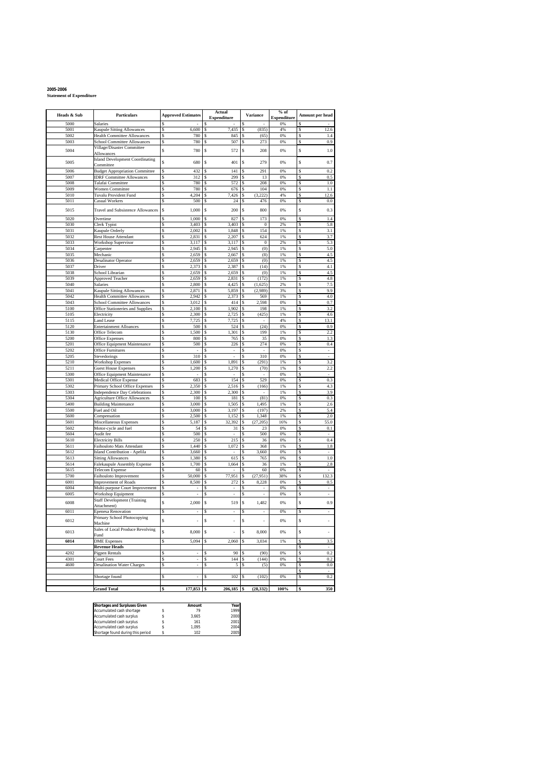**2005-2006 Statement of Expenditure**

|              |                                                                  |                                | Actual                        |                                | % of               |                                |
|--------------|------------------------------------------------------------------|--------------------------------|-------------------------------|--------------------------------|--------------------|--------------------------------|
| Heads & Sub  | Particulars                                                      | <b>Approved Estimates</b>      | Expenditure                   | Variance                       | <b>Expenditure</b> | Amount per head                |
| 5000         | Salaries                                                         | \$                             |                               |                                | 0%                 |                                |
| 5001         | Kaupule Sitting Allowances                                       | \$<br>6,600                    | 7,435<br>\$                   | (835)<br>\$                    | 4%                 | Ś<br>12.6                      |
| 5002         | <b>Health Committee Allowances</b>                               | \$<br>780                      | S<br>845                      | \$<br>(65)                     | 0%                 | S<br>1.4<br>0.9                |
| 5003         | <b>School Committee Allowances</b><br>Village/Disaster Committee | \$<br>780                      | 507<br>S                      | 273<br>S                       | 0%                 | S                              |
| 5004         | Allowances                                                       | \$<br>780                      | \$<br>572                     | \$<br>208                      | 0%                 | Ŝ<br>1.0                       |
|              | <b>Island Development Coordinating</b>                           |                                |                               |                                |                    |                                |
| 5005         | Committee                                                        | \$<br>680                      | S<br>401                      | \$<br>279                      | 0%                 | Ŝ<br>0.7                       |
| 5006         | <b>Budget Appropriation Committee</b>                            | \$<br>432                      | 141<br>S                      | 291<br>\$                      | 0%                 | Ŝ<br>0.2                       |
| 5007         | <b>IDRF Committee Allowances</b>                                 | \$<br>312                      | 299<br>S                      | 13<br>S                        | 0%                 | S<br>0.5                       |
| 5008<br>5009 | Talafai Committee<br>Women Committee                             | \$<br>780<br>780<br>\$         | 572<br>S<br>676<br>S          | 208<br>\$<br>104<br>s          | 0%<br>0%           | 1.0<br>S<br>\$<br>1.1          |
| 5010         | <b>Tuvalu Provident Fund</b>                                     | \$<br>4,204                    | 7,426<br>S                    | (3,222)<br>\$                  | 4%                 | S<br>12.6                      |
| 5011         | Casual Workers                                                   | \$<br>500                      | 24<br>S                       | 476<br>S                       | 0%                 | Ś<br>0.0                       |
| 5015         | Travel and Subsistence Allowances                                | \$<br>1,000                    | S<br>200                      | \$<br>800                      | 0%                 | Ŝ<br>0.3                       |
|              |                                                                  |                                |                               |                                |                    |                                |
| 5020         | Overtime                                                         | \$<br>1,000                    | \$<br>827<br>S                | 173<br>\$<br>$\bf{0}$<br>S     | 0%<br>2%           | Ŝ<br>1.4<br>\$                 |
| 5030<br>5031 | Clerk Typist<br>Kaupule Orderly                                  | \$<br>3,403<br>2,002<br>\$     | 3,403<br>1,848<br>S           | 154<br>\$                      | 1%                 | 5.8<br>\$<br>3.1               |
| 5032         | <b>Rest House Attendant</b>                                      | \$<br>2,831                    | 2,207<br>S                    | 624<br>\$                      | 1%                 | Ś<br>3.7                       |
| 5033         | <b>Workshop Supervisor</b>                                       | \$<br>3,117                    | \$<br>3,117                   | $\boldsymbol{0}$<br>\$         | 2%                 | S<br>5.3                       |
| 5034         | Carpenter                                                        | \$<br>2,945                    | 2,945<br>S                    | (0)<br>S                       | 1%                 | 5.0<br>S                       |
| 5035         | Mechanic                                                         | \$<br>2,659                    | 2,667<br>S                    | (8)<br>S                       | 1%                 | 4.5<br>s                       |
| 5036         | <b>Desalinator Operator</b>                                      | \$<br>2,659                    | 2,659<br>S                    | (0)<br>S                       | 1%                 | S<br>4.5                       |
| 5037         | Driver                                                           | \$<br>2,373<br>\$              | \$<br>2,387<br>Ś              | S<br>(14)                      | 1%                 | S<br>4.1                       |
| 5038<br>5039 | School Librarian<br>Approved Teacher                             | 2,659<br>\$<br>2,659           | 2,659<br>2,831<br>S           | (0)<br>\$<br>(172)<br>S        | 1%<br>1%           | 4.5<br>S<br>S<br>4.8           |
| 5040         | <b>Salaries</b>                                                  | \$<br>2,800                    | 4,425<br>S                    | (1,625)<br>\$                  | 2%                 | S<br>7.5                       |
| 5041         | Kaupule Sitting Allowances                                       | \$<br>2,871                    | S<br>5,859                    | (2,989)<br>S                   | 3%                 | \$<br>9.9                      |
| 5042         | <b>Health Committee Allowances</b>                               | 2,942<br>\$                    | \$<br>2,373                   | \$<br>569                      | 1%                 | 4.0<br>\$                      |
| 5043         | <b>School Committee Allowances</b>                               | \$<br>3,012                    | 414<br>S                      | <sup>2</sup><br>598<br>S       | 0%                 | Ś<br>0.7                       |
| 5100         | Office Stationeries and Supplies                                 | \$<br>2,100                    | 1,902<br>\$                   | 198<br>\$                      | 1%                 | S<br>3.2                       |
| 5105         | Electricity                                                      | \$<br>2,300<br>\$              | 2.725<br>S                    | (425)<br>\$                    | 1%<br>4%           | 4.6<br>\$<br>13.1<br>s         |
| 5115<br>5120 | Land Lease<br><b>Entertainment Alloances</b>                     | 7,725<br>\$<br>500             | 7,725<br>S<br>524<br>S        | S<br>×,<br>\$<br>(24)          | 0%                 | S<br>0.9                       |
| 5130         | Office Telecom                                                   | \$<br>1,500                    | \$<br>1,301                   | \$<br>199                      | 1%                 | S<br>2.2                       |
| 5200         | <b>Office Expenses</b>                                           | \$<br>800                      | Ś<br>765                      | 35<br>\$                       | 0%                 | S<br>1.3                       |
| 5201         | Office Equipment Maintenance                                     | \$<br>500                      | 226<br>S                      | 274<br>S                       | 0%                 | S<br>0.4                       |
| 5202         | <b>Office Furnitures</b>                                         | \$<br>÷                        | \$<br>٠                       | \$                             | 0%                 | S<br>$\overline{\phantom{a}}$  |
| 5205         | Stevedorings                                                     | \$<br>310                      | S<br>$\overline{\phantom{a}}$ | 310<br>S                       | 0%                 | \$<br>$\sim$                   |
| 5210<br>5211 | <b>Workshop Expenses</b>                                         | \$<br>1,600<br>\$<br>1,200     | 1,891<br>\$<br>1,270<br>S     | (291)<br>\$<br>(70)<br>S       | 1%<br>1%           | 3.2<br>\$<br>Ś<br>2.2          |
| 5300         | <b>Guest House Expenses</b><br>Office Equipment Maintenance      | \$                             | \$                            | \$<br>×,                       | 0%                 | S<br>÷                         |
| 5301         | Medical Office Expense                                           | \$<br>683                      | 154<br>S                      | 529<br>\$                      | 0%                 | 0.3<br>\$                      |
| 5302         | Primary School Office Expenses                                   | \$<br>2,350                    | 2,516<br>S                    | (166)<br>\$                    | 1%                 | s<br>4.3                       |
| 5303         | <b>Independence Day Celebrations</b>                             | \$<br>2,300                    | 2,300<br>S                    | S<br>$\overline{\phantom{a}}$  | 1%                 | S<br>3.9                       |
| 5304         | <b>Agriculture Office Allowances</b>                             | \$<br>100                      | 181<br>S                      | (81)<br>S                      | 0%                 | S<br>0.3                       |
| 5400         | <b>Building Maintenance</b>                                      | \$<br>3,000                    | 1,505<br>Ś                    | 1,495<br>\$                    | 1%                 | 2.6<br>S<br>5.4                |
| 5500<br>5600 | Fuel and Oil<br>Compensation                                     | \$<br>3,000<br>\$<br>2,500     | 3,197<br>S<br>S<br>1,152      | (197)<br>S<br>\$<br>1,348      | 2%<br>1%           | S<br>S<br>2.0                  |
| 5601         | Miscellaneous Expenses                                           | \$<br>5,187                    | S<br>32,392                   | (27, 205)<br>\$                | 16%                | \$<br>55.0                     |
| 5602         | Motor-cycle and fuel                                             | \$<br>54                       | S<br>31                       | \$<br>23                       | 0%                 | 0.1<br>\$                      |
| 5604         | Audit fee                                                        | \$<br>500                      | S                             | 500<br>S                       | 0%                 | Ś                              |
| 5610         | <b>Electricity Bills</b>                                         | \$<br>250                      | 215<br>\$                     | \$<br>36                       | 0%                 | S<br>0.4                       |
| 5611         | Faihouloto Mats Attendant                                        | 1,440<br>\$                    | 1,072<br>S                    | \$<br>368                      | 1%                 | \$<br>1.8                      |
| 5612         | <b>Island Contribution - Apelila</b>                             | \$<br>3,660                    | S<br>ä,                       | 3,660<br>S                     | 0%                 | s<br>$\sim$                    |
| 5613<br>5614 | <b>Sitting Allowances</b><br>Falekaupule Assembly Expense        | \$<br>1,380<br>\$<br>1,700     | 615<br>S<br>\$<br>1,664       | \$<br>765<br>\$<br>36          | 0%<br>1%           | S<br>1.0<br>S<br>2.8           |
| 5615         | <b>Telecom Expense</b>                                           | \$<br>60                       | Ś                             | 60<br>\$                       | 0%                 | S                              |
| 5700         | Faihouloto Improvement                                           | \$<br>50,000                   | 77,951<br>S                   | \$<br>(27, 951)                | 38%                | 132.3<br>S                     |
| 6001         | Improvement of Roads                                             | 8,500<br>\$                    | 272<br>S                      | 8,228<br>\$                    | 0%                 | Ŝ<br>0.5                       |
| 6004         | Multi-purpose Court Improvement                                  | \$<br>$\sim$                   | S<br>$\overline{\phantom{a}}$ | s<br>٠                         | 0%                 | \$<br>$\overline{\phantom{a}}$ |
| 6005         | Workshop Equipment                                               | \$<br>Ĭ.                       | S                             | \$                             | 0%                 | \$                             |
| 6008         | <b>Staff Development (Training</b><br>Attachment)                | \$<br>2,000                    | \$<br>519                     | \$<br>1,482                    | 0%                 | \$<br>0.9                      |
| 6011         | <b>Epenesa Renovation</b>                                        | \$                             | \$                            | \$                             | 0%                 | Ŝ                              |
|              | Primary School Photocopying                                      |                                |                               |                                |                    |                                |
| 6012         | Machine                                                          | \$<br>$\overline{\phantom{a}}$ | S<br>$\overline{\phantom{a}}$ | \$<br>$\overline{\phantom{a}}$ | 0%                 | \$<br>÷,                       |
| 6013         | Sales of Local Produce Revolving                                 | \$<br>8,000 \$                 | ÷.                            | $\mathbb{S}$<br>8,000          | 0%                 | ä,<br>\$                       |
| 6014         | Fund                                                             | 5,094                          | S                             | 3,034<br>\$                    |                    | Ś<br>3.5                       |
|              | <b>DME</b> Expenses<br><b>Revenue Heads</b>                      | \$                             | 2,060                         |                                | 1%                 | \$<br>$\sim$                   |
| 4202         | Pigpen Rentals                                                   | \$                             | 90<br>S                       | \$<br>(90)                     | 0%                 | S<br>0.2                       |
| 4301         | <b>Court Fees</b>                                                | \$<br>÷                        | \$<br>144                     | (144)<br>\$                    | 0%                 | s<br>0.2                       |
| 4600         | <b>Desalination Water Charges</b>                                | \$<br>$\overline{\phantom{a}}$ | \$<br>5                       | \$<br>(5)                      | $0\%$              | \$<br>$0.0\,$                  |
|              |                                                                  |                                |                               |                                |                    | \$                             |
|              | Shortage found                                                   | \$                             | \$<br>102                     | (102)<br>\$                    | 0%                 | \$<br>0.2                      |
|              | <b>Grand Total</b>                                               | \$<br>177,853 \$               | 206,185                       | (28, 332)<br>\$                | 100%               | \$<br>350                      |
|              |                                                                  |                                |                               |                                |                    |                                |

| <b>Shortages and Surpluses Given</b> | Amount | Year |
|--------------------------------------|--------|------|
| Accumulated cash shortage            | 79     | 1999 |
| Accumulated cash surplus             | 3.665  | 2000 |
| Accumulated cash surplus             | 161    | 2001 |
| Accumulated cash surplus             | 1.095  | 2004 |
| Shortage found during this period    | 102    | 2005 |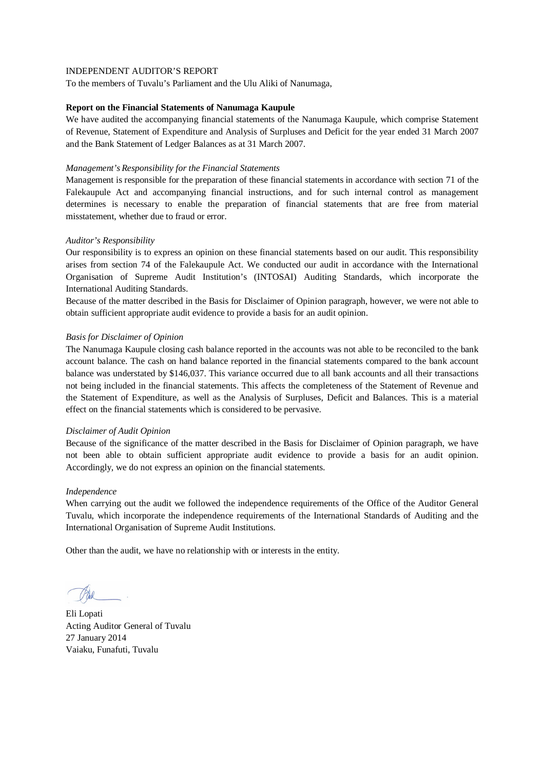To the members of Tuvalu's Parliament and the Ulu Aliki of Nanumaga,

### **Report on the Financial Statements of Nanumaga Kaupule**

We have audited the accompanying financial statements of the Nanumaga Kaupule, which comprise Statement of Revenue, Statement of Expenditure and Analysis of Surpluses and Deficit for the year ended 31 March 2007 and the Bank Statement of Ledger Balances as at 31 March 2007.

### *Management's Responsibility for the Financial Statements*

Management is responsible for the preparation of these financial statements in accordance with section 71 of the Falekaupule Act and accompanying financial instructions, and for such internal control as management determines is necessary to enable the preparation of financial statements that are free from material misstatement, whether due to fraud or error.

## *Auditor's Responsibility*

Our responsibility is to express an opinion on these financial statements based on our audit. This responsibility arises from section 74 of the Falekaupule Act. We conducted our audit in accordance with the International Organisation of Supreme Audit Institution's (INTOSAI) Auditing Standards, which incorporate the International Auditing Standards.

Because of the matter described in the Basis for Disclaimer of Opinion paragraph, however, we were not able to obtain sufficient appropriate audit evidence to provide a basis for an audit opinion.

## *Basis for Disclaimer of Opinion*

The Nanumaga Kaupule closing cash balance reported in the accounts was not able to be reconciled to the bank account balance. The cash on hand balance reported in the financial statements compared to the bank account balance was understated by \$146,037. This variance occurred due to all bank accounts and all their transactions not being included in the financial statements. This affects the completeness of the Statement of Revenue and the Statement of Expenditure, as well as the Analysis of Surpluses, Deficit and Balances. This is a material effect on the financial statements which is considered to be pervasive.

### *Disclaimer of Audit Opinion*

Because of the significance of the matter described in the Basis for Disclaimer of Opinion paragraph, we have not been able to obtain sufficient appropriate audit evidence to provide a basis for an audit opinion. Accordingly, we do not express an opinion on the financial statements.

### *Independence*

When carrying out the audit we followed the independence requirements of the Office of the Auditor General Tuvalu, which incorporate the independence requirements of the International Standards of Auditing and the International Organisation of Supreme Audit Institutions.

Eli Lopati Acting Auditor General of Tuvalu 27 January 2014 Vaiaku, Funafuti, Tuvalu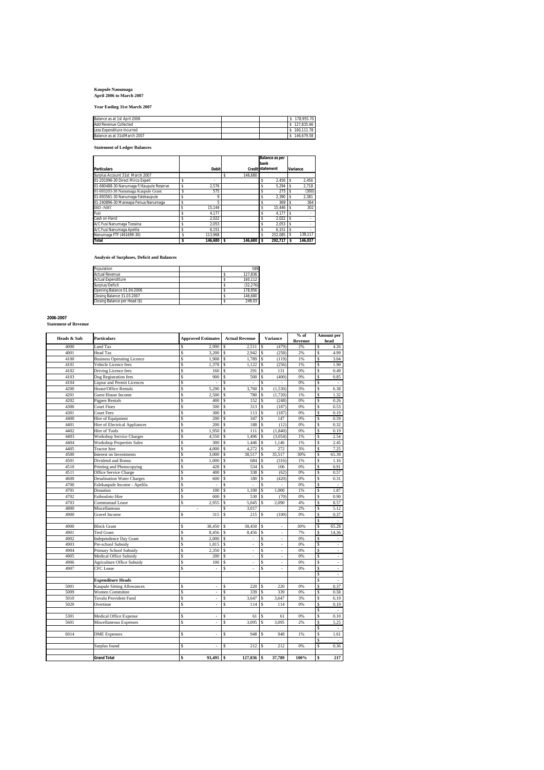## **Kaupule Nanumaga April 2006 to March 2007**

**Year Ending 31st March 2007**

| Balance as at 1st April 2006 |  | \$178,955.70 |
|------------------------------|--|--------------|
| Add Revenue Collected        |  | \$127.835.66 |
| Less Expenditure Incurred    |  | \$160,111.78 |
| Balance as at 31stMarch 2007 |  | \$146,679.58 |

**Statement of Ledger Balances**

|                                         |    |            |               | bank | Balance as per          |    |          |
|-----------------------------------------|----|------------|---------------|------|-------------------------|----|----------|
| <b>Particulars</b>                      |    | Debit      |               |      | <b>Credit statement</b> |    | Variance |
| Surplus Account 31st March 2007         |    |            | 146.680<br>\$ |      |                         |    |          |
| 01-201096-30 Direct Mirco Expell        | s  |            |               |      | 2.456                   |    | 2.456    |
| 01-680488-30 Nanumaga F/Kaupule Reserve | Ś  | 2.576      |               |      | $5.294$ \$              |    | 2.718    |
| 01-693203-30 Nanumaga Kaupule Grant     | \$ | 575        |               |      | 275                     | ١s | (300)    |
| 01-693561-30 Nanumaga Falekaupule       | \$ | 9          |               |      | 2.390                   |    | 2.381    |
| 01-240896-30 Maneapa Fenua Nanumaga     |    | 5          |               |      | 369                     |    | 364      |
| <b>IBD-NBT</b>                          |    | 15.144     |               |      | 15.446 \$               |    | 302      |
| Fusi                                    |    | 4.177      |               |      | 4.177                   |    |          |
| Cash on Hand                            |    | 2.022      |               |      | $2.022$ \$              |    |          |
| A/C Fusi Nanumaga Toeaina               |    | 2.053      |               |      | $2.053$ \$              |    |          |
| A/C Fusi Nanumaga Apelila               |    | 6.151      |               |      | 6.151                   |    |          |
| Nanumaga FTF (461699-30)                | Ś  | 113.968    |               |      | 252.085                 |    | 138.117  |
| Total                                   | \$ | 146.680 \$ | 146.680 \$    |      | 292.717                 |    | 146.037  |

**Analysis of Surpluses, Deficit and Balances**

| Population                    | 589      |
|-------------------------------|----------|
| <b>Actual Revenue</b>         | 127.836  |
| <b>Actual Expenditure</b>     | 160.112  |
| Surplus/Deficit               | (32.276) |
| Opening Balance 01.04.2006    | 178.956  |
| Closing Balance 31.03.2007    | 146.680  |
| Closing Balance per Head (\$) | 249.03   |

## **2006-2007 Statement of Revenue**

|             |                                                             |         |                           |         |                       |                 | $%$ of                               | <b>Amount per</b> |                                  |  |
|-------------|-------------------------------------------------------------|---------|---------------------------|---------|-----------------------|-----------------|--------------------------------------|-------------------|----------------------------------|--|
| Heads & Sub | <b>Particulars</b>                                          |         | <b>Approved Estimates</b> |         | <b>Actual Revenue</b> | <b>Variance</b> | Revenue                              |                   | head                             |  |
| 4000        | Land Tax                                                    | Ŝ       | 2.990                     | Ś       | 2,511                 | \$              | (479)<br>2%                          | Ŝ                 | 4.26                             |  |
| 4001        | Head Tax                                                    | \$      | 3,200                     | \$      | 2.942                 | Ŝ               | (258)<br>2%                          | \$                | 4.99                             |  |
| 4100        | <b>Business Operating Licence</b>                           | Ś       | 1,908                     | Ś       | 1,789                 | Ŝ               | (119)<br>1%                          | \$                | 3.04                             |  |
| 4101        | Vehicle Licence fees                                        | \$      | 1,378                     | \$      | 1,122                 | \$              | (256)<br>1%                          | \$                | 1.90                             |  |
| 4102        | Driving Licence fees                                        | \$      | 160                       | \$      | 291                   | Ŝ               | 0%<br>131                            | \$                | 0.49                             |  |
| 4103        | Dog Registration fees                                       | Ś       | 900                       | Ś       | 500                   | (400)<br>\$     | 0%                                   | \$                | 0.85                             |  |
| 4104        | <b>Liqour and Permit Licences</b>                           | \$      |                           | \$      |                       | Ŝ               | 0%                                   | \$                | $\overline{\phantom{a}}$         |  |
| 4200        | House/Office Rentals                                        | \$      | 5,290                     | \$      | 3,760                 | \$<br>(1, 530)  | 3%                                   | \$                | 6.38                             |  |
| 4201        | <b>Guest House Income</b>                                   | \$      | 2,500                     | Ś       | 780                   | \$<br>(1,720)   | 1%                                   | S                 | 1.32                             |  |
| 4202        | Pigpen Rentals                                              | \$      | 400                       | \$      | 152                   | \$<br>(248)     | 0%                                   | \$                | 0.26                             |  |
| 4300        | <b>Court Fines</b>                                          | \$      | 500                       | \$      | 313                   | \$              | (187)<br>0%                          | \$                | 0.53                             |  |
| 4301        | <b>Court Fees</b>                                           | Ś       | 300                       | \$      | 113                   | Ŝ<br>(187)      | 0%                                   | Ŝ                 | 0.19                             |  |
| 4400        | Hire of Equipment                                           | \$      | 200                       | Ś       | 347                   | Ŝ               | 0%<br>147                            | \$                | 0.59                             |  |
| 4401        | Hire of Electrical Appliances                               | Ś       | 200                       | Ś       | 188                   | Ŝ               | (12)<br>0%                           | Ŝ                 | 0.32                             |  |
| 4402        | Hire of Tools                                               | S       | 1.950                     | \$      | 111                   | (1.840)<br>Ŝ    | 0%                                   | \$                | 0.19                             |  |
| 4403        | <b>Workshop Service Charges</b>                             | \$      | 4,550                     | \$      | 1,496                 | (3,054)<br>Ŝ    | 1%                                   | S                 | 2.54                             |  |
| 4404        | <b>Workshop Properties Sales</b>                            | \$      | 300                       | Ś       | 1,446                 | Ŝ<br>1,146      | 1%                                   | \$                | 2.45                             |  |
| 4405        | <b>Tractor</b> hire                                         | \$      | 4.000                     | \$      | 4,272                 | Ŝ               | 3%<br>272                            | \$                | 7.25                             |  |
| 4500        | Interest on Investments                                     | Ś       | 3,000                     | Ŝ       | 38,517                | 35,517<br>Ŝ     | 30%                                  | \$                | 65.39                            |  |
| 4501        | Dividend and Bonus                                          | \$      | 1,000                     | Ś       | 684                   | Ŝ               | (316)<br>1%                          | \$                | 1.16                             |  |
| 4510        | Printing and Photocopying                                   | \$      | 428                       | Ś       | 534                   | Ŝ               | 106<br>0%                            | \$                | 0.91                             |  |
| 4511        | Office Service Charge                                       | \$      | 400                       | Ś       | 338                   | \$              | 0%<br>(62)                           | \$                | 0.57                             |  |
| 4600        | <b>Desalination Water Charges</b>                           | \$      | 600                       | \$      | 180                   | Ŝ               | (420)<br>0%                          | \$                | 0.31                             |  |
| 4700        | Falekaupule Income - Apelila                                | \$      | í,                        | Ś       |                       | Ŝ               | 0%                                   | \$                |                                  |  |
| 4701        | Donation                                                    | Ś       | 100                       | Ś       | 1.100                 | Ŝ<br>1,000      | 1%                                   | \$                | 1.87                             |  |
| 4702        | Faihouloto Hire                                             | \$      | 600                       | Ś       | 530                   | Ŝ               | 0%<br>(70)                           | \$                | 0.90                             |  |
| 4703        | Communual Lease                                             | \$      | 2,955                     | \$      | 5,045                 | 2,090<br>\$     | 4%                                   | \$                | 8.57                             |  |
| 4800        | Miscellaneous                                               |         | $\overline{\phantom{a}}$  | \$      | 3.017                 |                 | 2%                                   | \$                | 5.12                             |  |
| 4900        | Gravel Income                                               | \$      | 315                       | Ś       | 215                   | Ŝ               | (100)<br>0%                          | S                 | 0.37                             |  |
|             |                                                             |         |                           |         |                       |                 |                                      | \$                |                                  |  |
| 4900        | <b>Block Grant</b>                                          | \$      | 38,450                    | S       | 38,450                | S.              | 30%<br>ä,                            | \$                | 65.28                            |  |
| 4901        | <b>Tied Grant</b>                                           | Ś       | 8,456                     | \$      | 8,456                 | \$              | 7%<br>$\overline{\phantom{a}}$       | \$                | 14.36                            |  |
| 4902        | <b>Independence Day Grant</b>                               | \$      | 2,000                     | \$      | $\frac{1}{2}$         | \$              | 0%<br>i,                             | \$                |                                  |  |
| 4903        | Pre-school Subsidy                                          | \$      | 1,815                     | Ś       | i,                    | \$              | 0%<br>ä,                             | \$                | ä,                               |  |
| 4904        | Primary School Subsidy                                      | \$      | 2,350                     | Ś       | ×,                    | \$              | 0%<br>$\overline{\phantom{a}}$       | \$                | $\overline{\phantom{a}}$         |  |
| 4905        | Medical Office Subsidy                                      | \$      | 200                       | \$      |                       | \$              | 0%                                   | \$                | ä,                               |  |
| 4906        | <b>Agriculture Office Subsidy</b>                           | \$      | 100                       | \$      | ä,<br>i,              | \$              | $\overline{\phantom{a}}$<br>÷,<br>0% | \$                | ÷,                               |  |
| 4907        | <b>CFC</b> Lease                                            | \$      | ×,                        | Ś       | ä,                    | \$              | ÷,<br>0%                             | S                 | τ                                |  |
|             |                                                             |         |                           |         |                       |                 |                                      | \$                | ä,                               |  |
|             |                                                             |         |                           |         |                       |                 |                                      |                   |                                  |  |
| 5001        | <b>Expenditure Heads</b>                                    |         |                           |         |                       |                 | 220<br>0%                            | S<br>\$           | $\overline{\phantom{a}}$<br>0.37 |  |
| 5009        | <b>Kaupule Sitting Allowances</b><br><b>Women Committee</b> | Ŝ<br>\$ | ×,<br>ä,                  | \$<br>Ś | 220<br>339            | Ŝ<br>Ŝ          | 339<br>0%                            | S                 | 0.58                             |  |
|             |                                                             |         |                           |         |                       |                 |                                      |                   |                                  |  |
| 5010        | <b>Tuvalu Provident Fund</b>                                | \$      | ×,                        | Ś       | 3,647                 | Ŝ<br>3,647      | 3%                                   | \$                | 6.19                             |  |
| 5020        | Overtime                                                    | Ś       | ä,                        | Ś       | 114                   | Ŝ               | 114<br>0%                            | \$                | 0.19                             |  |
|             |                                                             |         |                           |         |                       |                 |                                      | \$                | ÷.                               |  |
| 5301        | Medical Office Expense                                      | Ś       | ä,                        | Ś       | 61                    | \$              | 61<br>0%                             | \$                | 0.10                             |  |
| 5601        | Miscellaneous Expenses                                      | \$      | ä,                        | Ś       | 3,095                 | 3,095<br>\$     | 2%                                   | \$                | 5.25                             |  |
|             |                                                             |         |                           |         |                       |                 |                                      | \$                | ×,                               |  |
| 6014        | <b>DME</b> Expenses                                         | Ś       | ä,                        | Ś       | 948                   | Ŝ               | 948<br>1%                            | \$                | 1.61                             |  |
|             |                                                             |         |                           |         |                       |                 |                                      | \$                |                                  |  |
|             | Surplus found                                               | Ś       |                           | S       | 212                   | S               | 212<br>0%                            | S                 | 0.36                             |  |
|             |                                                             |         |                           |         |                       |                 |                                      |                   |                                  |  |
|             | <b>Grand Total</b>                                          | \$      | 93,495                    | \$      | 127,836               | \$<br>37,789    | 100%                                 | \$                | 217                              |  |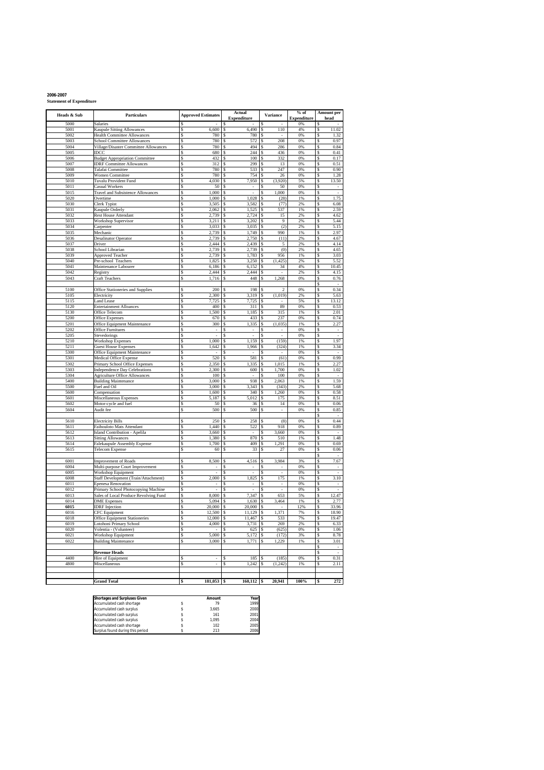**2006-2007 Statement of Expenditure**

| Heads & Sub  | Particulars                                                          |          | <b>Approved Estimates</b> |               | Actual<br><b>Expenditure</b> |               | Variance                 | $%$ of<br>Expenditure |          | <b>Amount per</b><br>head |
|--------------|----------------------------------------------------------------------|----------|---------------------------|---------------|------------------------------|---------------|--------------------------|-----------------------|----------|---------------------------|
| 5000         | Salaries                                                             |          |                           |               |                              |               |                          | 0%                    | S        |                           |
| 5001         | Kaupule Sitting Allowances                                           | S        | 6,600                     | \$            | 6,490                        | \$            | 110                      | 4%                    | \$       | 11.02                     |
| 5002<br>5003 | <b>Health Committee Allowances</b>                                   | \$<br>\$ | 780<br>780                | \$            | 780<br>572                   | \$            | 208                      | 0%<br>0%              | \$       | 1.32                      |
| 5004         | School Committee Allowances<br>Village/Disaster Committee Allowances | \$       | 780                       | \$<br>\$      | 494                          | \$<br>\$      | 286                      | $0\%$                 | \$<br>\$ | 0.97<br>0.84              |
| 5005         | IDCC                                                                 | \$       | 680                       | \$            | 244                          | S             | 436                      | 0%                    | \$       | 0.41                      |
| 5006         | <b>Budget Appropriation Committee</b>                                | \$       | 432                       | \$            | 100                          | S             | 332                      | 0%                    | \$       | 0.17                      |
| 5007         | <b>IDRF Committee Allowances</b>                                     | \$       | 312                       | \$            | 299                          | S             | 13                       | 0%                    | \$       | 0.51                      |
| 5008<br>5009 | Talafai Committee                                                    | \$<br>\$ | 780<br>780                | \$<br>\$      | 533<br>754                   | S<br>Ś        | 247<br>26                | 0%<br>0%              | \$<br>\$ | 0.90<br>1.28              |
| 5010         | Women Committee<br>Tuvalu Provident Fund                             | \$       | 4,030                     | \$            | 7,950                        | \$            | (3,920)                  | 5%                    | \$       | 13.50                     |
| 5011         | Casual Workers                                                       | \$       | 50                        | \$            |                              | S             | 50                       | 0%                    | \$       |                           |
| 5015         | Travel and Subsistence Allowances                                    | \$       | 1,000                     | \$            |                              |               | 1,000                    | 0%                    | \$       |                           |
| 5020         | Overtime                                                             | \$       | 1,000                     | \$            | 1,028                        | \$            | (28)                     | 1%                    | \$       | 1.75                      |
| 5030<br>5031 | Clerk Typist<br>Kaupule Orderly                                      | \$<br>\$ | 3,505<br>2,062            | \$<br>\$      | 3,582<br>1,525               | \$<br>\$      | (77)<br>537              | 2%<br>1%              | \$<br>\$ | 6.08<br>2.59              |
| 5032         | <b>Rest House Attendant</b>                                          | \$       | 2,739                     | \$            | 2,724                        | S             | 15                       | 2%                    | \$       | 4.62                      |
| 5033         | Workshop Supervisor                                                  | \$       | 3,211                     | <sup>\$</sup> | 3,202                        | \$            | 9                        | 2%                    | \$       | 5.44                      |
| 5034         | Carpenter                                                            | \$       | 3,033                     | \$            | 3,035                        | S             | (2)                      | 2%                    | \$       | 5.15                      |
| 5035         | Mechanic                                                             | \$       | 2,739                     | \$            | 1,749                        | \$            | 990                      | 1%                    | \$       | 2.97                      |
| 5036<br>5037 | Desalinator Operator<br>Driver                                       | \$<br>\$ | 2,739<br>2.444            | \$<br>\$      | 2,750<br>2,439               | \$<br>Ś       | (11)<br>5                | 2%<br>2%              | \$<br>\$ | 4.67<br>4.14              |
| 5038         | School Librarian                                                     | \$       | 2,739                     | \$            | 2,739                        | S             | (0)                      | 2%                    | \$       | 4.65                      |
| 5039         | <b>Approved Teacher</b>                                              | \$       | 2,739                     | \$            | 1,783                        | \$            | 956                      | 1%                    | \$       | 3.03                      |
| 5040         | Pre-school Teachers                                                  | \$       | 1,825                     | \$            | 3,250                        | S             | 425<br>$^{(1)}$          | 2%                    | \$       | 5.52                      |
| 5041         | Maintenance Labourer                                                 | \$       | 6,186                     | \$            | 6,152                        | \$            | 34                       | 4%                    | \$       | 10.45                     |
| 5042<br>5043 | Registry<br>Craft Teachers                                           | \$<br>\$ | 2,444<br>1,716            | \$<br>\$      | 2,444<br>448                 | \$<br>\$      | 1,268                    | 2%<br>0%              | \$<br>\$ | 4.15<br>0.76              |
|              |                                                                      |          |                           |               |                              |               |                          |                       | \$       | $\sim$                    |
| 5100         | Office Stationeries and Supplies                                     | S        | 200                       | S             | 198                          | s             | 2                        | 0%                    | \$       | 0.34                      |
| 5105         | Electricity                                                          | \$       | 2,300                     | S             | 3,319                        | S             | (1,019)                  | 2%                    | \$       | 5.63                      |
| 5115         | <b>Land Lease</b>                                                    | \$       | 7.725                     | \$            | 7,725                        | \$            |                          | 5%                    | \$       | 13.12                     |
| 5120<br>5130 | <b>Entertainment Alloances</b><br>Office Telecom                     | \$<br>\$ | 400<br>1,500              | S<br>\$       | 311<br>1,185                 | \$<br>\$      | 89<br>315                | 0%<br>1%              | \$<br>\$ | 0.53<br>2.01              |
| 5200         | <b>Office Expenses</b>                                               | \$       | 670                       | S             | 433                          | \$            | 237                      | 0%                    | \$       | 0.74                      |
| 5201         | Office Equipment Maintenance                                         | \$       | 300                       | \$            | 1,335                        | \$            | (1,035)                  | 1%                    | \$       | 2.27                      |
| 5202         | <b>Office Furnitures</b>                                             | \$       |                           | \$            |                              |               |                          | 0%                    | \$       |                           |
| 5205         | Stevedorings                                                         | \$       | ä,                        | \$            | ä,                           | \$            |                          | 0%                    | \$       | ×,                        |
| 5210<br>5211 | <b>Workshop Expenses</b><br><b>Guest House Expenses</b>              | \$<br>\$ | 1,000<br>1,642            | \$<br>\$      | 1,159<br>1,966               | \$<br>\$      | (159)<br>(324)           | 1%<br>1%              | \$<br>\$ | 1.97<br>3.34              |
| 5300         | Office Equipment Maintenance                                         | \$       | ×.                        | \$            | ×.                           | S             | $\overline{\phantom{a}}$ | 0%                    | \$       | $\sim$                    |
| 5301         | Medical Office Expense                                               | \$       | 520                       | \$            | 581                          | \$            | (61)                     | 0%                    | \$       | 0.99                      |
| 5302         | Primary School Office Expenses                                       | \$       | 2,350                     | \$            | 1,335                        | S             | 1,015                    | 1%                    | \$       | 2.27                      |
| 5303         | <b>Independence Day Celebrations</b>                                 | \$       | 2,300                     | \$            | 600                          | \$            | 1,700<br>100             | 0%<br>0%              | \$       | 1.02                      |
| 5304<br>5400 | <b>Agriculture Office Allowances</b><br><b>Building Maintenance</b>  | \$<br>\$ | 100<br>3,000              | \$<br>\$      | 938                          | \$<br>Ś       | 2,063                    | 1%                    | \$<br>\$ | 1.59                      |
| 5500         | Fuel and Oil                                                         | \$       | 3,000                     | \$            | 3,343                        | S             | (343)                    | 2%                    | \$       | 5.68                      |
| 5600         | Compensation                                                         | \$       | 1,600                     | \$            | 340                          | \$            | 1,260                    | 0%                    | \$       | 0.58                      |
| 5601         | Miscellaneous Expenses                                               | \$       | 5,187                     | \$            | 5,012                        | S             | 175                      | 3%                    | \$       | 8.51                      |
| 5602<br>5604 | Motor-cycle and fuel<br>Audit fee                                    | \$<br>\$ | 50<br>500                 | \$<br>\$      | 36<br>500                    | \$<br>\$      | 14                       | 0%<br>0%              | \$<br>Ś  | 0.06<br>0.85              |
|              |                                                                      |          |                           |               |                              |               |                          |                       | \$       | i,                        |
| 5610         | <b>Electricity Bills</b>                                             | S        | 250                       | S             | 258                          | S             | (8)                      | $0\%$                 | \$       | 0.44                      |
| 5611         | Faihouloto Mats Attendant                                            | \$       | 1,440                     | S             | 522                          | s             | 918                      | 0%                    | \$       | 0.89                      |
| 5612         | Island Contribution - Apelila                                        | \$       | 3,660                     | S             |                              | S             | 3,660                    | 0%                    | \$       | $\overline{\phantom{a}}$  |
| 5613<br>5614 | <b>Sitting Allowances</b><br>Falekaupule Assembly Expense            | \$<br>\$ | 1,380<br>1,700            | Ś<br>Ś        | 870<br>409                   | \$<br>\$      | 510<br>1,291             | 1%<br>0%              | \$<br>\$ | 1.48<br>0.69              |
| 5615         | Telecom Expense                                                      | \$       | 60                        | Ś             | 33                           | Ś             | 27                       | 0%                    | \$       | 0.06                      |
|              |                                                                      |          |                           |               |                              |               |                          |                       | \$       | ÷.                        |
| 6001         | <b>Improvement of Roads</b>                                          | \$       | 8,500                     | s             | 4,516                        | S             | 3,984                    | 3%                    | \$       | 7.67                      |
| 6004         | Multi-purpose Court Improvement                                      | \$       |                           | S             |                              | S             |                          | 0%                    | \$       |                           |
| 6005<br>6008 | Workshop Equipment<br>Staff Development (Train/Attachment)           | \$<br>\$ | ä,<br>2,000               | \$<br>\$      | ä,<br>1,825                  | \$<br>\$      | 175                      | 0%<br>1%              | \$<br>\$ | ×,<br>3.10                |
| 6011         | <b>Epenesa Renovation</b>                                            | \$       |                           | \$            | $\frac{1}{2}$                | \$            | ,                        | 0%                    | \$       | ,                         |
| 6012         | Primary School Photocopying Machine                                  | \$       | ×,                        | \$            | ×.                           | S             | $\overline{\phantom{a}}$ | $0\%$                 | \$       | $\sim$                    |
| 6013         | Sales of Local Produce Revolving Fund                                | \$       | 8,000                     | \$            | 7,347                        | \$            | 653                      | 5%                    | \$       | 12.47                     |
| 6014         | <b>DME</b> Expenses                                                  | \$       | 5,094<br>20,000           | \$            | 1,630<br>20,000              | S             | 3,464                    | 1%                    | S        | 2.77<br>33.96             |
| 6015<br>6016 | <b>IDRF</b> Injection<br><b>CFC</b> Equipment                        | \$<br>\$ | 12,500                    | \$<br>\$      | 11,129                       | \$<br>\$      | 1,371                    | 12%<br>7%             | \$<br>\$ | 18.90                     |
| 6018         | <b>Office Fauinment Stationeri</b>                                   |          | 2.000                     |               | 11.467                       |               | 533                      |                       |          | 19.47                     |
| 6019         | Lotohoni Primary School                                              | \$       | 4,000                     | \$            | 3,731                        | \$            | 269                      | 2%                    | \$       | 6.33                      |
| 6020         | Volentia - (Volunteer)                                               | \$       |                           | \$            | 625                          | <sup>\$</sup> | (625)                    | 0%                    | \$       | 1.06                      |
| 6021<br>6022 | Workshop Equipment<br><b>Building Maintenance</b>                    | \$<br>\$ | 5,000<br>3,000            | \$<br>\$      | 5,172<br>1,771               | \$<br>\$      | (172)<br>1,229           | 3%<br>1%              | \$<br>\$ | 8.78<br>3.01              |
|              |                                                                      |          |                           |               |                              |               |                          |                       | \$       | $\overline{\phantom{a}}$  |
|              | <b>Revenue Heads</b>                                                 |          |                           |               |                              |               |                          |                       | \$       | $\overline{\phantom{a}}$  |
| 4400         | Hire of Equipment                                                    | \$       | ٠                         | \$            | 185                          | \$            | (185)                    | $0\%$                 | \$       | 0.31                      |
| 4800         | Miscellaneous                                                        | \$       | $\overline{\phantom{a}}$  | \$            | 1,242                        | \$            | (1, 242)                 | 1%                    | \$       | 2.11                      |
|              |                                                                      |          |                           |               |                              |               |                          |                       |          |                           |
|              | <b>Grand Total</b>                                                   | \$       | 181,053                   | \$            | $160,112$ \$                 |               | 20,941                   | 100%                  | \$       | 272                       |
|              |                                                                      |          |                           |               |                              |               |                          |                       |          |                           |

| <b>Shortages and Surpluses Given</b> | Amount | Year |
|--------------------------------------|--------|------|
| Accumulated cash shortage            | 79     | 1999 |
| Accumulated cash surplus             | 3.665  | 2000 |
| Accumulated cash surplus             | 161    | 2001 |
| Accumulated cash surplus             | 1.095  | 2004 |
| Accumulated cash shortage            | 102    | 2005 |
| Surplus found during this period     | 213    | 2006 |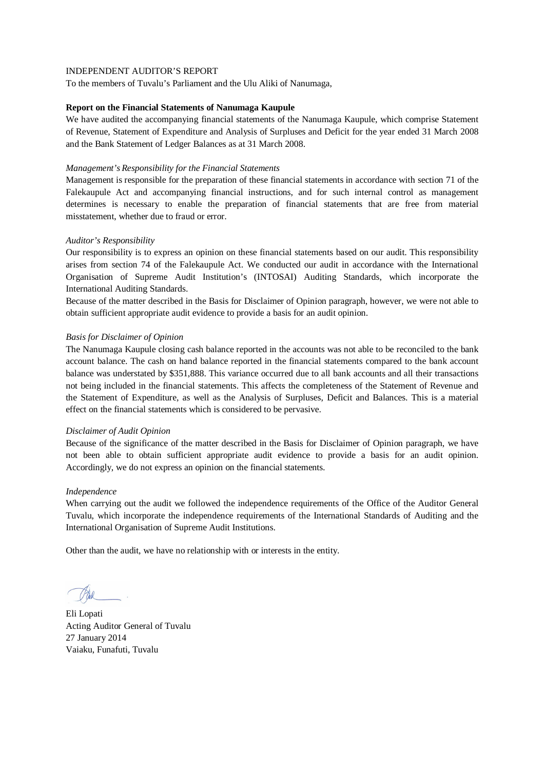To the members of Tuvalu's Parliament and the Ulu Aliki of Nanumaga,

### **Report on the Financial Statements of Nanumaga Kaupule**

We have audited the accompanying financial statements of the Nanumaga Kaupule, which comprise Statement of Revenue, Statement of Expenditure and Analysis of Surpluses and Deficit for the year ended 31 March 2008 and the Bank Statement of Ledger Balances as at 31 March 2008.

### *Management's Responsibility for the Financial Statements*

Management is responsible for the preparation of these financial statements in accordance with section 71 of the Falekaupule Act and accompanying financial instructions, and for such internal control as management determines is necessary to enable the preparation of financial statements that are free from material misstatement, whether due to fraud or error.

## *Auditor's Responsibility*

Our responsibility is to express an opinion on these financial statements based on our audit. This responsibility arises from section 74 of the Falekaupule Act. We conducted our audit in accordance with the International Organisation of Supreme Audit Institution's (INTOSAI) Auditing Standards, which incorporate the International Auditing Standards.

Because of the matter described in the Basis for Disclaimer of Opinion paragraph, however, we were not able to obtain sufficient appropriate audit evidence to provide a basis for an audit opinion.

## *Basis for Disclaimer of Opinion*

The Nanumaga Kaupule closing cash balance reported in the accounts was not able to be reconciled to the bank account balance. The cash on hand balance reported in the financial statements compared to the bank account balance was understated by \$351,888. This variance occurred due to all bank accounts and all their transactions not being included in the financial statements. This affects the completeness of the Statement of Revenue and the Statement of Expenditure, as well as the Analysis of Surpluses, Deficit and Balances. This is a material effect on the financial statements which is considered to be pervasive.

### *Disclaimer of Audit Opinion*

Because of the significance of the matter described in the Basis for Disclaimer of Opinion paragraph, we have not been able to obtain sufficient appropriate audit evidence to provide a basis for an audit opinion. Accordingly, we do not express an opinion on the financial statements.

### *Independence*

When carrying out the audit we followed the independence requirements of the Office of the Auditor General Tuvalu, which incorporate the independence requirements of the International Standards of Auditing and the International Organisation of Supreme Audit Institutions.

Eli Lopati Acting Auditor General of Tuvalu 27 January 2014 Vaiaku, Funafuti, Tuvalu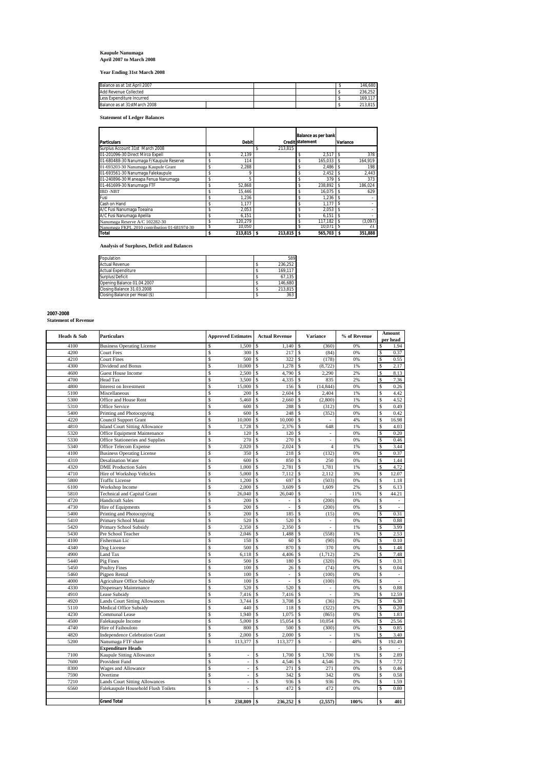## **Kaupule Nanumaga April 2007 to March 2008**

**Year Ending 31st March 2008**

| Balance as at 1st April 2007 |  |  | 146.680 |
|------------------------------|--|--|---------|
| Add Revenue Collected        |  |  | 236.252 |
| Less Expenditure Incurred    |  |  | 169.117 |
| Balance as at 31stMarch 2008 |  |  | 213.815 |

**Statement of Ledger Balances**

| Particulars                                  | <b>Debit</b>       |               | <b>Balance as per bank</b><br><b>Credit statement</b> | Variance |
|----------------------------------------------|--------------------|---------------|-------------------------------------------------------|----------|
| Surplus Account 31st March 2008              |                    | 213.815<br>\$ |                                                       |          |
| 01-201096-30 Direct Mirco Expell             | 2.139              |               | 2.517                                                 | 378      |
| 01-680488-30 Nanumaga F/Kaupule Reserve      | 114                |               | 165.033<br>\$                                         | 164,919  |
| 01-693203-30 Nanumaga Kaupule Grant          | \$<br>2.288        |               | 2.486<br>\$                                           | 198      |
| 01-693561-30 Nanumaga Falekaupule            | \$<br>9            |               | 2.452<br>s                                            | 2.443    |
| 01-240896-30 Maneapa Fenua Nanumaga          | 5                  |               | 379                                                   | 373      |
| 01-461699-30 Nanumaga FTF                    | 52.868             |               | 238.892<br>s                                          | 186.024  |
| <b>IBD-NBT</b>                               | \$<br>15.446       |               | 16.075<br>\$                                          | 629      |
| Fusi                                         | 1.236              |               | 1.236                                                 |          |
| Cash on Hand                                 | 1.177              |               | 1.177                                                 |          |
| A/C Fusi Nanumaga Toeaina                    | 2.053              |               | 2.053                                                 |          |
| A/C Fusi Nanumaga Apelila                    | 6.151              |               | 6,151                                                 |          |
| Nanumaga Reserve A/C 102282-30               | 120.279            |               | 117.182                                               | (3,097)  |
| Nanumaga FKPL 2010 contribution 01-681974-30 | \$<br>10.050       |               | 10.071                                                | 21       |
| Total                                        | \$<br>$213.815$ \$ | 213.815       | 565.703<br>s                                          | 351,888  |

**Analysis of Surpluses, Deficit and Balances**

| Population                    |  | 589     |
|-------------------------------|--|---------|
| Actual Revenue                |  | 236.252 |
| <b>Actual Expenditure</b>     |  | 169.117 |
| Surplus/Deficit               |  | 67.135  |
| Opening Balance 01.04.2007    |  | 146.680 |
| Closing Balance 31.03.2008    |  | 213.815 |
| Closing Balance per Head (\$) |  | 363     |
|                               |  |         |

**2007-2008 Statement of Revenue**

| Heads & Sub | <b>Particulars</b>                    | <b>Approved Estimates</b> | <b>Actual Revenue</b>       | <b>Variance</b>        | % of Revenue | Amount<br>per head             |
|-------------|---------------------------------------|---------------------------|-----------------------------|------------------------|--------------|--------------------------------|
| 4100        | <b>Business Operating License</b>     | \$<br>1,500               | $\mathbf{\hat{S}}$<br>1.140 | \$<br>(360)            | 0%           | \$<br>1.94                     |
| 4200        | <b>Court Fees</b>                     | \$<br>300                 | \$<br>217                   | \$<br>(84)             | 0%           | S<br>0.37                      |
| 4210        | <b>Court Fines</b>                    | 500<br>\$                 | 322<br>\$                   | (178)<br>S             | 0%           | \$<br>0.55                     |
| 4300        | Dividend and Bonus                    | \$<br>10,000              | \$<br>1,278                 | \$<br>(8, 722)         | 1%           | \$<br>2.17                     |
| 4600        | <b>Guest House Income</b>             | Ś<br>2,500                | 4,790<br>\$                 | 2,290<br>S             | 2%           | S<br>8.13                      |
| 4700        | Head Tax                              | \$<br>3,500               | 4,335<br>\$                 | 835<br>\$              | 2%           | \$<br>7.36                     |
| 4800        | Interest on Investment                | \$<br>15,000              | \$<br>156                   | \$<br>(14, 844)        | 0%           | s<br>0.26                      |
| 5100        | Miscellaneous                         | \$<br>200                 | \$<br>2.604                 | 2.404<br>$\mathcal{S}$ | 1%           | $\mathbb S$<br>4.42            |
| 5300        | Office and House Rent                 | 5,460<br>\$               | 2,660<br>S                  | (2,800)<br>\$          | 1%           | \$<br>4.52                     |
| 5310        | <b>Office Service</b>                 | \$<br>600                 | 288                         | (312)                  | 0%           | \$<br>0.49                     |
| 5400        | Printing and Photocopying             | \$<br>600                 | 248<br>\$                   | \$.<br>(352)           | 0%           | \$<br>0.42                     |
| 4220        | Council Support Grant                 | \$<br>10,000              | 10,000<br>\$                | S                      | 4%           | \$<br>16.98                    |
| 4810        | <b>Island Court Sitting Allowance</b> | \$<br>1,728               | 2,376                       | $\mathsf{s}$<br>648    | 1%           | \$<br>4.03                     |
| 5320        | Office Equipment Maintenance          | \$<br>120                 | 120<br>\$                   | \$<br>÷,               | 0%           | \$<br>0.20                     |
| 5330        | Office Stationeries and Supplies      | \$<br>270                 | 270<br>\$                   | \$<br>i,               | 0%           | \$<br>0.46                     |
| 5340        | Office Telecom Expense                | \$<br>2,020               | 2,024<br>\$.                | \$.<br>$\overline{4}$  | 1%           | \$<br>3.44                     |
| 4100        |                                       | 350                       | 218<br>\$                   | (132)<br>\$            | 0%           | \$<br>0.37                     |
|             | <b>Business Operating License</b>     | \$                        |                             |                        |              |                                |
| 4310        | <b>Desalination Water</b>             | \$<br>600                 | 850<br>S                    | <sup>\$</sup><br>250   | 0%           | \$<br>1.44                     |
| 4320        | <b>DME</b> Production Sales           | \$<br>1,000               | 2,781<br>\$                 | \$<br>1,781            | 1%           | s<br>4.72                      |
| 4710        | Hire of Workshop Vehicles             | \$<br>5,000               | \$<br>7,112                 | 2,112<br>\$            | 3%           | \$<br>12.07                    |
| 5800        | <b>Traffic License</b>                | \$<br>1,200               | 697<br>\$                   | (503)<br>\$            | 0%           | \$<br>1.18                     |
| 6100        | Workshop Income                       | \$<br>2,000               | \$<br>3,609                 | \$<br>1,609            | 2%           | \$<br>6.13                     |
| 5810        | <b>Technical and Capital Grant</b>    | \$<br>26,040              | 26,040<br>\$                | $\mathbf{\hat{S}}$     | 11%          | \$<br>44.21                    |
| 4720        | Handicraft Sales                      | \$<br>200                 | \$<br>÷.                    | (200)<br>S             | 0%           | S<br>÷,                        |
| 4730        | Hire of Equipments                    | \$<br>200                 | \$<br>÷.                    | \$<br>(200)            | 0%           | \$<br>$\overline{\phantom{a}}$ |
| 5400        | Printing and Photocopying             | \$<br>200                 | \$<br>185                   | (15)<br>\$             | 0%           | \$<br>0.31                     |
| 5410        | Primary School Maint                  | \$<br>520                 | 520<br>\$                   | \$<br>$\blacksquare$   | 0%           | S<br>0.88                      |
| 5420        | Primary School Subsidy                | 2,350<br>\$               | 2,350                       | ÷,                     | 1%           | \$<br>3.99                     |
| 5430        | Pre School Teacher                    | Ś<br>2,046                | \$<br>1,488                 | (558)                  | 1%           | s<br>2.53                      |
| 4100        | Fisherman Lic                         | \$<br>150                 | $\mathbf{\hat{S}}$<br>60    | (90)                   | 0%           | S<br>0.10                      |
| 4340        | Dog License                           | \$<br>500                 | 870<br>S                    | 370<br>S               | 0%           | \$<br>1.48                     |
| 4900        | Land Tax                              | \$<br>6,118               | 4,406                       | (1, 712)               | 2%           | \$<br>7.48                     |
| 5440        | Pig Fines                             | \$<br>500                 | 180<br>\$                   | \$<br>(320)            | 0%           | \$<br>0.31                     |
| 5450        | <b>Poultry Fines</b>                  | \$<br>100                 | \$<br>26                    | \$<br>(74)             | 0%           | \$<br>0.04                     |
| 5460        | Pigpen Rental                         | \$<br>100                 |                             | (100)                  | 0%           | $\mathsf{s}$                   |
| 4000        | <b>Agriculture Office Subsidy</b>     | \$<br>100                 | \$<br>ä,                    | \$<br>(100)            | 0%           | $\mathbb{S}$                   |
| 4330        | <b>Dispensary Maintenance</b>         | \$<br>520                 | 520                         | \$<br>ä,               | 0%           | \$<br>0.88                     |
| 4910        | Lease Subsidy                         | \$<br>7.416               | 7.416                       | J,                     | 3%           | \$<br>12.59                    |
| 4920        | <b>Lands Court Sitting Allowances</b> | \$<br>3,744               | 3,708<br>\$                 | S<br>(36)              | 2%           | \$<br>6.30                     |
| 5110        | Medical Office Subsidy                | \$<br>440                 | 118<br>S                    | (322)<br>\$            | 0%           | s<br>0.20                      |
| 4230        | Communal Lease                        | \$<br>1.940               | 1,075                       | (865)<br>\$            | 0%           | s<br>1.83                      |
| 4500        | Falekaupule Income                    | \$<br>5,000               | 15,054                      | \$<br>10,054           | 6%           | \$<br>25.56                    |
| 4740        |                                       | \$<br>800                 | \$                          | (300)<br>S             | 0%           | \$<br>0.85                     |
|             | Hire of Faihouloto                    |                           | 500                         |                        | 1%           |                                |
| 4820        | <b>Independence Celebration Grant</b> | \$<br>2.000               | \$<br>2,000                 | \$<br>÷,<br>L.         |              | \$<br>3.40                     |
| 5200        | Nanumaga FTF share                    | \$<br>113,377             | 113,377<br>\$               | \$                     | 48%          | \$<br>192.49                   |
|             | <b>Expenditure Heads</b>              |                           |                             |                        |              | \$                             |
| 7100        | Kaupule Sitting Allowance             | \$<br>$\bar{a}$           | 1,700<br>\$                 | 1,700<br>\$            | 1%           | \$<br>2.89                     |
| 7600        | Provident Fund                        | \$<br>÷.                  | \$<br>4,546                 | \$<br>4,546            | 2%           | \$<br>7.72                     |
| 8300        | Wages and Allowance                   | \$<br>÷,                  | $\mathbf S$<br>271          | \$<br>271              | 0%           | $\mathbb S$<br>0.46            |
| 7590        | Overtime                              | \$<br>÷,                  | \$<br>342                   | \$<br>342              | 0%           | \$<br>0.58                     |
| 7210        | <b>Lands Court Sitting Allowances</b> | \$                        | \$<br>936                   | 936<br>\$              | 0%           | \$<br>1.59                     |
| 6560        | Falekaupule Household Flush Toilets   | \$<br>÷,                  | 472<br>S                    | 472<br>\$              | 0%           | 0.80<br>S                      |
|             |                                       |                           |                             |                        |              |                                |
|             | <b>Grand Total</b>                    | 238,809<br>\$             | 236,252<br><sup>\$</sup>    | (2,557)<br>\$          | 100%         | 401<br>\$                      |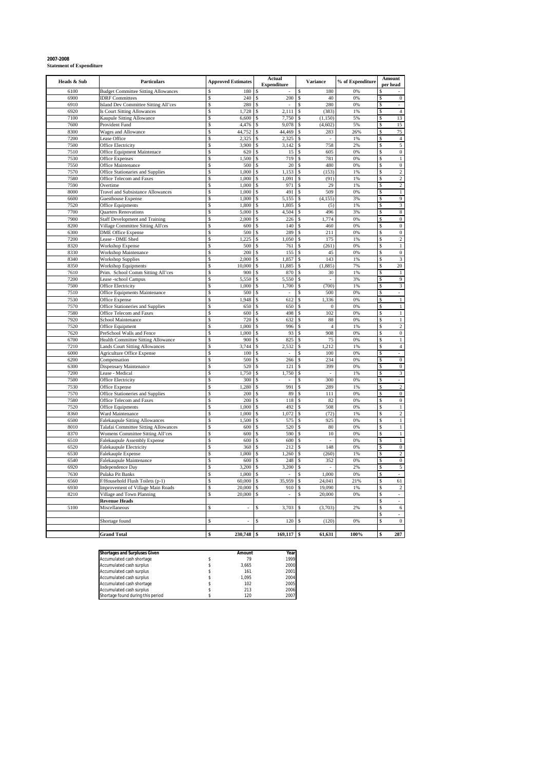# **2007-2008 Statement of Expenditure**

| Heads & Sub  | <b>Particulars</b>                           | <b>Approved Estimates</b> |                | <b>Actual</b><br><b>Expenditure</b> | <b>Variance</b>                    | % of Expenditure |               | Amount<br>per head       |
|--------------|----------------------------------------------|---------------------------|----------------|-------------------------------------|------------------------------------|------------------|---------------|--------------------------|
| 6100         | <b>Budget Committee Sitting Allowances</b>   | S                         | 180            | S                                   | 180<br>\$                          | 0%               | <b>S</b>      |                          |
| 6900         | <b>IDRF</b> Committees                       | S                         | 240            | 200<br>S                            | \$<br>40                           | 0%               | \$            | $\boldsymbol{0}$         |
| 6910         | Island Dev Committee Sitting All'ces         | \$                        | 280            | \$                                  | 280<br>\$.                         | 0%               | S             |                          |
| 6920         | Is Court Sitting Allowances                  | \$                        | 1,728          | 2,111<br>\$                         | (383)<br>\$                        | 1%               | <sup>\$</sup> | $\overline{4}$           |
| 7100         | Kaupule Sitting Allowance                    | \$                        | 6,600          | \$<br>7,750                         | (1, 150)<br>\$                     | 5%               | \$            | 13                       |
| 7600         | Provident Fund                               | \$                        | 4,476          | 9,078<br>\$                         | (4,602)<br>\$.                     | 5%               | S             | 15                       |
| 8300         | Wages and Allowance                          | \$                        | 44,752         | 44.469<br>\$                        | 283<br>\$.                         | 26%              | \$            | 75                       |
| 7200         | Lease Office                                 | \$                        | 2,325          | 2,325<br>\$                         | \$<br>$\omega$                     | 1%               | <sup>\$</sup> | $\overline{4}$           |
| 7500<br>7510 | <b>Office Electricity</b>                    | \$.<br>\$                 | 3,900          | 3,142<br>\$<br>\$                   | 758<br>\$.<br>\$<br>605            | 2%<br>0%         | \$<br>\$      | 5<br>$\overline{0}$      |
| 7530         | Office Equipment Maintenace                  | \$                        | 620<br>1,500   | 15<br>719<br>\$                     | 781<br>\$                          | 0%               | \$            | $\,1$                    |
| 7550         | <b>Office Expenses</b><br>Office Maintenance | \$                        | 500            | 20<br>S                             | 480<br>\$                          | 0%               | \$            | $\boldsymbol{0}$         |
| 7570         | Office Stationaries and Supplies             | \$                        | 1,000          | 1,153<br>\$                         | (153)<br>\$                        | 1%               | \$            | $\overline{c}$           |
| 7580         | Office Telecom and Faxes                     | \$                        | 1,000          | 1,091<br>\$                         | (91)<br>\$                         | 1%               | S             | $\overline{2}$           |
| 7590         | Overtime                                     | \$                        | 1,000          | 971<br>\$                           | 29<br>Ś                            | 1%               | \$            | $\overline{2}$           |
| 8000         | <b>Travel and Subsistance Allowances</b>     | \$                        | 1,000          | 491<br>\$                           | 509<br>\$                          | 0%               | \$            | $\,1$                    |
| 6600         | Guesthouse Expense                           | \$                        | 1,000          | 5,155<br>\$                         | \$<br>(4, 155)                     | 3%               | s             | 9                        |
| 7520         | Office Equipments                            | \$                        | 1,800          | 1,805<br>\$                         | (5)<br>\$                          | 1%               | \$            | 3                        |
| 7700         | Quarters Renovations                         | \$                        | 5,000          | 4,504<br>\$                         | 496<br>S                           | 3%               | \$            | 8                        |
| 7900         | Staff Development and Training               | \$                        | 2,000          | 226<br>\$                           | 1,774<br>\$.                       | 0%               | \$            | $\boldsymbol{0}$         |
| 8200         | Village Committee Sitting All'ces            | \$                        | 600            | 140<br>\$                           | 460<br>Ś                           | 0%               | \$            | $\overline{0}$           |
| 6300         | <b>DME Office Expense</b>                    | \$                        | 500            | 289<br>\$                           | 211<br>S                           | 0%               | \$            | $\bf{0}$                 |
| 7200         | Lease - DME Shed                             | \$                        | 1.225          | \$<br>1.050                         | \$<br>175                          | 1%               | \$            | $\overline{c}$           |
| 8320         | Workshop Expense                             | \$                        | 500            | 761<br>$\hat{\mathbf{x}}$           | \$<br>(261)                        | 0%               | S             | $1\,$                    |
| 8330         | Workshop Maintenance                         | \$                        | 200            | 155<br>\$                           | 45<br>\$                           | 0%               | \$            | $\overline{0}$           |
| 8340         | Workshop Supplies                            | \$                        | 2,000          | 1,857<br>\$                         | 143<br>\$.                         | 1%               | \$            | 3                        |
| 8350         | Workshop Equipments                          | \$                        | 10,000         | 11,885<br>\$                        | (1,885)<br>\$                      | 7%               | \$            | 20                       |
| 7610         | Prim. School Comm Sitting All'ces            | \$                        | 900            | 870<br>\$                           | 30<br>\$.                          | 1%               | \$            | $\mathbf{1}$             |
| 7200         | Lease -school Campus                         | \$.                       | 5.550          | 5,550<br>\$                         | \$.<br>÷.                          | 3%               | \$            | 9                        |
| 7500         | Office Electricity                           | \$                        | 1,000          | 1,700<br>\$                         | \$<br>(700)                        | 1%               | \$            | 3                        |
| 7510         | Office Equipments Maintenance                | \$                        | 500            | \$<br>÷.                            | 500<br>\$                          | 0%               | \$            |                          |
| 7530         | Office Expense                               | \$                        | 1,948          | \$<br>612                           | 1,336<br>\$                        | 0%               | \$            | 1                        |
| 7570         | Office Stationeries and Supplies             | \$                        | 650            | 650<br>$\mathcal{S}$                | \$<br>$\mathbf{0}$                 | 0%               | \$            | $\mathbf{1}$             |
| 7580         | Office Telecom and Faxes                     | \$                        | 600            | 498<br>\$                           | 102<br>\$                          | 0%               | \$            | $\overline{1}$           |
| 7920         | School Maintenance                           | \$                        | 720            | 632<br>\$                           | \$<br>88                           | 0%               | \$            | $\mathbf{1}$             |
| 7520         | Office Equipment                             | \$                        | 1,000          | 996<br>\$                           | \$<br>$\overline{4}$               | 1%               | \$            | $\overline{2}$           |
| 7620         | PreSchool Walls and Fence                    | \$                        | 1,000          | 93<br>\$                            | 908<br>\$                          | 0%               | s             | $\overline{0}$           |
| 6700         | Health Committee Sitting Allowance           | \$                        | 900            | 825<br>\$                           | 75<br>S                            | 0%               | \$            | $\,1$                    |
| 7210         | Lands Court Sitting Allowances               | \$                        | 3,744          | 2,532<br>\$                         | 1,212<br>\$.                       | 1%               | s             | $\overline{4}$           |
| 6000         | <b>Agriculture Office Expense</b>            | \$                        | 100            | \$                                  | 100<br>\$                          | 0%               | \$            |                          |
| 6200         | Compensation                                 | \$                        | 500            | 266<br>\$                           | 234<br>\$                          | 0%               | \$            | $\overline{0}$           |
| 6300<br>7200 | Dispensary Maintenance<br>Lease - Medical    | \$.<br>\$                 | 520<br>1.750   | 121<br>\$<br>1.750<br>\$            | 399<br>\$.<br>\$<br>$\overline{a}$ | 0%<br>1%         | \$<br>\$      | $\mathbf{0}$<br>3        |
| 7500         |                                              | Ś                         | 300            | \$<br>$\overline{a}$                | 300<br>\$                          | 0%               | $\mathsf{\$}$ |                          |
| 7530         | Office Electricity<br>Office Expense         | \$                        | .280           | 991                                 | 289<br>\$.                         | 1%               | \$            | $\overline{c}$           |
| 7570         | Office Stationeries and Supplies             | \$                        | 200            | 89<br>\$                            | 111<br>\$                          | 0%               | \$            | $\bf{0}$                 |
| 7580         | Office Telecom and Faxes                     | \$                        | 200            | 118<br>\$                           | 82<br>\$                           | 0%               | \$            | $\overline{0}$           |
| 7520         | Office Equipments                            | \$                        | 1,000          | 492<br>\$                           | 508<br>\$                          | 0%               | \$            | $\mathbf{1}$             |
| 8360         | Ward Maintenance                             | \$                        | 1,000          | 1,072<br>\$                         | (72)<br>\$                         | 1%               | \$            | $\overline{2}$           |
| 6500         | <b>Falekaupule Sitting Allowances</b>        | Ŝ                         | 1.500          | 575<br>\$                           | 925<br>\$.                         | 0%               | s             | 1                        |
| 8010         | Talafai Committee Sitting Allowances         | \$                        | 600            | 520<br>\$                           | 80<br>\$.                          | 0%               | \$            | $\mathbf{1}$             |
| 8370         | Womens Committee Sitting All'ces             | \$.                       | 600            | 590<br>S                            | 10                                 | 0%               | <sup>\$</sup> | $\mathbf{1}$             |
| 6510         | Falekaupule Assembly Expense                 | \$                        | 600            | 600<br>\$                           | \$.                                | 0%               | \$            | $\mathbf{1}$             |
| 6520         | <b>Falekaupule Electricity</b>               | \$                        | 360            | 212<br>\$                           | 148<br>\$                          | 0%               | \$            | $\overline{0}$           |
| 6530         | Falekauple Expense                           | \$                        | 1,000          | 1,260<br>S                          | (260)<br>S                         | 1%               | \$            | $\overline{c}$           |
| 6540         | Falekaupule Maintenance                      | \$                        | 600            | 248<br>\$                           | \$<br>352                          | 0%               | \$            | $\mathbf{0}$             |
| 6920         | Independence Day                             | \$                        | 3,200          | 3,200<br>\$                         | \$<br>$\bar{a}$                    | 2%               | \$            | 5                        |
| 7630         | Pulaka Pit Banks                             | \$                        | 1,000          | S                                   | 1,000<br>\$                        | 0%               | S             |                          |
| 6560         | F/Household Flush Toilets (p-1)              | \$                        | 60,000         | 35,959<br>\$                        | \$<br>24,041                       | 21%              | \$            | 61                       |
| 6930         | Improvement of Village Main Roads            | \$                        | 20,000         | 910<br>\$                           | 19,090<br>S                        | 1%               | \$            | $\overline{2}$           |
| 8210         | Village and Town Planning                    | \$                        | 20,000         | S<br>$\sim$                         | 20,000<br>\$                       | 0%               | \$            | $\overline{\phantom{a}}$ |
|              | <b>Revenue Heads</b>                         |                           |                |                                     |                                    |                  | \$            |                          |
| 5100         | Miscellaneous                                | \$                        | ÷,             | 3,703<br>$\mathcal{S}$              | (3,703)<br>\$.                     | 2%               | s             | 6                        |
|              |                                              |                           |                |                                     |                                    |                  | \$            |                          |
|              | Shortage found                               | \$                        | $\overline{a}$ | 120<br>\$.                          | (120)                              | 0%               | \$            | $\boldsymbol{0}$         |
|              |                                              |                           |                |                                     |                                    |                  |               |                          |
|              | <b>Grand Total</b>                           |                           | 230,748        | 169,117<br>\$                       | 61,631<br>\$                       | 100%             | \$            | 287                      |

| <b>Shortages and Surpluses Given</b> | Amount | Year |
|--------------------------------------|--------|------|
| Accumulated cash shortage            | 79     | 1999 |
| Accumulated cash surplus             | 3.665  | 2000 |
| Accumulated cash surplus             | 161    | 2001 |
| Accumulated cash surplus             | 1.095  | 2004 |
| Accumulated cash shortage            | 102    | 2005 |
| Accumulated cash surplus             | 213    | 2006 |
| Shortage found during this period    | 120    | 2007 |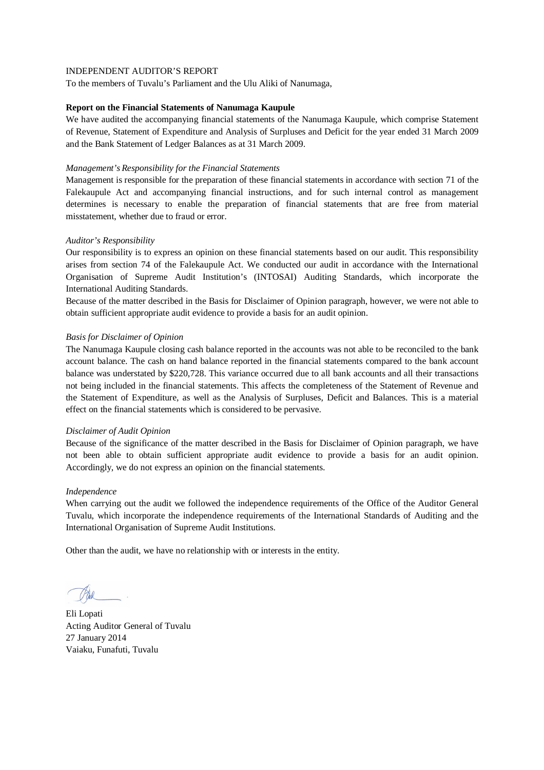To the members of Tuvalu's Parliament and the Ulu Aliki of Nanumaga,

### **Report on the Financial Statements of Nanumaga Kaupule**

We have audited the accompanying financial statements of the Nanumaga Kaupule, which comprise Statement of Revenue, Statement of Expenditure and Analysis of Surpluses and Deficit for the year ended 31 March 2009 and the Bank Statement of Ledger Balances as at 31 March 2009.

### *Management's Responsibility for the Financial Statements*

Management is responsible for the preparation of these financial statements in accordance with section 71 of the Falekaupule Act and accompanying financial instructions, and for such internal control as management determines is necessary to enable the preparation of financial statements that are free from material misstatement, whether due to fraud or error.

## *Auditor's Responsibility*

Our responsibility is to express an opinion on these financial statements based on our audit. This responsibility arises from section 74 of the Falekaupule Act. We conducted our audit in accordance with the International Organisation of Supreme Audit Institution's (INTOSAI) Auditing Standards, which incorporate the International Auditing Standards.

Because of the matter described in the Basis for Disclaimer of Opinion paragraph, however, we were not able to obtain sufficient appropriate audit evidence to provide a basis for an audit opinion.

## *Basis for Disclaimer of Opinion*

The Nanumaga Kaupule closing cash balance reported in the accounts was not able to be reconciled to the bank account balance. The cash on hand balance reported in the financial statements compared to the bank account balance was understated by \$220,728. This variance occurred due to all bank accounts and all their transactions not being included in the financial statements. This affects the completeness of the Statement of Revenue and the Statement of Expenditure, as well as the Analysis of Surpluses, Deficit and Balances. This is a material effect on the financial statements which is considered to be pervasive.

### *Disclaimer of Audit Opinion*

Because of the significance of the matter described in the Basis for Disclaimer of Opinion paragraph, we have not been able to obtain sufficient appropriate audit evidence to provide a basis for an audit opinion. Accordingly, we do not express an opinion on the financial statements.

### *Independence*

When carrying out the audit we followed the independence requirements of the Office of the Auditor General Tuvalu, which incorporate the independence requirements of the International Standards of Auditing and the International Organisation of Supreme Audit Institutions.

Eli Lopati Acting Auditor General of Tuvalu 27 January 2014 Vaiaku, Funafuti, Tuvalu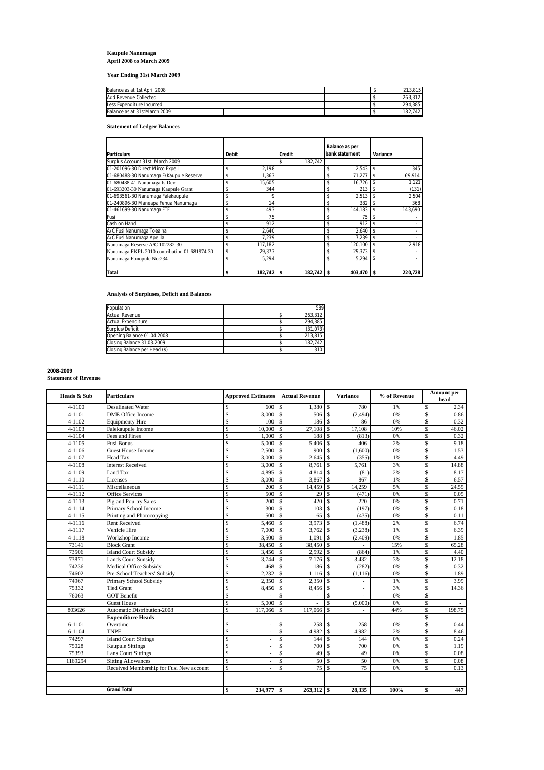# **Kaupule Nanumaga April 2008 to March 2009**

**Year Ending 31st March 2009**

| Balance as at 1st April 2008 |  |  | 213.815 |
|------------------------------|--|--|---------|
| Add Revenue Collected        |  |  | 263.312 |
| Less Expenditure Incurred    |  |  | 294.385 |
| Balance as at 31stMarch 2009 |  |  | 182.742 |

### **Statement of Ledger Balances**

|                                              |              |         |               |    | Balance as per |    |          |
|----------------------------------------------|--------------|---------|---------------|----|----------------|----|----------|
| <b>Particulars</b>                           | <b>Debit</b> |         | Credit        |    | bank statement |    | Variance |
| Surplus Account 31st March 2009              |              |         | 182.742<br>\$ |    |                |    |          |
| 01-201096-30 Direct Mirco Expell             | \$           | 2.198   |               | \$ | 2.543          | \$ | 345      |
| 01-680488-30 Nanumaga F/Kaupule Reserve      | \$           | 1.363   |               | \$ | 71.277         | \$ | 69,914   |
| 01-680488-41 Nanumaga Is Dev                 | \$           | 15.605  |               | \$ | 16.726         | \$ | 1.121    |
| 01-693203-30 Nanumaga Kaupule Grant          | \$           | 344     |               | \$ | 213            |    | (131)    |
| 01-693561-30 Nanumaga Falekaupule            |              | 9       |               | \$ | 2.513          |    | 2,504    |
| 01-240896-30 Maneapa Fenua Nanumaga          | \$           | 14      |               | \$ | 382            |    | 368      |
| 01-461699-30 Nanumaga FTF                    |              | 493     |               | \$ | 144.183        |    | 143.690  |
| Fusi                                         |              | 75      |               | \$ | 75             | \$ |          |
| Cash on Hand                                 |              | 912     |               | \$ | 912            | \$ |          |
| A/C Fusi Nanumaga Toeaina                    | \$           | 2.640   |               | \$ | 2.640          | \$ |          |
| A/C Fusi Nanumaga Apelila                    |              | 7.239   |               | \$ | 7.239          | \$ |          |
| Nanumaga Reserve A/C 102282-30               | \$           | 117,182 |               | \$ | 120.100        | \$ | 2.918    |
| Nanumaga FKPL 2010 contribution 01-681974-30 |              | 29.373  |               | \$ | 29,373         |    |          |
| Nanumaga Fonopule No:234                     |              | 5.294   |               | \$ | 5.294          | \$ |          |
| <b>Total</b>                                 | \$           | 182.742 | 182.742<br>s  | S  | 403.470        | S  | 220.728  |

**Analysis of Surpluses, Deficit and Balances**

| 589      |
|----------|
| 263.312  |
| 294.385  |
| (31,073) |
| 213.815  |
| 182.742  |
| 310      |
|          |

### **2008-2009**

**Statement of Revenue**

| Heads & Sub | <b>Particulars</b>                       | <b>Approved Estimates</b>                 | <b>Actual Revenue</b>             | <b>Variance</b>                           | % of Revenue | Amount per<br>head               |
|-------------|------------------------------------------|-------------------------------------------|-----------------------------------|-------------------------------------------|--------------|----------------------------------|
| $4 - 1100$  | <b>Desalinated Water</b>                 | \$<br>600                                 | 1,380<br>$\mathbf{\hat{S}}$       | $\mathbf S$<br>780                        | 1%           | 2.34<br>\$                       |
| 4-1101      | <b>DME</b> Office Income                 | \$<br>3,000                               | l \$<br>506                       | $\mathcal{S}$<br>(2,494)                  | 0%           | \$<br>0.86                       |
| 4-1102      | <b>Equipmenty Hire</b>                   | \$<br>100S                                | 186                               | $\mathcal{S}$<br>86                       | 0%           | $\mathsf{\$}$<br>0.32            |
| 4-1103      | Falekaupule Income                       | \$<br>10,000                              | $\overline{\mathbf{s}}$<br>27,108 | $\mathcal{S}$<br>17,108                   | 10%          | $\mathbf S$<br>46.02             |
| 4-1104      | Fees and Fines                           | \$<br>1,000                               | l \$<br>188                       | $\mathcal{S}$<br>(813)                    | 0%           | \$<br>0.32                       |
| 4-1105      | Fusi Bonus                               | \$<br>5,000                               | $\overline{\mathbf{s}}$<br>5,406  | $\mathcal{S}$<br>406                      | 2%           | \$<br>9.18                       |
| 4-1106      | <b>Guest House Income</b>                | \$<br>$2,500$ \$                          | 900                               | $\mathcal{S}$<br>(1,600)                  | 0%           | \$<br>1.53                       |
| 4-1107      | Head Tax                                 | \$<br>3,000                               | 2,645<br>l \$                     | (355)<br>$\mathbf{s}$                     | 1%           | \$<br>4.49                       |
| 4-1108      | <b>Interest Received</b>                 | \$<br>3,000                               | $\mathbf{s}$<br>8,761             | $\mathbf S$<br>5,761                      | 3%           | \$<br>14.88                      |
| 4-1109      | Land Tax                                 | $\mathbf S$<br>4,895                      | $\mathbf{s}$<br>4,814             | $\mathcal{S}$<br>(81)                     | 2%           | $\mathbf S$<br>8.17              |
| 4-1110      | Licenses                                 | \$<br>3,000                               | l \$<br>3,867                     | $\mathcal{S}$<br>867                      | 1%           | \$<br>6.57                       |
| 4-1111      | Miscellaneous                            | $\overline{\mathcal{S}}$<br>200           | 14,459<br>l \$                    | $\mathbf{s}$<br>14,259                    | 5%           | \$<br>24.55                      |
| 4-1112      | Office Services                          | \$<br>500                                 | $\mathbf{\hat{s}}$<br>29          | $\mathcal{S}$<br>(471)                    | 0%           | \$<br>0.05                       |
| $4 - 1113$  | Pig and Poultry Sales                    | $\overline{\mathcal{S}}$<br>200           | 420<br>$\mathbf{\hat{s}}$         | $\mathcal{S}$<br>220                      | 0%           | 0.71<br>$\mathbf S$              |
| 4-1114      | Primary School Income                    | \$<br>300                                 | $\mathbf{s}$<br>103               | $\mathcal{S}$<br>(197)                    | 0%           | $\overline{\mathcal{S}}$<br>0.18 |
| 4-1115      | Printing and Photocopying                | $\overline{\mathcal{S}}$<br>500           | 65<br>l \$                        | $\mathcal{S}$<br>(435)                    | 0%           | \$<br>0.11                       |
| 4-1116      | Rent Received                            | \$<br>5,460                               | 3,973<br>l \$                     | $\mathbf{s}$<br>(1, 488)                  | 2%           | \$<br>6.74                       |
| 4-1117      | Vehicle Hire                             | \$<br>7,000                               | $\mathsf{ls}$<br>3,762            | $\mathbf{s}$<br>(3,238)                   | 1%           | \$<br>6.39                       |
| 4-1118      | Workshop Income                          | \$<br>$3,500$ \$                          | 1,091                             | $\mathcal{S}$<br>(2,409)                  | $0\%$        | \$<br>1.85                       |
| 73141       | <b>Block Grant</b>                       | $\mathbf S$<br>38,450 \$                  | 38,450                            | $\mathbf{s}$                              | 15%          | $\mathsf{\$}$<br>65.28           |
| 73506       | <b>Island Court Subsidy</b>              | $\overline{\mathbb{S}}$<br>$3,456$ \$     | 2.592                             | $\overline{s}$<br>(864)                   | 1%           | $\overline{\mathbb{S}}$<br>4.40  |
| 73871       | Lands Court Sunsidv                      | \$<br>$3,744$ \$                          | 7,176                             | $\mathbf{s}$<br>3,432                     | 3%           | $\mathbf S$<br>12.18             |
| 74236       | <b>Medical Office Subsidy</b>            | $\overline{\mathbb{S}}$<br>468S           | 186                               | $\mathbf{s}$<br>(282)                     | 0%           | \$<br>0.32                       |
| 74602       | Pre-School Teachers' Subsidy             | \$<br>$2,232$ \$                          | 1,116                             | $\mathcal{S}$<br>(1, 116)                 | 0%           | $\mathbf{\hat{S}}$<br>1.89       |
| 74967       | Primary School Subsidy                   | \$<br>$2,350$ \$                          | 2,350                             | $\mathcal{S}$<br>$\overline{a}$           | 1%           | \$<br>3.99                       |
| 75332       | <b>Tied Grant</b>                        | \$<br>8,456                               | <sup>\$</sup><br>8,456            | $\mathbf S$<br>$\overline{a}$             | 3%           | \$<br>14.36                      |
| 76063       | <b>GOT Benefit</b>                       | \$                                        | \$.<br>÷.                         | $\mathcal{S}$<br>$\overline{\phantom{a}}$ | 0%           | \$<br>$\sim$                     |
|             | <b>Guest House</b>                       | \$<br>5,000                               | l \$                              | \$<br>(5,000)                             | 0%           | \$                               |
| 803626      | <b>Automatic Distribution-2008</b>       | \$<br>117,066                             | \$<br>117,066                     | $\mathbf{s}$<br>٠                         | 44%          | \$<br>198.75                     |
|             | <b>Expenditure Heads</b>                 |                                           |                                   |                                           |              | \$                               |
| 6-1101      | Overtime                                 | \$<br>$\overline{a}$                      | 258<br>\$                         | 258<br>-S                                 | 0%           | \$<br>0.44                       |
| $6 - 1104$  | <b>TNPF</b>                              | \$<br>٠                                   | $\mathbf S$<br>4.982              | $\mathbb{S}$<br>4.982                     | 2%           | $\mathbf S$<br>8.46              |
| 74297       | <b>Island Court Sittings</b>             | \$                                        | \$<br>144                         | $\mathbf{s}$<br>144                       | 0%           | \$<br>0.24                       |
| 75028       | <b>Kaupule Sittings</b>                  | $\overline{\mathbb{S}}$<br>$\overline{a}$ | \$<br>700                         | $\mathbf{\hat{S}}$<br>700                 | 0%           | $\overline{\mathbf{s}}$<br>1.19  |
| 75393       | <b>Lans Court Sittings</b>               | $\overline{\mathbf{s}}$                   | $\mathbf S$<br>49                 | $\mathcal{S}$<br>49                       | 0%           | $\overline{\mathbb{S}}$<br>0.08  |
| 1169294     | <b>Sitting Allowances</b>                | \$<br>٠                                   | \$<br>50                          | 50<br>\$.                                 | 0%           | \$<br>0.08                       |
|             | Received Membership for Fusi New account | $\overline{\mathbf{s}}$                   | $\mathbf S$<br>75                 | 75<br><sup>\$</sup>                       | 0%           | $\mathsf{\$}$<br>0.13            |
|             |                                          |                                           |                                   |                                           |              |                                  |
|             |                                          |                                           |                                   |                                           |              |                                  |
|             | <b>Grand Total</b>                       | 234,977 \$<br>\$                          | $263,312$ \$                      | 28,335                                    | 100%         | \$<br>447                        |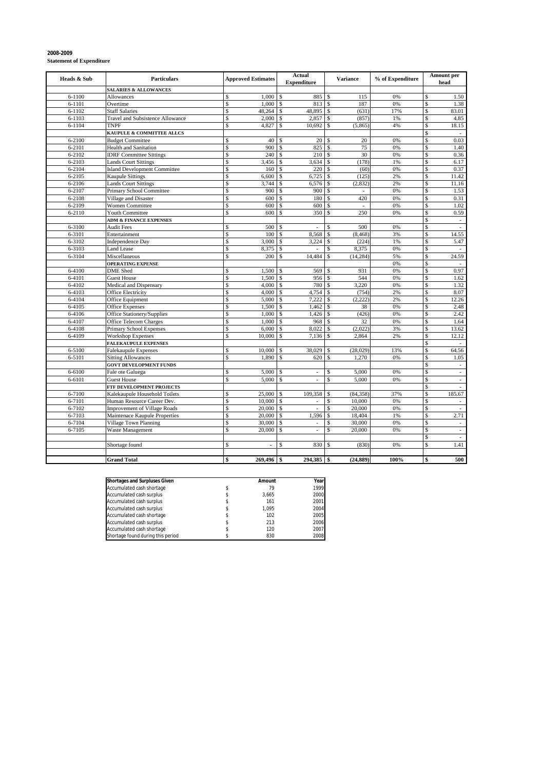|             |                                     |                                    |             | Actual                   |                    |                          |                  |                          | Amount per                  |
|-------------|-------------------------------------|------------------------------------|-------------|--------------------------|--------------------|--------------------------|------------------|--------------------------|-----------------------------|
| Heads & Sub | <b>Particulars</b>                  | <b>Approved Estimates</b>          |             | <b>Expenditure</b>       |                    | <b>Variance</b>          | % of Expenditure |                          | head                        |
|             | <b>SALARIES &amp; ALLOWANCES</b>    |                                    |             |                          |                    |                          |                  |                          |                             |
| $6 - 1100$  | Allowances                          | 1,000<br>\$                        | \$          | 885                      | \$                 | 115                      | 0%               | \$                       | 1.50                        |
| 6-1101      | Overtime                            | \$<br>1,000                        | \$          | 813                      | \$                 | 187                      | 0%               | \$                       | 1.38                        |
| $6 - 1102$  | <b>Staff Salaries</b>               | \$<br>48,264                       | Ŝ           | 48,895                   | \$                 | (631)                    | 17%              | \$                       | 83.01                       |
| $6 - 1103$  | Travel and Subsistence Allowance    | \$<br>2,000                        | \$          | 2,857                    | $\mathbf S$        | (857)                    | 1%               | \$                       | 4.85                        |
| $6 - 1104$  | <b>TNPF</b>                         | \$<br>4,827                        | \$          | 10,692                   | \$                 | (5,865)                  | 4%               | \$                       | 18.15                       |
|             | KAUPULE & COMMITTEE ALLCS           |                                    |             |                          |                    |                          |                  | \$                       | $\overline{\phantom{a}}$    |
| $6 - 2100$  | <b>Budget Committee</b>             | \$<br>40                           | \$          | 20                       | \$                 | 20                       | 0%               | \$                       | 0.03                        |
| 6-2101      | <b>Health and Sanitation</b>        | \$<br>900                          | \$          | 825                      | \$                 | 75                       | 0%               | \$                       | 1.40                        |
| 6-2102      | <b>IDRF Committee Sittings</b>      | \$<br>240                          | \$          | 210                      | \$                 | 30                       | 0%               | $\overline{\mathcal{S}}$ | 0.36                        |
| $6 - 2103$  | <b>Lands Court Sittings</b>         | \$<br>3,456                        | \$          | 3,634                    | \$                 | (178)                    | 1%               | \$                       | 6.17                        |
| 6-2104      | <b>Island Development Committee</b> | \$<br>160                          | \$          | 220                      | $\mathbf{\hat{S}}$ | (60)                     | 0%               | \$                       | 0.37                        |
| 6-2105      | <b>Kaupule Sittings</b>             | $\mathbf S$<br>6,600               | \$          | 6,725                    | $\mathbf S$        | (125)                    | 2%               | $\mathbf S$              | 11.42                       |
| 6-2106      | <b>Lands Court Sittings</b>         | \$<br>3,744                        | \$          | 6,576                    | \$                 | (2, 832)                 | 2%               | $\overline{\mathcal{S}}$ | 11.16                       |
| 6-2107      | Primary School Committee            | \$<br>900                          | \$          | 900                      | \$                 | $\overline{\phantom{a}}$ | 0%               | \$                       | 1.53                        |
| 6-2108      | Village and Disaster                | \$<br>600                          | \$          | 180                      | $\mathbf{\hat{S}}$ | 420                      | 0%               | \$                       | 0.31                        |
| 6-2109      | Women Committee                     | \$<br>600                          | \$          | 600                      | Ś                  | $\overline{\phantom{a}}$ | 0%               | \$                       | 1.02                        |
| 6-2110      | Youth Committee                     | \$<br>600                          | Ś           | 350                      | \$                 | 250                      | 0%               | \$                       | 0.59                        |
|             | <b>ADM &amp; FINANCE EXPENSES</b>   |                                    |             |                          |                    |                          |                  | \$                       | $\sim$                      |
| 6-3100      | <b>Audit Fees</b>                   | $\mathbf S$<br>500                 | \$          |                          | \$                 | 500                      | 0%               | $\mathbf S$              | $\overline{a}$              |
| 6-3101      | Entertainment                       | \$<br>100                          | \$          | 8,568                    | \$                 | (8, 468)                 | 3%               | \$                       | 14.55                       |
| 6-3102      | <b>Independence Day</b>             | \$<br>3,000                        | \$          | 3,224                    | \$                 | (224)                    | 1%               | \$                       | 5.47                        |
| 6-3103      | <b>Land Lease</b>                   | \$<br>8,375                        | $\mathbf S$ | $\sim$                   | \$                 | 8,375                    | 0%               | \$                       | $\sim$                      |
| 6-3104      | Miscellaneous                       | \$<br>200                          | \$          | 14,484                   | \$                 | (14, 284)                | 5%               | \$                       | 24.59                       |
|             | <b>OPERATING EXPENSE</b>            |                                    |             |                          |                    |                          | 0%               | \$                       |                             |
| 6-4100      | <b>DME</b> Shed                     | \$<br>1.500                        | \$          | 569                      | \$                 | 931                      | 0%               | \$                       | 0.97                        |
| 6-4101      | <b>Guest House</b>                  | \$<br>1,500                        | \$          | 956                      | \$                 | 544                      | 0%               | \$                       | 1.62                        |
| 6-4102      | Medical and Dispensary              | \$<br>4,000                        | \$          | 780                      | \$                 | 3,220                    | 0%               | \$                       | 1.32                        |
| 6-4103      | <b>Office Electricity</b>           | \$<br>4,000                        | \$          | 4,754                    | \$                 | (754)                    | 2%               | \$                       | 8.07                        |
| 6-4104      | Office Equipment                    | \$<br>5,000                        | \$          | 7.222                    | \$                 | (2,222)                  | 2%               | \$                       | 12.26                       |
| 6-4105      | <b>Office Expenses</b>              | \$<br>1,500                        | \$          | 1,462                    | \$                 | 38                       | 0%               | \$                       | 2.48                        |
| 6-4106      | Office Stationery/Supplies          | \$<br>1.000                        | \$          | 1,426                    | $\mathbf S$        | (426)                    | 0%               | \$                       | 2.42                        |
| 6-4107      | Office Telecom Charges              | \$<br>1,000                        | \$          | 968                      | <sup>\$</sup>      | 32                       | 0%               | \$                       | 1.64                        |
| 6-4108      | Primary School Expenses             | \$<br>6,000                        | \$          | 8,022                    | \$                 | (2,022)                  | 3%               | \$                       | 13.62                       |
| 6-4109      | <b>Workshop Expenses</b>            | $\mathbf S$<br>10,000              | \$          | 7,136                    | \$                 | 2,864                    | 2%               | \$                       | 12.12                       |
|             | <b>FALEKAUPULE EXPENSES</b>         |                                    |             |                          |                    |                          |                  | \$                       | $\sim$                      |
| 6-5100      | <b>Falekaupule Expenses</b>         | \$<br>10,000                       | \$          | 38,029                   | \$                 | (28,029)                 | 13%              | \$                       | 64.56                       |
| 6-5101      | <b>Sitting Allowances</b>           | \$<br>1,890                        | \$          | 620                      | \$                 | 1,270                    | 0%               | \$                       | 1.05                        |
|             | <b>GOVT DEVELOPMENT FUNDS</b>       |                                    |             |                          |                    |                          |                  | $\overline{\mathcal{S}}$ | $\overline{\phantom{a}}$    |
| 6-6100      | Fale ote Galuega                    | \$<br>5,000                        | \$          | $\overline{\phantom{a}}$ | \$                 | 5,000                    | 0%               | \$                       | $\overline{\phantom{a}}$    |
| 6-6101      | <b>Guest House</b>                  | \$<br>5,000                        | \$          | ÷                        | \$                 | 5,000                    | 0%               | \$                       | $\overline{\phantom{a}}$    |
|             | FTF DEVELOPMENT PROJECTS            |                                    |             |                          |                    |                          |                  | \$                       | $\frac{1}{2}$               |
| 6-7100      | Kalekaupule Household Toilets       | \$<br>25,000                       | \$          | 109,358                  | \$                 | (84, 358)                | 37%              | \$                       | 185.67                      |
| 6-7101      | Human Resource Career Dev.          | \$<br>10,000                       | \$          | ٠                        | \$                 | 10,000                   | 0%               | \$                       |                             |
| $6 - 7102$  | <b>Improvement of Village Roads</b> | \$<br>20,000                       | \$          | $\mathcal{L}$            | \$                 | 20,000                   | 0%               | \$                       | $\mathcal{L}_{\mathcal{A}}$ |
| 6-7103      | Maintenace Kaupule Properties       | \$<br>20,000                       | \$          | 1,596                    | \$                 | 18,404                   | 1%               | \$                       | 2.71                        |
| 6-7104      | Village Town Planning               | $\overline{\mathcal{S}}$<br>30,000 | \$          | $\sim$                   | \$                 | 30,000                   | 0%               | $\overline{\mathbf{s}}$  | $\sim$                      |
| 6-7105      | Waste Management                    | \$<br>20,000                       | \$          | $\overline{\phantom{a}}$ | \$                 | 20,000                   | 0%               | \$                       | $\overline{\phantom{a}}$    |
|             |                                     |                                    |             |                          |                    |                          |                  | \$                       | ÷,                          |
|             | Shortage found                      | \$                                 | \$          | 830                      |                    | (830)                    | 0%               | \$                       | 1.41                        |
|             |                                     |                                    |             |                          |                    |                          |                  |                          |                             |
|             |                                     | \$<br>269,496                      | \$          | 294,385 \$               |                    |                          |                  | \$                       | 500                         |
|             | <b>Grand Total</b>                  |                                    |             |                          |                    | (24, 889)                | 100%             |                          |                             |

**2008-2009**

**Statement of Expenditure**

| <b>Shortages and Surpluses Given</b> | Amount | Year |
|--------------------------------------|--------|------|
| Accumulated cash shortage            | 79     | 1999 |
| Accumulated cash surplus             | 3.665  | 2000 |
| Accumulated cash surplus             | 161    | 2001 |
| Accumulated cash surplus             | 1.095  | 2004 |
| Accumulated cash shortage            | 102    | 2005 |
| Accumulated cash surplus             | 213    | 2006 |
| Accumulated cash shortage            | 120    | 2007 |
| Shortage found during this period    | 830    | 2008 |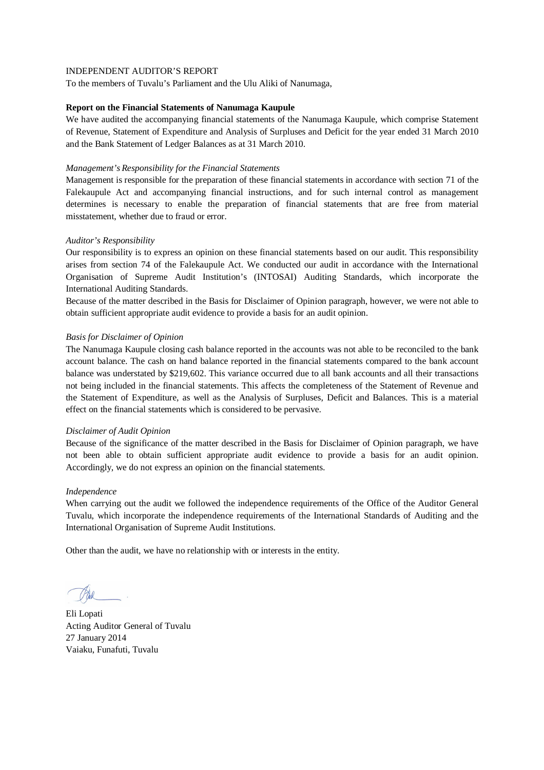To the members of Tuvalu's Parliament and the Ulu Aliki of Nanumaga,

### **Report on the Financial Statements of Nanumaga Kaupule**

We have audited the accompanying financial statements of the Nanumaga Kaupule, which comprise Statement of Revenue, Statement of Expenditure and Analysis of Surpluses and Deficit for the year ended 31 March 2010 and the Bank Statement of Ledger Balances as at 31 March 2010.

### *Management's Responsibility for the Financial Statements*

Management is responsible for the preparation of these financial statements in accordance with section 71 of the Falekaupule Act and accompanying financial instructions, and for such internal control as management determines is necessary to enable the preparation of financial statements that are free from material misstatement, whether due to fraud or error.

## *Auditor's Responsibility*

Our responsibility is to express an opinion on these financial statements based on our audit. This responsibility arises from section 74 of the Falekaupule Act. We conducted our audit in accordance with the International Organisation of Supreme Audit Institution's (INTOSAI) Auditing Standards, which incorporate the International Auditing Standards.

Because of the matter described in the Basis for Disclaimer of Opinion paragraph, however, we were not able to obtain sufficient appropriate audit evidence to provide a basis for an audit opinion.

## *Basis for Disclaimer of Opinion*

The Nanumaga Kaupule closing cash balance reported in the accounts was not able to be reconciled to the bank account balance. The cash on hand balance reported in the financial statements compared to the bank account balance was understated by \$219,602. This variance occurred due to all bank accounts and all their transactions not being included in the financial statements. This affects the completeness of the Statement of Revenue and the Statement of Expenditure, as well as the Analysis of Surpluses, Deficit and Balances. This is a material effect on the financial statements which is considered to be pervasive.

### *Disclaimer of Audit Opinion*

Because of the significance of the matter described in the Basis for Disclaimer of Opinion paragraph, we have not been able to obtain sufficient appropriate audit evidence to provide a basis for an audit opinion. Accordingly, we do not express an opinion on the financial statements.

### *Independence*

When carrying out the audit we followed the independence requirements of the Office of the Auditor General Tuvalu, which incorporate the independence requirements of the International Standards of Auditing and the International Organisation of Supreme Audit Institutions.

Eli Lopati Acting Auditor General of Tuvalu 27 January 2014 Vaiaku, Funafuti, Tuvalu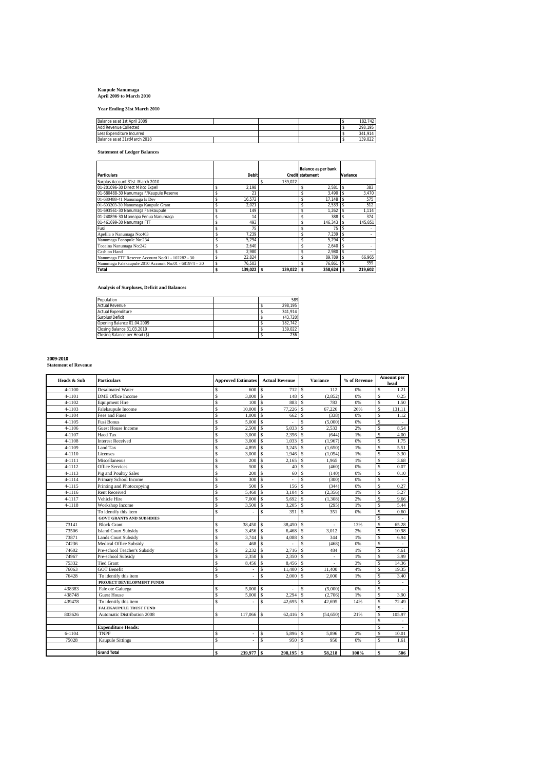## **Kaupule Nanumaga April 2009 to March 2010**

**Year Ending 31st March 2010**

| Balance as at 1st April 2009 |  |         | 182.742 |
|------------------------------|--|---------|---------|
| Add Revenue Collected        |  | 298.195 |         |
| Less Expenditure Incurred    |  | 341.914 |         |
| Balance as at 31stMarch 2010 |  |         | 139.022 |

**Statement of Ledger Balances**

|                                                       |                    |              | Balance as per bank     |              |
|-------------------------------------------------------|--------------------|--------------|-------------------------|--------------|
| Particulars                                           | <b>Debit</b>       |              | <b>Credit statement</b> | Variance     |
| Surplus Account 31st March 2010                       |                    | 139.022<br>Ŝ |                         |              |
| 01-201096-30 Direct Mirco Expell                      | \$<br>2.198        |              | 2.581<br>\$             | 383          |
| 01-680488-30 Nanumaga F/Kaupule Reserve               | \$<br>21           |              | 3.490<br>\$             | 3,470        |
| 01-680488-41 Nanumaga Is Dev                          | \$<br>16.572       |              | 17.148<br>\$            | 575          |
| 01-693203-30 Nanumaga Kaupule Grant                   | 2,021              |              | 2,533<br>\$             | 512          |
| 01-693561-30 Nanumaga Falekaupule                     | \$<br>149          |              | \$<br>1.262             | 1,114        |
| 01-240896-30 Maneapa Fenua Nanumaga                   | 14                 |              | 388<br>\$               | 374          |
| 01-461699-30 Nanumaga FTF                             | \$<br>493          |              | 146,343<br>\$           | 145,851<br>s |
| Fusi                                                  | \$<br>75           |              | 75<br>\$                |              |
| Apelila o Nanumaga No:463                             | 7.239              |              | 7.239<br>\$             |              |
| Nanumaga Fonopule No:234                              | 5.294              |              | 5.294<br>\$             |              |
| Toeaina Nanumaga No:242                               | 2.640              |              | Ś<br>2,640              |              |
| Cash on Hand                                          | 2.980              |              | 2.980<br>\$             |              |
| Nanumaga FTF Reserve Account No:01 - 102282 - 30      | \$<br>22.824       |              | 89.789<br>\$            | 66.965<br>s  |
| Nanumaga Falekaupule 2010 Account No:01 - 681974 - 30 | \$<br>76.503       |              | 76.861<br>Ś             | 359          |
| Total                                                 | \$<br>$139,022$ \$ | 139,022      | $358,624$ \$            | 219,602      |

**Analysis of Surpluses, Deficit and Balances**

| Population                    |  | 589       |
|-------------------------------|--|-----------|
| <b>Actual Revenue</b>         |  | 298.195   |
| <b>Actual Expenditure</b>     |  | 341.914   |
| Surplus/Deficit               |  | (43, 720) |
| Opening Balance 01.04.2009    |  | 182.742   |
| Closing Balance 31.03.2010    |  | 139.022   |
| Closing Balance per Head (\$) |  | 236       |

## **2009-2010 Statement of Revenue**

| Heads & Sub | Particulars                        |              | <b>Approved Estimates</b> |                    | <b>Actual Revenue</b> |               | <b>Variance</b>          | % of Revenue |    | Amount per<br>head |
|-------------|------------------------------------|--------------|---------------------------|--------------------|-----------------------|---------------|--------------------------|--------------|----|--------------------|
| $4 - 1100$  | <b>Desalinated Water</b>           | s            | 600                       | \$                 |                       |               | 112                      | 0%           | Ś  | 1.21               |
| 4-1101      | DME Office Income                  | \$           | 3,000                     | $\mathcal{S}$      | 148                   | <sup>s</sup>  | (2, 852)                 | 0%           | Ŝ  | 0.25               |
| $4 - 1102$  | <b>Equipment Hire</b>              | s            | 100                       | <sup>\$</sup>      | 883                   | <sup>\$</sup> | 783                      | 0%           | \$ | 1.50               |
| 4-1103      | Falekaupule Income                 | s            | 10,000                    | $\mathbf{\hat{s}}$ | 77,226                | \$            | 67,226                   | 26%          | \$ | 131.11             |
| 4-1104      | Fees and Fines                     | Ś            | 1,000                     | $\mathbf{\hat{s}}$ | 662                   | \$            | (338)                    | 0%           | Ś  | 1.12               |
| $4 - 1105$  | <b>Fusi Bonus</b>                  | s            | 5.000                     | $\mathcal{S}$      | ÷,                    | Ŝ             | (5,000)                  | 0%           | \$ |                    |
| $4 - 1106$  | <b>Guest House Income</b>          | s            | 2,500                     | \$                 | 5,033                 | \$            | 2,533                    | 2%           | \$ | 8.54               |
| $4 - 1107$  | <b>Haed Tax</b>                    | s            | 3,000                     | \$                 | 2.356                 | \$            | (644)                    | 1%           | \$ | 4.00               |
| 4-1108      | <b>Interest Received</b>           | s            | 3,000                     | $\mathcal{S}$      | 1,033                 | \$            | (1,967)                  | 0%           | \$ | 1.75               |
| 4-1109      | Land Tax                           | \$           | 4,895                     | $\mathbf{\hat{s}}$ | 3,245                 | \$            | (1,650)                  | 1%           | S  | 5.51               |
| $4 - 1110$  | Licenses                           | s            | 3,000                     | <sup>\$</sup>      | 1.946                 | \$            | (1.054)                  | 1%           | Ŝ  | 3.30               |
| 4-1111      | Miscellaneous                      | s            | 200                       | $\mathbf{\hat{s}}$ | 2.165                 | \$            | 1,965                    | 1%           | \$ | 3.68               |
| 4-1112      | <b>Office Services</b>             | $\mathbb S$  | 500                       | <sup>\$</sup>      | 40                    | \$            | (460)                    | 0%           | Ś  | 0.07               |
| $4 - 1113$  | Pig and Poultry Sales              | s            | 200                       | $\mathbf{\hat{s}}$ | 60                    | \$            | (140)                    | 0%           | Ŝ  | 0.10               |
| 4-1114      | Primary School Income              | \$           | 300                       | \$.                | ÷,                    | Ś             | (300)                    | 0%           | \$ | $\sim$             |
| $4 - 1115$  | Printing and Photocopying          | s            | 500                       | <b>S</b>           | 156                   | \$            | (344)                    | 0%           | \$ | 0.27               |
| $4 - 1116$  | <b>Rent Received</b>               | s            | 5.460                     | $\mathbf{\hat{s}}$ | 3.104                 | \$            | (2, 356)                 | 1%           | s  | 5.27               |
| 4-1117      | Vehicle Hire                       | Ś            | 7,000                     | $\mathbf{\hat{s}}$ | 5,692                 | \$            | (1,308)                  | 2%           | Ś  | 9.66               |
| 4-1118      | Workshop Income                    | s            | 3,500                     | <sup>\$</sup>      | 3,205                 | \$            | (295)                    | 1%           | \$ | 5.44               |
|             | To identify this item              | Ś            |                           | $\mathbf{\hat{S}}$ | 351                   | \$            | 351                      | 0%           | \$ | 0.60               |
|             | <b>GOVT GRANTS AND SUBSIDIES</b>   |              |                           |                    |                       |               |                          |              | Ś  | ×                  |
| 73141       | <b>Block Grant</b>                 | s            | 38,450                    | <sup>S</sup>       | 38,450 \$             |               | ä,                       | 13%          | \$ | 65.28              |
| 73506       | <b>Island Court Subsidy</b>        | s            | 3,456                     | $\mathbf{\hat{s}}$ | 6,468                 | Ŝ             | 3,012                    | 2%           | Ś  | 10.98              |
| 73871       | <b>Lands Court Subsidy</b>         | s            | 3,744                     | <sup>S</sup>       | 4,088                 | \$            | 344                      | 1%           | Ś  | 6.94               |
| 74236       | Medical Office Subsidy             | \$           | 468                       | <sup>\$</sup>      | ÷,                    | \$            | (468)                    | 0%           | \$ |                    |
| 74602       | Pre-school Teacher's Subsidy       | s            | 2,232                     | $\mathcal{S}$      | 2,716                 | $\mathsf{s}$  | 484                      | 1%           | \$ | 4.61               |
| 74967       | Pre-school Subsidy                 | s            | 2,350                     | <sup>\$</sup>      | 2,350                 | \$            | $\blacksquare$           | 1%           | \$ | 3.99               |
| 75332       | <b>Tied Grant</b>                  | s            | 8,456                     | <sup>\$</sup>      | 8,456                 | \$            | $\overline{\phantom{a}}$ | 3%           | \$ | 14.36              |
| 76063       | <b>GOT Benefit</b>                 | s            |                           | <b>S</b>           | 11,400                | \$            | 11,400                   | 4%           | \$ | 19.35              |
| 76428       | To identify this item              | s            |                           | \$                 | 2,000                 | \$            | 2.000                    | 1%           | \$ | 3.40               |
|             | PROJECT DEVELOPMENT FUNDS          |              |                           |                    |                       |               |                          |              | Ŝ  | $\sim$             |
| 438383      | Fale ote Galuega                   | s            | 5,000                     | <sup>S</sup>       |                       | \$            | (5,000)                  | 0%           | s  |                    |
| 438748      | <b>Guest House</b>                 | s            | 5.000                     | \$                 | 2.294                 | \$            | (2.706)                  | 1%           | \$ | 3.90               |
| 439478      | To identify this item              | Ś            |                           | \$.                | 42,695                | \$            | 42,695                   | 14%          | \$ | 72.49              |
|             | <b>FALEKAUPULE TRUST FUND</b>      |              |                           |                    |                       |               |                          |              | \$ |                    |
| 803626      | <b>Automatic Distribution 2008</b> | s            | 117,066                   | <sup>\$</sup>      | 62,416                | Ŝ             | (54, 650)                | 21%          | Ŝ  | 105.97             |
|             |                                    |              |                           |                    |                       |               |                          |              | Ś  | $\sim$             |
|             | <b>Expenditure Heads:</b>          |              |                           |                    |                       |               |                          |              | \$ |                    |
| $6 - 1104$  | <b>TNPF</b>                        | s            | ÷,                        | \$                 | 5,896 \$              |               | 5,896                    | 2%           | \$ | 10.01              |
| 75028       | <b>Kaupule Sittings</b>            | s            |                           | $\mathbf{\hat{S}}$ | 950                   | <b>S</b>      | 950                      | 0%           | Ŝ  | 1.61               |
|             |                                    |              |                           |                    |                       |               |                          |              |    |                    |
|             | <b>Grand Total</b>                 | $\mathbf{s}$ | 239,977 \$                |                    | 298,195 \$            |               | 58.218                   | 100%         | \$ | 506                |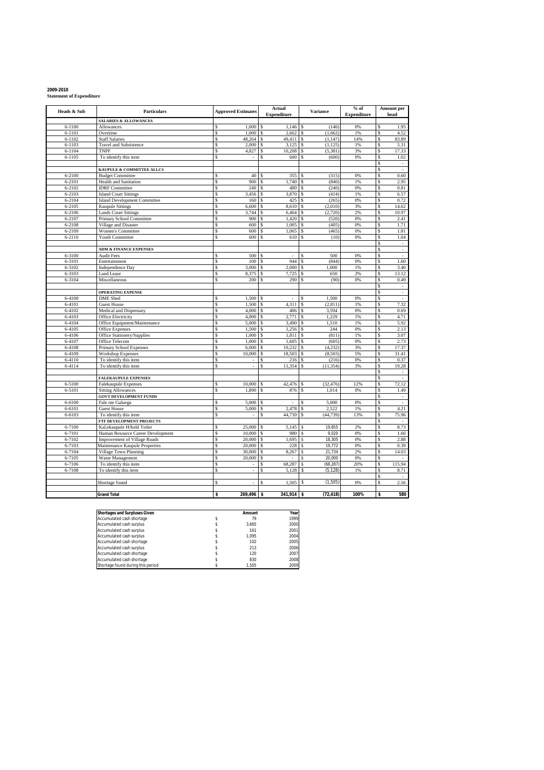| 2009-2010 |                                 |
|-----------|---------------------------------|
|           | <b>Statement of Expenditure</b> |

| Heads & Sub      | <b>Particulars</b>                                                       | <b>Approved Estimates</b>      | <b>Actual</b><br><b>Expenditure</b>   | <b>Variance</b>                       | $%$ of<br><b>Expenditure</b> | Amount per<br>head                         |
|------------------|--------------------------------------------------------------------------|--------------------------------|---------------------------------------|---------------------------------------|------------------------------|--------------------------------------------|
|                  | <b>SALARIES &amp; ALLOWANCES</b>                                         |                                |                                       |                                       |                              |                                            |
| $6 - 1100$       | Allowances                                                               | 1,000                          | 1,146<br>\$                           | (146)                                 | 0%                           | 1.95<br>Ś                                  |
| $6 - 1101$       | Overtime                                                                 | s<br>1.000                     | 2,662<br>\$                           | (1,662)<br>\$                         | 1%                           | 4.52<br>S                                  |
| $6 - 1102$       | <b>Staff Salaries</b>                                                    | s<br>48,264                    | s<br>49,411                           | \$<br>(1, 147)                        | 14%                          | \$<br>83.89                                |
| $6 - 1103$       | <b>Travel and Subsistence</b>                                            | \$<br>2,000                    | \$<br>3,125                           | <sup>\$</sup><br>(1, 125)             | 1%                           | \$<br>5.31                                 |
| $6 - 1104$       | <b>TNPF</b>                                                              | s<br>4,827                     | \$<br>10,208                          | <sup>S</sup><br>(5, 381)              | 3%                           | 17.33<br>\$<br>1.02                        |
| $6 - 1105$       | To identify this item                                                    | s<br>÷,                        | \$<br>600                             | \$<br>(600)                           | 0%                           | s<br>\$                                    |
|                  | KAUPULE & COMMITTEE ALLCS                                                |                                |                                       |                                       |                              | $\overline{\phantom{a}}$<br>\$<br>$\omega$ |
| $6 - 2100$       | <b>Budget Committee</b>                                                  | \$<br>40                       | 355<br>Ŝ                              | (315)<br>\$                           | 0%                           | 0.60<br>\$                                 |
| $6 - 2101$       | Health and Sanitation                                                    | 900<br>\$                      | 1,740<br>\$                           | \$<br>(840)                           | 1%                           | \$<br>2.95                                 |
| 6-2102           | <b>IDRF</b> Committee                                                    | 240<br>s                       | 480<br>\$                             | (240)<br><sup>\$</sup>                | 0%                           | 0.81<br>\$                                 |
| $6 - 2103$       | <b>Island Court Sittings</b>                                             | s<br>3,456                     | 3,870<br>\$.                          | -S<br>(414)                           | 1%                           | Ŝ<br>6.57                                  |
| 6-2104           | <b>Island Development Committee</b>                                      | \$<br>160                      | \$<br>425                             | (265)<br>\$                           | 0%                           | 0.72<br>\$                                 |
| 6-2105           | <b>Kaupule Sittings</b>                                                  | \$<br>6,600                    | 8,610<br>\$                           | (2,010)<br>\$                         | 3%                           | \$<br>14.62                                |
| 6-2106           | <b>Lands Court Sittings</b>                                              | \$<br>3,744                    | 6,464<br>\$                           | \$<br>(2, 720)                        | 2%                           | Ŝ<br>10.97                                 |
| 6-2107           | Primary School Committee                                                 | $\mathsf{s}$<br>900            | $\mathsf{s}$<br>1,420                 | <sup>\$</sup><br>(520)                | 0%                           | \$<br>2.41                                 |
| 6-2108           | Village and Disaster                                                     | \$<br>600                      | 1,005<br>\$                           | (405)<br>\$                           | 0%                           | 1.71<br>\$                                 |
| 6-2109           | <b>Women's Committee</b>                                                 | s<br>600                       | 1,065<br>\$                           | (465)<br>\$                           | 0%                           | Ŝ<br>1.81                                  |
| 6-2110           | Youth Committee                                                          | \$<br>600                      | \$<br>610                             | \$<br>(10)                            | 0%                           | \$<br>1.04                                 |
|                  |                                                                          |                                |                                       |                                       |                              | \$<br>$\overline{\phantom{a}}$             |
| 6-3100           | <b>ADM &amp; FINANCE EXPENSES</b><br><b>Audit Fees</b>                   | \$<br>500                      | <sup>\$</sup>                         | 500<br>\$                             | 0%                           | \$<br>$\omega$<br>s<br>$\omega$            |
| 6-3101           | Entertainment                                                            | s<br>100                       | \$<br>944                             | (844)<br>\$                           | 0%                           | 1.60<br>\$                                 |
| 6-3102           | <b>Independence Day</b>                                                  | 3,000<br>s                     | 2,000<br>\$                           | 1.000<br>s                            | 1%                           | 3.40<br>\$                                 |
| 6-3103           | <b>Land Lease</b>                                                        | s<br>8,375                     | \$<br>7,725                           | $\mathbb{S}$<br>650                   | 2%                           | s<br>13.12                                 |
| 6-3104           | Miscellaneous                                                            | s<br>200                       | \$<br>290                             | \$<br>(90)                            | 0%                           | 0.49<br>\$                                 |
|                  |                                                                          |                                |                                       |                                       |                              | \$<br>$\bar{z}$                            |
|                  | <b>OPERATING EXPENSE</b>                                                 |                                |                                       |                                       |                              | Ŝ<br>$\omega$                              |
| $6 - 4100$       | <b>DME</b> Shed                                                          | 1,500<br>s                     | \$<br>×,                              | 1,500<br>\$.                          | 0%                           | \$<br>÷                                    |
| 6-4101           | <b>Guest House</b>                                                       | s<br>1,500                     | 4,311<br><sup>\$</sup>                | <sup>\$</sup><br>(2,811)              | 1%                           | 7.32<br>\$                                 |
| 6-4102           | Medical and Dispensary                                                   | s<br>4,000                     | \$<br>406                             | Ŝ<br>3.594                            | 0%                           | s<br>0.69                                  |
| 6-4103           | Office Electricity                                                       | 4,000<br>\$                    | 2,771<br>\$                           | 1,229<br><sup>\$</sup>                | 1%                           | 4.71<br>\$                                 |
| 6-4104           | Office Equipment/Maintenance                                             | 5,000<br>s                     | 3.490<br>\$                           | <sup>S</sup><br>1,510                 | 1%                           | 5.92<br>\$                                 |
| 6-4105           | <b>Office Expenses</b>                                                   | s<br>1,500                     | $\mathsf{s}$<br>1,256                 | \$<br>244                             | 0%                           | \$<br>2.13                                 |
| 6-4106           | Office Stationery/Supplies                                               | s<br>1,000                     | \$<br>1,811                           | <sup>\$</sup><br>(811)                | 1%                           | s<br>3.07                                  |
| 6-4107<br>6-4108 | Office Telecom<br>Primary School Expenses                                | 1,000<br>\$<br>s<br>6,000      | $\mathsf{s}$<br>1,605<br>10,232<br>\$ | <sup>S</sup><br>(605)<br>(4,232)<br>s | 0%<br>3%                     | 2.73<br>\$<br>s<br>17.37                   |
| 6-4109           | <b>Workshop Expenses</b>                                                 | s<br>10,000                    | 18,503<br>\$                          | (8, 503)<br>\$                        | 5%                           | s<br>31.41                                 |
| 6-4110           | To identify this item                                                    | \$<br>$\bar{z}$                | \$<br>216                             | \$<br>(216)                           | 0%                           | 0.37<br>\$                                 |
| 6-4114           | To identify this item                                                    | \$.<br>L.                      | 11,354<br>Ŝ                           | (11, 354)<br>Ŝ                        | 3%                           | $\hat{\mathbf{s}}$<br>19.28                |
|                  |                                                                          |                                |                                       |                                       |                              | \$<br>$\overline{\phantom{a}}$             |
|                  | <b>FALEKAUPULE EXPENSES</b>                                              |                                |                                       |                                       |                              | \$<br>$\mathcal{L}$                        |
| 6-5100           | <b>Falekaupule Expenses</b>                                              | \$<br>10,000                   | 42,476<br>\$                          | (32, 476)<br>\$                       | 12%                          | Ŝ<br>72.12                                 |
| 6-5101           | <b>Sitting Allowances</b>                                                | \$<br>1,890                    | 876<br>\$                             | 1,014<br>\$                           | 0%                           | \$<br>1.49                                 |
|                  | <b>GOVT DEVELOPMENT FUNDS</b>                                            |                                |                                       |                                       |                              | \$<br>$\overline{\phantom{a}}$             |
| 6-6100           | Fale ote Galuega                                                         | s<br>5.000                     | <sup>\$</sup><br>÷,                   | 5.000<br>\$                           | 0%                           | \$<br>$\sim$                               |
| $6 - 6101$       | <b>Guest House</b>                                                       | S<br>5,000                     | 2,478<br>\$                           | 2,522<br>\$                           | 1%                           | 4.21<br>s                                  |
| $6 - 6103$       | To identify this item                                                    | \$<br>$\overline{\phantom{a}}$ | 44,739<br>\$                          | (44, 739)<br>\$                       | 13%                          | 75.96<br>\$                                |
| 6-7100           | FTF DEVELOPMENT PROJECTS                                                 | s<br>25,000                    | 5.145<br><sup>\$</sup>                | \$<br>19.855                          | 2%                           | \$<br>Ŝ<br>8.73                            |
| $6 - 7101$       | Kal;ekaupule H/hold Toilet                                               | 10,000<br>\$                   | 980<br>\$                             | 9,020                                 | 0%                           | \$<br>1.66                                 |
| 6-7102           | Human Resource Career Development<br><b>Improvement of Village Roads</b> | 20,000<br>s                    | \$<br>1,695                           | \$<br>\$<br>18,305                    | 0%                           | 2.88<br>\$                                 |
| 6-7103           | Maintenance Kaupule Properties                                           | s<br>20,000                    | \$.<br>228                            | \$<br>19.772                          | 0%                           | Ŝ<br>0.39                                  |
| 6-7104           | Village Town Planning                                                    | s<br>30,000                    | \$<br>8,267                           | 21,734<br>\$                          | 2%                           | 14.03<br>\$                                |
| 6-7105           | Waste Management                                                         | 20,000<br>s                    | \$                                    | 20.000<br>\$                          | 0%                           | S                                          |
| 6-7106           | To identify this item                                                    | s<br>$\sim$                    | 68,287<br>\$                          | \$<br>(68, 287)                       | 20%                          | S<br>115.94                                |
| 6-7108           | To identify this item                                                    | \$<br>$\overline{\phantom{a}}$ | \$<br>5,128                           | \$<br>(5, 128)                        | 1%                           | \$<br>8.71                                 |
|                  |                                                                          |                                |                                       |                                       |                              | \$<br>$\sim$                               |
|                  | Shortage found                                                           | S<br>$\blacksquare$            | \$<br>1,505                           | (1, 505)                              | 0%                           | Ŝ<br>2.56                                  |
|                  |                                                                          |                                |                                       |                                       |                              |                                            |
|                  | <b>Grand Total</b>                                                       | 269,496<br>\$                  | $341,914$ \$<br>\$                    | (72, 418)                             | 100%                         | 580<br>s                                   |

| <b>Shortages and Surpluses Given</b> | Amount | Year |
|--------------------------------------|--------|------|
| Accumulated cash shortage            | 79     | 1999 |
| Accumulated cash surplus             | 3.665  | 2000 |
| Accumulated cash surplus             | 161    | 2001 |
| Accumulated cash surplus             | 1.095  | 2004 |
| Accumulated cash shortage            | 102    | 2005 |
| Accumulated cash surplus             | 213    | 2006 |
| Accumulated cash shortage            | 120    | 2007 |
| Accumulated cash shortage            | 830    | 2008 |
| Shortage found during this period    | 1.505  | 2009 |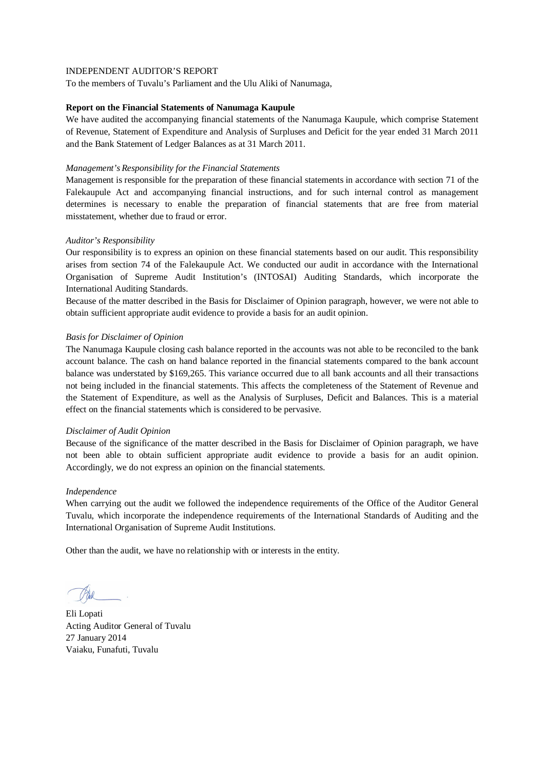To the members of Tuvalu's Parliament and the Ulu Aliki of Nanumaga,

### **Report on the Financial Statements of Nanumaga Kaupule**

We have audited the accompanying financial statements of the Nanumaga Kaupule, which comprise Statement of Revenue, Statement of Expenditure and Analysis of Surpluses and Deficit for the year ended 31 March 2011 and the Bank Statement of Ledger Balances as at 31 March 2011.

### *Management's Responsibility for the Financial Statements*

Management is responsible for the preparation of these financial statements in accordance with section 71 of the Falekaupule Act and accompanying financial instructions, and for such internal control as management determines is necessary to enable the preparation of financial statements that are free from material misstatement, whether due to fraud or error.

## *Auditor's Responsibility*

Our responsibility is to express an opinion on these financial statements based on our audit. This responsibility arises from section 74 of the Falekaupule Act. We conducted our audit in accordance with the International Organisation of Supreme Audit Institution's (INTOSAI) Auditing Standards, which incorporate the International Auditing Standards.

Because of the matter described in the Basis for Disclaimer of Opinion paragraph, however, we were not able to obtain sufficient appropriate audit evidence to provide a basis for an audit opinion.

## *Basis for Disclaimer of Opinion*

The Nanumaga Kaupule closing cash balance reported in the accounts was not able to be reconciled to the bank account balance. The cash on hand balance reported in the financial statements compared to the bank account balance was understated by \$169,265. This variance occurred due to all bank accounts and all their transactions not being included in the financial statements. This affects the completeness of the Statement of Revenue and the Statement of Expenditure, as well as the Analysis of Surpluses, Deficit and Balances. This is a material effect on the financial statements which is considered to be pervasive.

### *Disclaimer of Audit Opinion*

Because of the significance of the matter described in the Basis for Disclaimer of Opinion paragraph, we have not been able to obtain sufficient appropriate audit evidence to provide a basis for an audit opinion. Accordingly, we do not express an opinion on the financial statements.

### *Independence*

When carrying out the audit we followed the independence requirements of the Office of the Auditor General Tuvalu, which incorporate the independence requirements of the International Standards of Auditing and the International Organisation of Supreme Audit Institutions.

Eli Lopati Acting Auditor General of Tuvalu 27 January 2014 Vaiaku, Funafuti, Tuvalu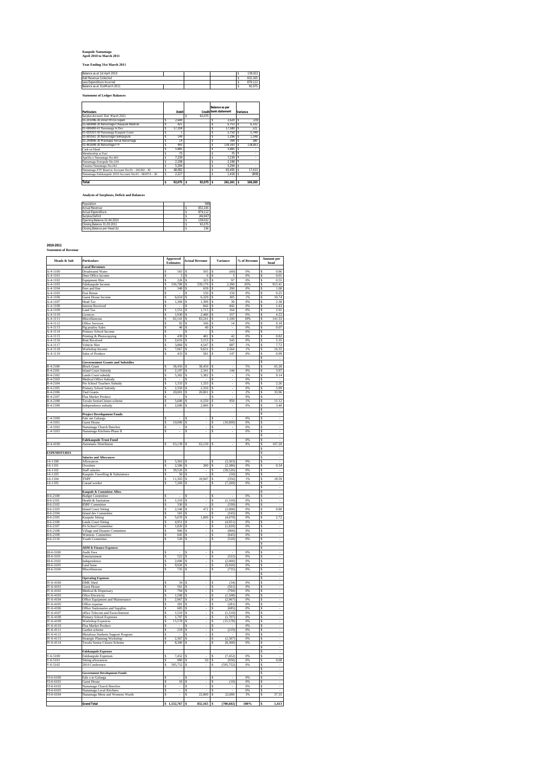### **Kaupule Nanumaga April 2010 to March 2011**

### **Year Ending 31st March 2011**

| Balance as at 1st April 2010 |  |  | 139.022 |
|------------------------------|--|--|---------|
| <b>Add Revenue Collected</b> |  |  | 832.165 |
| Less Expenditure Incurred    |  |  | 879.112 |
| Balance as at 31stMarch 2011 |  |  | 92.075  |
|                              |  |  |         |

**Statement of Ledger Balances**

| <b>Particulars</b>                                    |   | Debit    |             | Balance as per<br>Credit bank statement | Variance   |
|-------------------------------------------------------|---|----------|-------------|-----------------------------------------|------------|
| Surplus Account 31st March 2011                       |   |          | 92.075<br>s |                                         |            |
| 01-201096-30 Direct Mirco Expell                      | s | 2.640    |             | 2.620                                   | \$<br>(20) |
| 01-680488-30 Nanumaga F/Kaupule Reserve               |   | 421      |             | 6.753                                   | 6.332      |
| 01-680488-41 Nanumaga Is Dev                          |   | 17.359   |             | 17.580                                  | 221        |
| 01-693203-30 Nanumaga Kaupule Grant                   |   |          |             | 5.750                                   | 5.749      |
| 01-693561-30 Nanumaga Falekaupule                     |   | 149      |             | 1.296                                   | 1.148      |
| 01-240896-30 Maneapa Fenua Nanumaga                   |   | 14       |             | 394                                     | 380        |
| 01-461699-30 Nanumaga FTF                             |   | 493      |             | 139.343                                 | 138.851    |
| Cash on Hand                                          |   | 5.885    |             | 5.885                                   |            |
| Membership at Fusi                                    |   | 75       |             | 75                                      |            |
| Apelila o Nanumaga No:463                             |   | 7.239    |             | 7.239                                   |            |
| Nanumaea Fonopule No:234                              |   | 2.198    |             | 2.198                                   | \$         |
| Toeaina Nanumaga No:242                               |   | 5.294    |             | 5.294                                   |            |
| Nanumaga FTF Reserve Account No:01 - 102282 - 30      |   | 48.082   |             | 65.495                                  | 17.413     |
| Nanumaea Falekaupule 2010 Account No:01 - 681974 - 30 |   | 2.227    |             | 1.418                                   | (808)      |
| Total                                                 |   | 92.075 S | 92.075 S    | $261.341$ S                             | 169.265    |

**Analysis of Surpluses, Deficit and Balances**

| Population                    | 589      |
|-------------------------------|----------|
| <b>Actual Revenue</b>         | 832.165  |
| <b>Actual Expenditure</b>     | 879 112  |
| Surplus/Deficit               | (46.947) |
| Opening Balance 01.04.2010    | 139.022  |
| Closing Balance 31.03.2011    | 92.075   |
| Closing Balance per Head (\$) | 156      |

### **2010-2011 Statement of Revenue**

| <b>Heads &amp; Sub</b>               | <b>Particulars</b>                                            |          | <b>Approved</b><br>Estimates | <b>Actual Revenue</b>                              |                              | <b>Variance</b>    | % of Revenue          |        | <b>Amount</b> per<br>head |
|--------------------------------------|---------------------------------------------------------------|----------|------------------------------|----------------------------------------------------|------------------------------|--------------------|-----------------------|--------|---------------------------|
| $A-4-1100$                           | <b>Local Revenues</b><br><b>Desalinated Water</b>             | s        | $565$ S                      | 505                                                | ls                           | (60)               | 0%                    | s      | 0.86                      |
| A-4-1101                             | Dme Office income                                             | s        | $3$ S                        | 6 S                                                |                              | ٩                  | 0%                    | s      | 0.01                      |
| A-4-1102                             | <b>Equipment Hire</b>                                         | s        | 226S                         | 323                                                | S                            | 97                 | 0%                    | s      | 0.55                      |
| $A-4-1103$<br>$A-4-1104$             | Falekaupule Income<br>Fees and fine                           | \$<br>ś  | 536,789 S<br>348             | 539,179<br>639<br>s                                | S                            | 2,390<br>290       | 65%<br>0%             | s<br>Ś | 915.41<br>1.08            |
| A-4-1105                             | <b>Fusi Bonus</b>                                             | s        |                              | 150<br>s                                           |                              | 150                | 0%                    | s      | 0.25                      |
| A-4-1106                             | <b>Guest House Income</b>                                     | 3        | 6024S                        | 6.329                                              | ١<                           | 305                | 1%                    | s      | 10.74                     |
| A-4-1107<br>A-4-1108                 | Head Tax<br><b>Interest Received</b>                          | s<br>s   | 1.369 S                      | 1399<br>842<br>$\overline{\mathbf{s}}$             | ١s                           | 30<br>842          | 0%<br>0 <sup>th</sup> | Ś<br>s | 2.38<br>1.43              |
| A-4-1109                             | Land Tax                                                      | \$       | 1,551 S                      | 1,715                                              | S                            | 164                | 0%                    | s      | 2.91                      |
| A-4-1110                             | Licences                                                      | s        | 1,930 S                      | 2,486                                              | s                            | 557                | 0%                    | s      | 4.22                      |
| $A - 1111$                           | Miscellaneous                                                 | s        | 82,141                       | S<br>83,241                                        | \$                           | 1,100              | 10%                   | s      | 141.33                    |
| $A - 4 - 1112$<br>$A - 4 - 1113$     | <b>Office Services</b><br>Pig poultry Sales                   | š        | 92<br>$40$ S                 | s<br>106<br>40                                     |                              | 14                 | 0%<br>0 <sup>th</sup> | Ś<br>¢ | 0.18<br>0.07              |
| A-4-1114<br>A-4-1115                 | Primary School Income                                         | s        |                              | s                                                  |                              |                    | 0%                    | s      |                           |
|                                      | Printing & Photocopying                                       | \$       | 439 S                        | 481                                                | l S                          | 42                 | 0%                    | s      | 0.82                      |
| $A-4-1116$<br>$A-4-1117$             | Rent Received<br>Vehicle Hire                                 | \$<br>\$ | $2,610$ S<br>3,860           | 3,153<br>4,547<br><sub>S</sub>                     | s                            | 543<br>687         | 0%<br>1%              | s<br>s | 5.35<br>7.72              |
| A-4-1118                             | Workshop Income                                               | \$       | 7,067                        | s<br>9,631                                         | \$                           | 2,564              | 1%                    | ś      | 16.35                     |
| A-4-1119                             | <b>Sales of Produce</b>                                       | \$       | 433S                         | 581                                                |                              | 147                | 0%                    | s      | 0.99                      |
|                                      |                                                               |          |                              |                                                    |                              |                    |                       | s<br>s |                           |
| B-4-2100                             | <b>Governement Grants and Subsidies</b><br><b>Block Grant</b> | s        | 38,450                       | 38,450<br>l S                                      |                              |                    | 5%                    | s      | 65.28                     |
| B-4-2101                             | <b>Island Court Subsidy</b>                                   | \$       | 2,197                        | 2,341<br><b>S</b>                                  | s                            | 144                | 0%                    | s      | 3.97                      |
| B-4-2102                             | Lands Court subsidy                                           | s        | 5,382                        | 5,382<br>s                                         | s                            |                    | 1%                    | Ś      | 9.14                      |
| B-4-2103                             | Medical Office Subsidy                                        | ś        |                              | s                                                  | š                            |                    | 0%                    | ś      |                           |
| B-4-2104<br>B-4-2105                 | Pre School Teachers Subsidy                                   | Ś<br>s   | 1,333 S<br>2.350             | 1,333<br>s<br>2.350                                | <sub>S</sub><br>¢            |                    | 0%<br>0%              | s<br>¢ | 2.26<br>3.99              |
| B-4-2106                             | Primary School Subsidy<br><b>Tied Grants</b>                  | s        | 20,001 S                     | 20.001                                             | s                            | ÷,                 | 2%                    | s      | 33.96                     |
| B-4-2107                             | Flea Market Produce                                           | s        |                              | s                                                  | s                            |                    | 0%                    | s      |                           |
| B-4-2108                             | Tuvalu SeniorCitizen scheme                                   | s        | 5,600 S                      | 6,550                                              | $\mathbf{s}$                 | 950                | 1%<br>0 <sup>th</sup> | s      | 11.12                     |
| B-4-2109                             | Independence subsidy                                          | Ś        | 2,000                        | 2,000<br>s                                         | s                            |                    |                       | s<br>Ś | 3.40                      |
|                                      | <b>Project Development Funds</b>                              |          |                              |                                                    |                              |                    |                       | S      |                           |
| $C-4-3100$                           | Fale ote Galuega                                              | Ś        |                              |                                                    |                              |                    | 0 <sup>th</sup>       | s      |                           |
| $-4 - 3101$                          | <b>Guest House</b>                                            | s        | 10,000 S                     |                                                    | s                            | (10,000)           | 0%                    | s      |                           |
| $C-4-3102$<br>$C-4-3103$             | Nanumaga Church Benches<br>Nanumaga Kitchens-Phase II         | s<br>s   |                              | <sub>S</sub><br>s                                  | <sub>S</sub><br><sub>S</sub> |                    | 0%<br>0%              | s<br>s |                           |
|                                      |                                                               |          |                              |                                                    |                              |                    |                       | s      |                           |
|                                      | <b>Falekaupule Trust Fund</b>                                 |          |                              |                                                    |                              |                    | 0%                    |        |                           |
| D-4-4100                             | Automatic Distributon                                         | s        | 63,139                       | <b>S</b><br>63,139                                 | s                            |                    | $8\%$                 | Ŝ      | 107.20                    |
| <b>EXPENDITURES</b>                  |                                                               |          |                              |                                                    |                              |                    |                       | s<br>s |                           |
|                                      | <b>Salaries and Allowances</b>                                |          |                              |                                                    |                              |                    |                       | s      |                           |
| $I-6-1100$                           | <b>Allowances</b>                                             | s        | $3.363$ S                    |                                                    |                              | (3.363)            | 0%                    | s      |                           |
| $-6 - 1101$                          | Overtime                                                      | s        | 2,586 S                      | 200                                                | <sub>S</sub>                 | (2,386)            | 0%                    | s      | 0.34                      |
| $-6 - 1102$<br>$I-6-1103$            | Staff salaries<br>Kaupule Travelling & Subsistence            | ś<br>Ś   | 39,526<br>50                 | s<br>S                                             |                              | (39, 526)<br>(50)  | 0 <sup>th</sup><br>0% | s<br>Ś |                           |
| $I - 6 - 1104$                       | TNPF                                                          | š        | 11303                        | 10.947<br>ls                                       | s                            | (356)              | 1%                    | ŝ      | 18.59                     |
| $I - 6 - 1105$                       | Casual worker                                                 | š        | 7,269 S                      |                                                    |                              | (7, 269)           | 0%                    | Ś      |                           |
|                                      |                                                               |          |                              |                                                    |                              |                    |                       | s      |                           |
| $II - 6 - 2100$                      | <b>Kaupule &amp; Committee Allow</b>                          | \$       |                              |                                                    |                              |                    | 0%                    | s      | Î,                        |
| $II - 6 - 2101$                      | <b>Budget Committee</b><br>Health & Sanitation                | \$       | 1,310                        | <b>S</b><br>s                                      | S<br>\$                      | (1,310)            | 0 <sup>th</sup>       | s<br>Ś | $\overline{\phantom{a}}$  |
| $II - 6 - 2102$                      | <b>IDRF</b> Committee                                         | \$       | 330 S                        |                                                    | Ś                            | (330)              | 0%                    | S      |                           |
| $II - 6 - 2103$                      | <b>Island Court Sitting</b>                                   | š        | 2540 S                       | 472                                                | ß                            | (2.068)            | 0 <sup>th</sup>       | s      | 0.80                      |
| $II - 6 - 2104$<br>$II - 6 - 2105$   | <b>Island dev Committee</b>                                   | s<br>s   | 165<br>5.670 S               | $\overline{\mathbf{s}}$<br>1.600                   | l S                          | (165)<br>(4.070)   | 0 <sup>th</sup><br>O% | s<br>s | 2.72                      |
| $II - 6 - 2106$                      | Kaupule Sitting<br>ands Court Sitting                         | s        | 4,951                        | <b>S</b>                                           | \$                           | (4,951)            | 0%                    | s      |                           |
| $II - 6 - 2107$                      | Pri School Committee                                          | \$       | 1,820 S                      |                                                    | S                            | (1, 820)           | 0%                    | s      |                           |
| $II - 6 - 2108$                      | Village and Disaster Committee                                | ś        | 900                          | <b>S</b>                                           | ś                            | (900)              | 0 <sup>th</sup>       | Š      |                           |
| $II - 6 - 2109$<br>$II - 6 - 2110$   | Womens Committee                                              | ś<br>Ś   | $645$ S<br>520               | s                                                  | ś                            | (645)<br>(520)     | 0%<br>$0\%$           | s      |                           |
|                                      | <b>Youth Committee</b>                                        |          |                              |                                                    |                              |                    |                       | s      |                           |
|                                      | <b>ADM &amp; Finance Expences</b>                             |          |                              |                                                    |                              |                    |                       | s      |                           |
| III-6-3100                           | Audit Fees                                                    | \$       |                              | s                                                  | s                            |                    | 0%                    | s      |                           |
| III-6-3101                           | Entertainment                                                 | \$       | 522                          | <sub>S</sub>                                       | S                            | (522)              | 0%                    | s      |                           |
| III-6-3102<br>III-6-3103             | Independence<br>and lease                                     | Ś<br>š   | 2,000<br>9,920               | <sub>S</sub><br><b>s</b>                           | \$<br>ś                      | (2,000)<br>(9,920) | 0%<br>0%              | Ś<br>ś |                           |
| Ш-6-3104                             | Miscellaneous                                                 | ś        | 735                          | S                                                  | s                            | (735)              | 0%                    | Ŝ      |                           |
|                                      |                                                               |          |                              |                                                    |                              |                    |                       | s      |                           |
|                                      | <b>Operating Expenses</b>                                     |          |                              |                                                    |                              |                    |                       | s      |                           |
| IV-6-4100<br>$\overline{IV}$ -6-4101 | <b>DME</b> Shed<br><b>Guest House</b>                         | s<br>s   | $34$ S<br>561S               |                                                    | <sub>S</sub><br>S            | (34)<br>(561)      | 0%<br>0%              | s<br>s |                           |
| IV-6-4102                            | Medical & Dispensary                                          | Ś        | 794                          | s                                                  | ś                            | (794)              | 0 <sup>th</sup>       | Ś      |                           |
| IV-6-4103                            | Ofice Electricity                                             | Ś        | 1,508                        | s                                                  | ś                            | (1,508)            | 0%                    | Ś      |                           |
| IV-6-4104<br>IV-6-4105               | Office Equipment and Maintenance                              | Ś<br>s   | 967<br>281                   | S<br>s                                             | \$<br>s                      | (2,967)<br>(281)   | 0%<br>0%              | s<br>Ś |                           |
| IV-6-4106                            | Office expense<br>Office Stationaries and Supplies            | s        | 685 S                        |                                                    | <sub>S</sub>                 | (685)              | 0%                    | s      |                           |
| IV-6-4107                            | office Telecom and Faxes/Internet                             | Ś        | $1.510$ S                    |                                                    | <sub>S</sub>                 | (1, 510)           | 0%                    | s      |                           |
| IV-6-4108                            | Primary School Expenses                                       | s        | 1.707                        | ١s                                                 | <sub>S</sub>                 | (1.707)            | 0%                    | s      |                           |
| IV-6-4109<br>IV-6-4110               | <b>Workshop Expences</b><br>Flea Market Produce               | s        | 15,578                       | s                                                  | s                            | (15, 578)          | 0%<br>0%              | s<br>Ś |                           |
| IV-6-4111                            | Garden scheme                                                 | š        | 219                          | s                                                  | s                            | (219)              | 0%                    | s      |                           |
| IV-6-4112                            | Motufoua Students Support Program                             | š        |                              | s                                                  | š                            |                    | 0%                    | s      |                           |
| IV-6-4113                            | <b>Strategic Planning Workshop</b>                            | Ś        | 2.367                        | $\overline{\mathbf{s}}$<br>$\overline{\mathbf{s}}$ | Ś                            | (2.367)            | 0%                    | s      |                           |
| IV-6-4114                            | Tuvalu Senior Citizen Scheme                                  | s        | 8,300                        |                                                    | s                            | (8.300)            | 0%                    | s<br>s |                           |
|                                      | <b>Falekaupule Expenses</b>                                   |          |                              |                                                    |                              |                    |                       | s      |                           |
| $V - 6 - 5100$                       | <b>Falekaupule Expenses</b>                                   | s        | 7,452                        | s                                                  | Ś                            | (7, 452)           | 0%                    | s      | $\overline{\phantom{a}}$  |
| $V - 6 - 5101$                       | <b>Sitting allowances</b>                                     | Ś        | 980                          | 50                                                 |                              | (930)              | 0%                    | Ś      | 0.08                      |
| $V - 6 - 5102$                       | 2010 Conference                                               | s        | 595,752                      | s                                                  |                              | (595, 752)         | 0%                    | s<br>ś |                           |
|                                      | <b>Government Development Funds</b>                           |          |                              |                                                    |                              |                    |                       | s      |                           |
| VI-6-6100                            | Fale o te Galuega                                             | s        |                              |                                                    | l S                          |                    | 0%                    | s      |                           |
| VI-6-6101                            | <b>Guest House</b>                                            | \$       | 10                           | s                                                  | \$                           | (10)               | 0%                    | s      |                           |
| VI-6-6102<br>VI-6-6103               | Nanumaga Church Benches<br>Nanumaga Local Kitchens            | s<br>s   |                              | s<br>S                                             | \$                           |                    | 0%<br>0%              | s<br>S |                           |
| VI-6-6104                            | Nanumaga Mens and Womens Wards                                | š        |                              | 22,000<br>s                                        | s                            | 22,000             | 3%                    | ŝ      | 37.35                     |
|                                      |                                                               |          |                              |                                                    |                              |                    |                       |        |                           |
|                                      | <b>Grand Total</b>                                            |          | $$1,532,767$ \$              | 832,165 \$                                         |                              | (700, 602)         | 100%                  |        | 1,413                     |